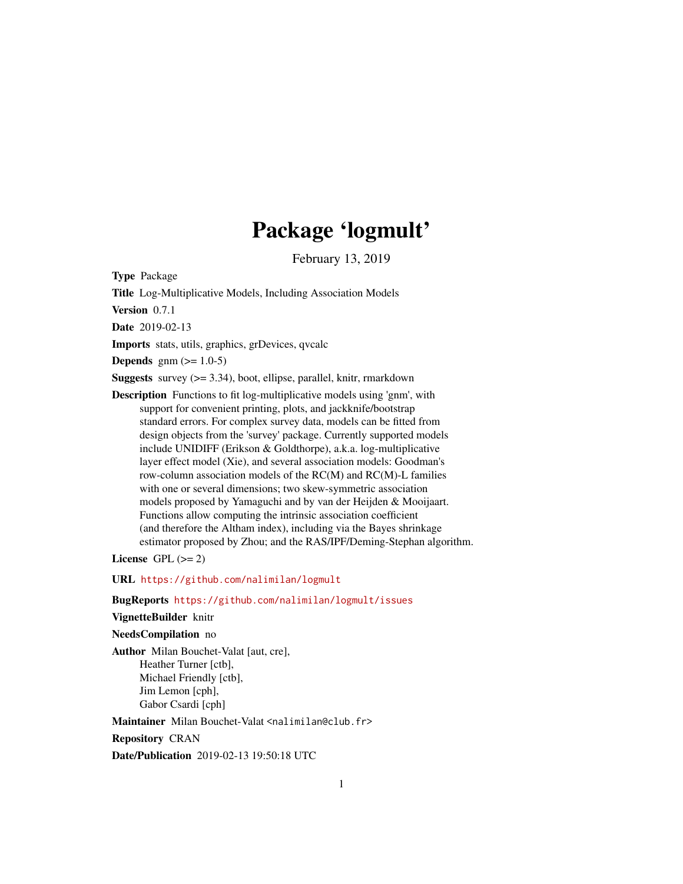# Package 'logmult'

February 13, 2019

<span id="page-0-0"></span>Type Package

Title Log-Multiplicative Models, Including Association Models

Version 0.7.1

Date 2019-02-13

Imports stats, utils, graphics, grDevices, qvcalc

**Depends** gnm  $(>= 1.0-5)$ 

**Suggests** survey  $(>= 3.34)$ , boot, ellipse, parallel, knitr, rmarkdown

Description Functions to fit log-multiplicative models using 'gnm', with support for convenient printing, plots, and jackknife/bootstrap standard errors. For complex survey data, models can be fitted from design objects from the 'survey' package. Currently supported models include UNIDIFF (Erikson & Goldthorpe), a.k.a. log-multiplicative layer effect model (Xie), and several association models: Goodman's row-column association models of the RC(M) and RC(M)-L families with one or several dimensions; two skew-symmetric association models proposed by Yamaguchi and by van der Heijden & Mooijaart. Functions allow computing the intrinsic association coefficient (and therefore the Altham index), including via the Bayes shrinkage estimator proposed by Zhou; and the RAS/IPF/Deming-Stephan algorithm.

License GPL  $(>= 2)$ 

URL <https://github.com/nalimilan/logmult>

BugReports <https://github.com/nalimilan/logmult/issues>

#### VignetteBuilder knitr

#### NeedsCompilation no

Author Milan Bouchet-Valat [aut, cre], Heather Turner [ctb], Michael Friendly [ctb], Jim Lemon [cph], Gabor Csardi [cph]

Maintainer Milan Bouchet-Valat <nalimilan@club.fr>

Repository CRAN

Date/Publication 2019-02-13 19:50:18 UTC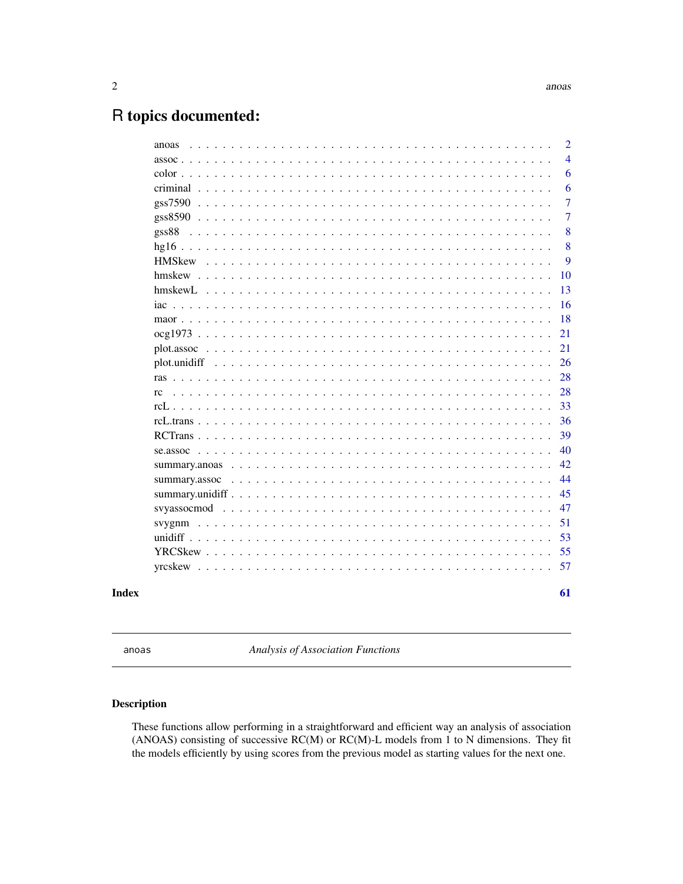# <span id="page-1-0"></span>R topics documented:

| $\overline{4}$<br>$assoc \dots$<br>6<br>$color \dots$<br>6<br>$\overline{7}$<br>gss7590<br>7<br>8<br>gss88<br>8<br><b>HMSkew</b><br>9<br>10<br>13<br>16<br>$iac \dots \dots$<br>18<br>21<br>21<br>26<br>28<br>28<br>rc<br>33<br>$rcl.$<br>36<br>39<br>40<br>42<br>44<br>summary.assoc $\ldots \ldots \ldots \ldots \ldots \ldots \ldots \ldots \ldots \ldots \ldots \ldots \ldots$<br>45<br>47<br>51<br>53<br>55<br>57<br>Index | anoas |  |  |  |  |  |  |  |  |  |  |  |  | $\overline{2}$ |
|---------------------------------------------------------------------------------------------------------------------------------------------------------------------------------------------------------------------------------------------------------------------------------------------------------------------------------------------------------------------------------------------------------------------------------|-------|--|--|--|--|--|--|--|--|--|--|--|--|----------------|
|                                                                                                                                                                                                                                                                                                                                                                                                                                 |       |  |  |  |  |  |  |  |  |  |  |  |  |                |
|                                                                                                                                                                                                                                                                                                                                                                                                                                 |       |  |  |  |  |  |  |  |  |  |  |  |  |                |
|                                                                                                                                                                                                                                                                                                                                                                                                                                 |       |  |  |  |  |  |  |  |  |  |  |  |  |                |
|                                                                                                                                                                                                                                                                                                                                                                                                                                 |       |  |  |  |  |  |  |  |  |  |  |  |  |                |
|                                                                                                                                                                                                                                                                                                                                                                                                                                 |       |  |  |  |  |  |  |  |  |  |  |  |  |                |
|                                                                                                                                                                                                                                                                                                                                                                                                                                 |       |  |  |  |  |  |  |  |  |  |  |  |  |                |
|                                                                                                                                                                                                                                                                                                                                                                                                                                 |       |  |  |  |  |  |  |  |  |  |  |  |  |                |
|                                                                                                                                                                                                                                                                                                                                                                                                                                 |       |  |  |  |  |  |  |  |  |  |  |  |  |                |
|                                                                                                                                                                                                                                                                                                                                                                                                                                 |       |  |  |  |  |  |  |  |  |  |  |  |  |                |
|                                                                                                                                                                                                                                                                                                                                                                                                                                 |       |  |  |  |  |  |  |  |  |  |  |  |  |                |
|                                                                                                                                                                                                                                                                                                                                                                                                                                 |       |  |  |  |  |  |  |  |  |  |  |  |  |                |
|                                                                                                                                                                                                                                                                                                                                                                                                                                 |       |  |  |  |  |  |  |  |  |  |  |  |  |                |
|                                                                                                                                                                                                                                                                                                                                                                                                                                 |       |  |  |  |  |  |  |  |  |  |  |  |  |                |
|                                                                                                                                                                                                                                                                                                                                                                                                                                 |       |  |  |  |  |  |  |  |  |  |  |  |  |                |
|                                                                                                                                                                                                                                                                                                                                                                                                                                 |       |  |  |  |  |  |  |  |  |  |  |  |  |                |
|                                                                                                                                                                                                                                                                                                                                                                                                                                 |       |  |  |  |  |  |  |  |  |  |  |  |  |                |
|                                                                                                                                                                                                                                                                                                                                                                                                                                 |       |  |  |  |  |  |  |  |  |  |  |  |  |                |
|                                                                                                                                                                                                                                                                                                                                                                                                                                 |       |  |  |  |  |  |  |  |  |  |  |  |  |                |
|                                                                                                                                                                                                                                                                                                                                                                                                                                 |       |  |  |  |  |  |  |  |  |  |  |  |  |                |
|                                                                                                                                                                                                                                                                                                                                                                                                                                 |       |  |  |  |  |  |  |  |  |  |  |  |  |                |
|                                                                                                                                                                                                                                                                                                                                                                                                                                 |       |  |  |  |  |  |  |  |  |  |  |  |  |                |
|                                                                                                                                                                                                                                                                                                                                                                                                                                 |       |  |  |  |  |  |  |  |  |  |  |  |  |                |
|                                                                                                                                                                                                                                                                                                                                                                                                                                 |       |  |  |  |  |  |  |  |  |  |  |  |  |                |
|                                                                                                                                                                                                                                                                                                                                                                                                                                 |       |  |  |  |  |  |  |  |  |  |  |  |  |                |
|                                                                                                                                                                                                                                                                                                                                                                                                                                 |       |  |  |  |  |  |  |  |  |  |  |  |  |                |
|                                                                                                                                                                                                                                                                                                                                                                                                                                 |       |  |  |  |  |  |  |  |  |  |  |  |  |                |
|                                                                                                                                                                                                                                                                                                                                                                                                                                 |       |  |  |  |  |  |  |  |  |  |  |  |  |                |
|                                                                                                                                                                                                                                                                                                                                                                                                                                 |       |  |  |  |  |  |  |  |  |  |  |  |  |                |
|                                                                                                                                                                                                                                                                                                                                                                                                                                 |       |  |  |  |  |  |  |  |  |  |  |  |  |                |
|                                                                                                                                                                                                                                                                                                                                                                                                                                 |       |  |  |  |  |  |  |  |  |  |  |  |  | 61             |

<span id="page-1-1"></span>

anoas *Analysis of Association Functions*

# <span id="page-1-2"></span>Description

These functions allow performing in a straightforward and efficient way an analysis of association (ANOAS) consisting of successive RC(M) or RC(M)-L models from 1 to N dimensions. They fit the models efficiently by using scores from the previous model as starting values for the next one.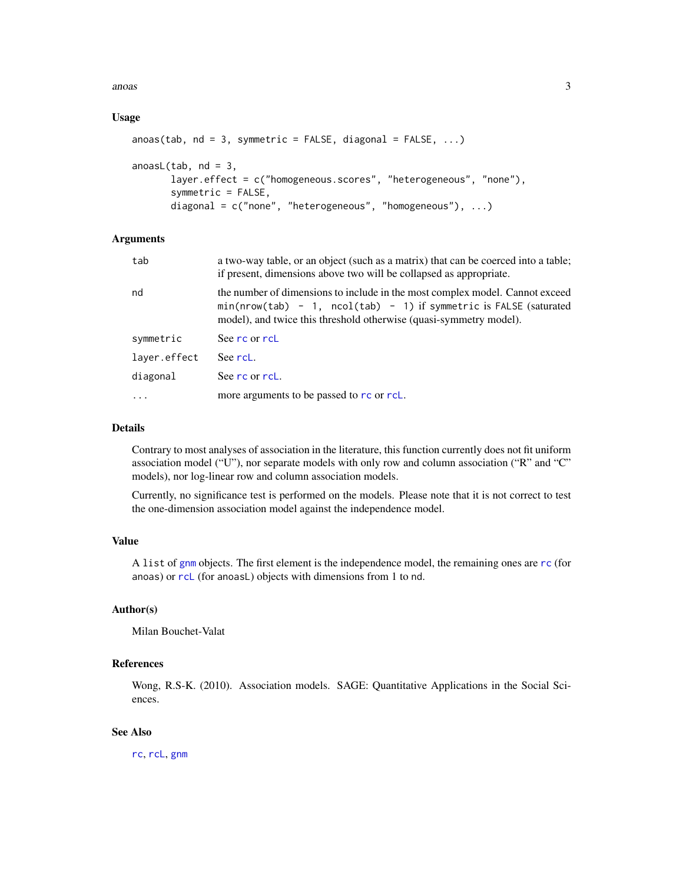<span id="page-2-0"></span>anoas 3

# Usage

```
anoas(tab, nd = 3, symmetric = FALSE, diagonal = FALSE, \ldots)
anoasL(tab, nd = 3,layer.effect = c("homogeneous.scores", "heterogeneous", "none"),
       symmetric = FALSE,
       diagonal = c("none", "heterogeneous", "homogeneous"), ...)
```
# Arguments

| tab          | a two-way table, or an object (such as a matrix) that can be coerced into a table;<br>if present, dimensions above two will be collapsed as appropriate.                                                                   |
|--------------|----------------------------------------------------------------------------------------------------------------------------------------------------------------------------------------------------------------------------|
| nd           | the number of dimensions to include in the most complex model. Cannot exceed<br>$min(nrow(tab) - 1, ncol(tab) - 1)$ if symmetric is FALSE (saturated<br>model), and twice this threshold otherwise (quasi-symmetry model). |
| symmetric    | See rc or rcL                                                                                                                                                                                                              |
| laver.effect | See rcL.                                                                                                                                                                                                                   |
| diagonal     | See rc or rcL.                                                                                                                                                                                                             |
| $\cdots$     | more arguments to be passed to rc or rcL.                                                                                                                                                                                  |

#### Details

Contrary to most analyses of association in the literature, this function currently does not fit uniform association model ("U"), nor separate models with only row and column association ("R" and "C" models), nor log-linear row and column association models.

Currently, no significance test is performed on the models. Please note that it is not correct to test the one-dimension association model against the independence model.

# Value

A list of [gnm](#page-0-0) objects. The first element is the independence model, the remaining ones are [rc](#page-27-1) (for anoas) or [rcL](#page-32-1) (for anoasL) objects with dimensions from 1 to nd.

#### Author(s)

Milan Bouchet-Valat

# References

Wong, R.S-K. (2010). Association models. SAGE: Quantitative Applications in the Social Sciences.

# See Also

[rc](#page-27-1), [rcL](#page-32-1), [gnm](#page-0-0)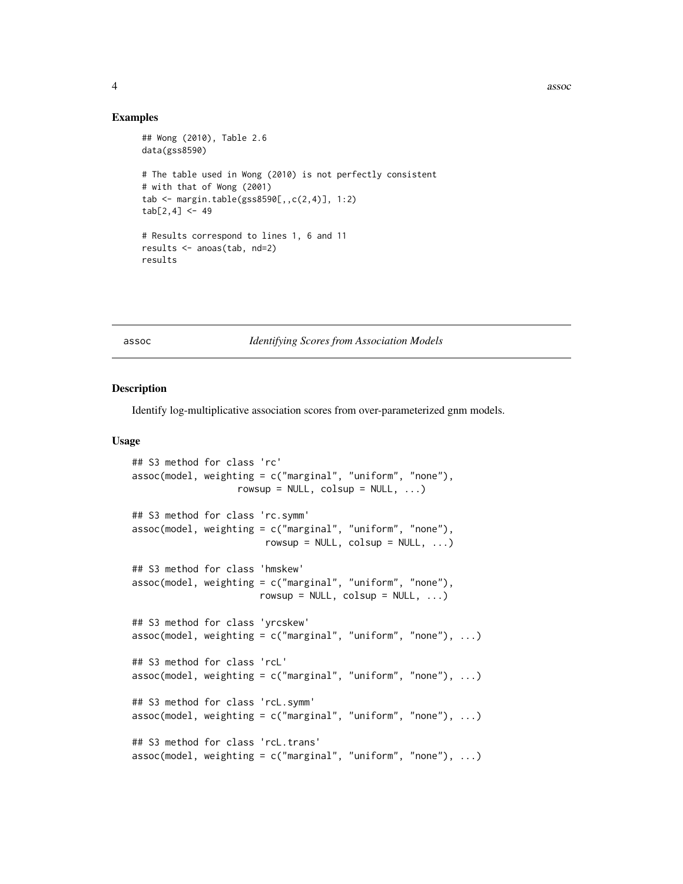#### Examples

```
## Wong (2010), Table 2.6
data(gss8590)
# The table used in Wong (2010) is not perfectly consistent
# with that of Wong (2001)
tab <- margin.table(gss8590[,,c(2,4)], 1:2)
tab[2, 4] < -49# Results correspond to lines 1, 6 and 11
results <- anoas(tab, nd=2)
results
```
<span id="page-3-2"></span>

#### assoc *Identifying Scores from Association Models*

#### <span id="page-3-1"></span>Description

Identify log-multiplicative association scores from over-parameterized gnm models.

#### Usage

```
## S3 method for class 'rc'
assoc(model, weighting = c("marginal", "uniform", "none"),
                   rowsup = NULL, colsup = NULL, ...## S3 method for class 'rc.symm'
assoc(model, weighting = c("marginal", "uniform", "none"),
                        rowsup = NULL, colsup = NULL, ...## S3 method for class 'hmskew'
assoc(model, weighting = c("marginal", "uniform", "none"),
                       rowsup = NULL, colsup = NULL, ...)## S3 method for class 'yrcskew'
assoc(mod 1, weighting = c("marginal", "uniform", "none"), ...)## S3 method for class 'rcL'
assoc(mod 1, weighting = c("marginal", "uniform", "none"), ...)## S3 method for class 'rcL.symm'
assoc(mod 1, weighting = c("marginal", "uniform", "none"), ...)## S3 method for class 'rcL.trans'
assoc(mod 1, weighting = c("marginal", "uniform", "none"), ...)
```
<span id="page-3-0"></span>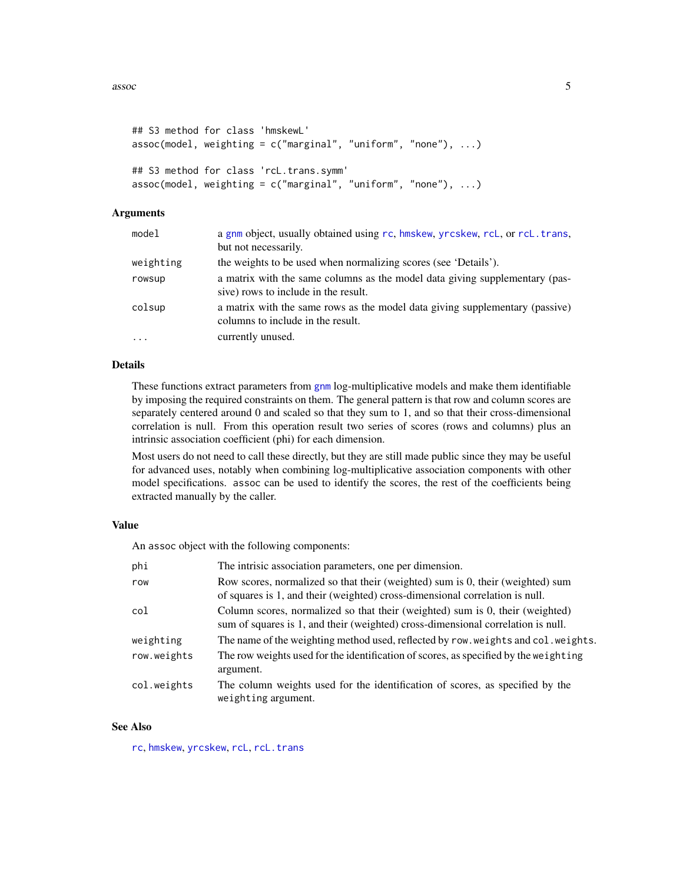<span id="page-4-0"></span> $\frac{1}{5}$  assoc  $\frac{5}{5}$ 

```
## S3 method for class 'hmskewL'
assoc(mod 1, weighting = c("marginal", "uniform", "none"), ...)## S3 method for class 'rcL.trans.symm'
assoc(mod 1, weighting = c("marginal", "uniform", "none"), ...)
```
# Arguments

| model     | a gnm object, usually obtained using rc, hmskew, yrcskew, rcL, or rcL. trans,<br>but not necessarily.               |
|-----------|---------------------------------------------------------------------------------------------------------------------|
| weighting | the weights to be used when normalizing scores (see 'Details').                                                     |
| rowsup    | a matrix with the same columns as the model data giving supplementary (pas-<br>sive) rows to include in the result. |
| colsup    | a matrix with the same rows as the model data giving supplementary (passive)<br>columns to include in the result.   |
| $\ddots$  | currently unused.                                                                                                   |
|           |                                                                                                                     |

### Details

These functions extract parameters from [gnm](#page-0-0) log-multiplicative models and make them identifiable by imposing the required constraints on them. The general pattern is that row and column scores are separately centered around 0 and scaled so that they sum to 1, and so that their cross-dimensional correlation is null. From this operation result two series of scores (rows and columns) plus an intrinsic association coefficient (phi) for each dimension.

Most users do not need to call these directly, but they are still made public since they may be useful for advanced uses, notably when combining log-multiplicative association components with other model specifications. assoc can be used to identify the scores, the rest of the coefficients being extracted manually by the caller.

#### Value

An assoc object with the following components:

| phi         | The intrisic association parameters, one per dimension.                                                                                                           |
|-------------|-------------------------------------------------------------------------------------------------------------------------------------------------------------------|
| row         | Row scores, normalized so that their (weighted) sum is 0, their (weighted) sum<br>of squares is 1, and their (weighted) cross-dimensional correlation is null.    |
| col         | Column scores, normalized so that their (weighted) sum is 0, their (weighted)<br>sum of squares is 1, and their (weighted) cross-dimensional correlation is null. |
| weighting   | The name of the weighting method used, reflected by row. weights and col. weights.                                                                                |
| row.weights | The row weights used for the identification of scores, as specified by the weighting<br>argument.                                                                 |
| col.weights | The column weights used for the identification of scores, as specified by the<br>weighting argument.                                                              |

#### See Also

[rc](#page-27-1), [hmskew](#page-9-1), [yrcskew](#page-56-1), [rcL](#page-32-1), [rcL.trans](#page-35-1)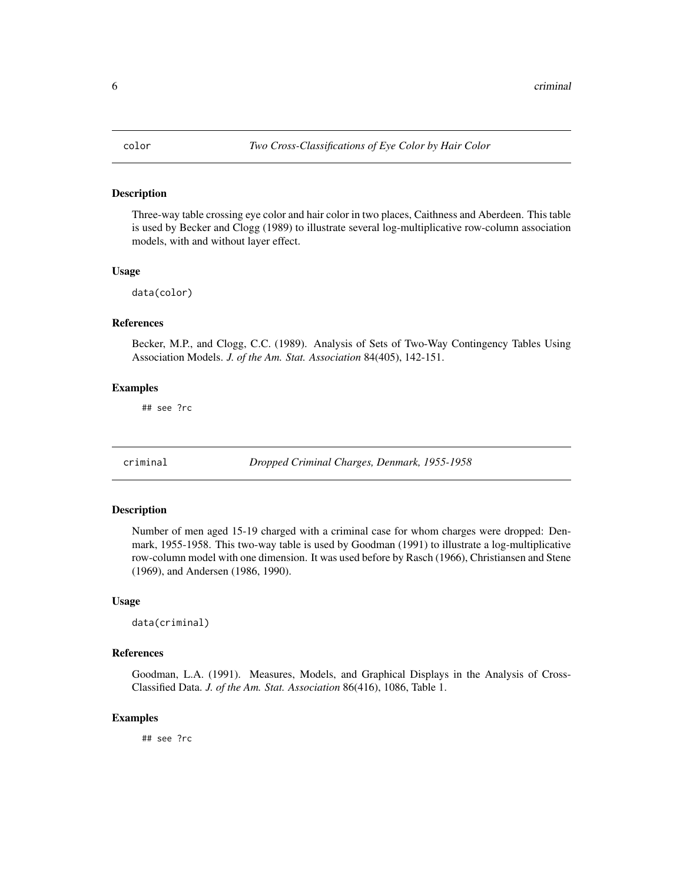<span id="page-5-0"></span>

#### Description

Three-way table crossing eye color and hair color in two places, Caithness and Aberdeen. This table is used by Becker and Clogg (1989) to illustrate several log-multiplicative row-column association models, with and without layer effect.

#### Usage

data(color)

# References

Becker, M.P., and Clogg, C.C. (1989). Analysis of Sets of Two-Way Contingency Tables Using Association Models. *J. of the Am. Stat. Association* 84(405), 142-151.

# Examples

## see ?rc

criminal *Dropped Criminal Charges, Denmark, 1955-1958*

#### Description

Number of men aged 15-19 charged with a criminal case for whom charges were dropped: Denmark, 1955-1958. This two-way table is used by Goodman (1991) to illustrate a log-multiplicative row-column model with one dimension. It was used before by Rasch (1966), Christiansen and Stene (1969), and Andersen (1986, 1990).

# Usage

data(criminal)

#### References

Goodman, L.A. (1991). Measures, Models, and Graphical Displays in the Analysis of Cross-Classified Data. *J. of the Am. Stat. Association* 86(416), 1086, Table 1.

### Examples

## see ?rc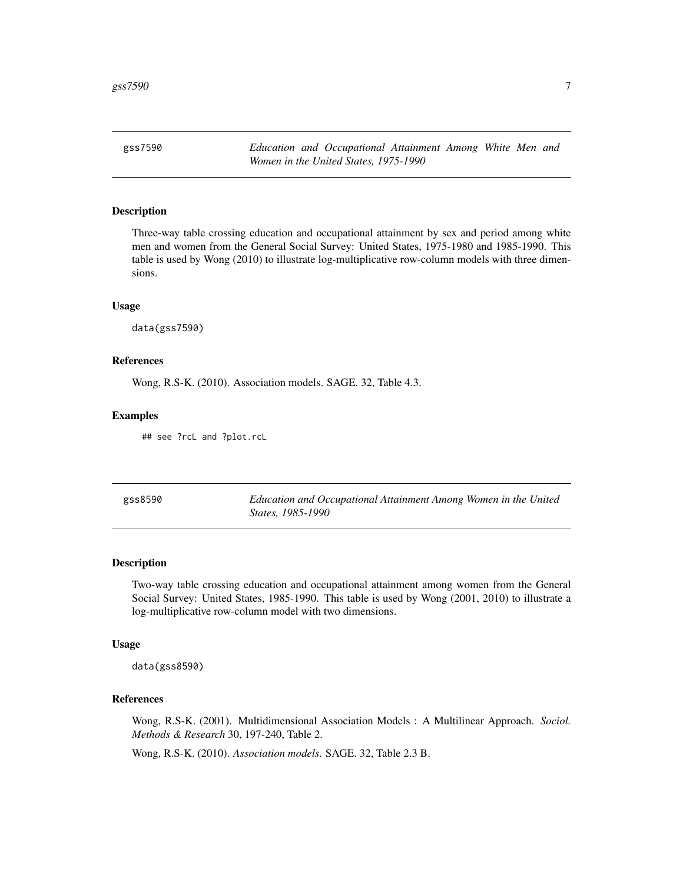<span id="page-6-0"></span>gss7590 *Education and Occupational Attainment Among White Men and Women in the United States, 1975-1990*

#### Description

Three-way table crossing education and occupational attainment by sex and period among white men and women from the General Social Survey: United States, 1975-1980 and 1985-1990. This table is used by Wong (2010) to illustrate log-multiplicative row-column models with three dimensions.

#### Usage

data(gss7590)

#### References

Wong, R.S-K. (2010). Association models. SAGE. 32, Table 4.3.

#### Examples

## see ?rcL and ?plot.rcL

| gss8590 | Education and Occupational Attainment Among Women in the United |
|---------|-----------------------------------------------------------------|
|         | <i>States, 1985-1990</i>                                        |

#### Description

Two-way table crossing education and occupational attainment among women from the General Social Survey: United States, 1985-1990. This table is used by Wong (2001, 2010) to illustrate a log-multiplicative row-column model with two dimensions.

#### Usage

data(gss8590)

# References

Wong, R.S-K. (2001). Multidimensional Association Models : A Multilinear Approach. *Sociol. Methods & Research* 30, 197-240, Table 2.

Wong, R.S-K. (2010). *Association models*. SAGE. 32, Table 2.3 B.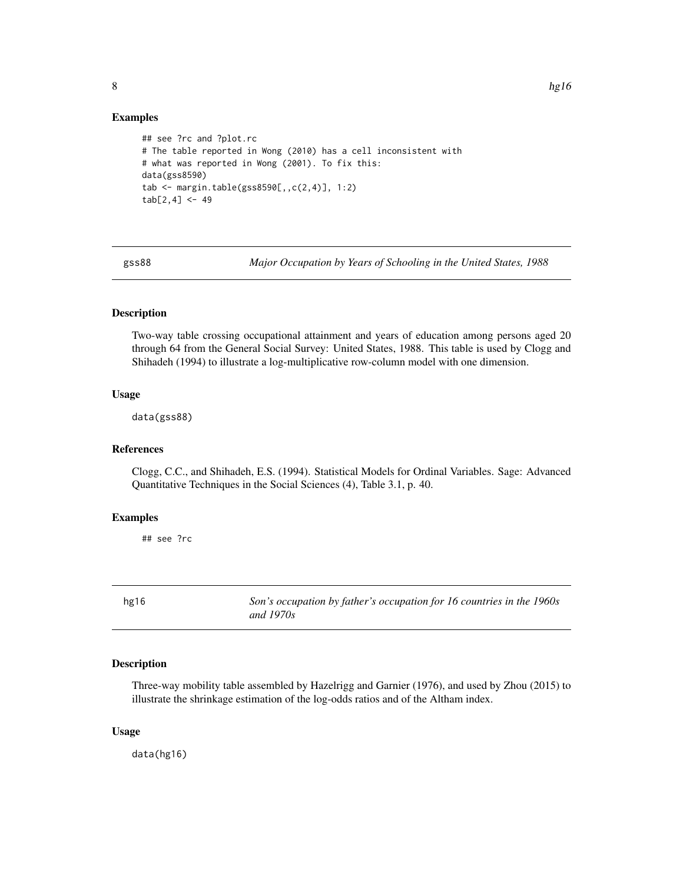#### Examples

```
## see ?rc and ?plot.rc
# The table reported in Wong (2010) has a cell inconsistent with
# what was reported in Wong (2001). To fix this:
data(gss8590)
tab <- margin.table(gss8590[,,c(2,4)], 1:2)
tab[2, 4] < -49
```
gss88 *Major Occupation by Years of Schooling in the United States, 1988*

# **Description**

Two-way table crossing occupational attainment and years of education among persons aged 20 through 64 from the General Social Survey: United States, 1988. This table is used by Clogg and Shihadeh (1994) to illustrate a log-multiplicative row-column model with one dimension.

#### Usage

data(gss88)

# References

Clogg, C.C., and Shihadeh, E.S. (1994). Statistical Models for Ordinal Variables. Sage: Advanced Quantitative Techniques in the Social Sciences (4), Table 3.1, p. 40.

#### Examples

## see ?rc

hg16 *Son's occupation by father's occupation for 16 countries in the 1960s and 1970s*

# Description

Three-way mobility table assembled by Hazelrigg and Garnier (1976), and used by Zhou (2015) to illustrate the shrinkage estimation of the log-odds ratios and of the Altham index.

#### Usage

data(hg16)

<span id="page-7-0"></span>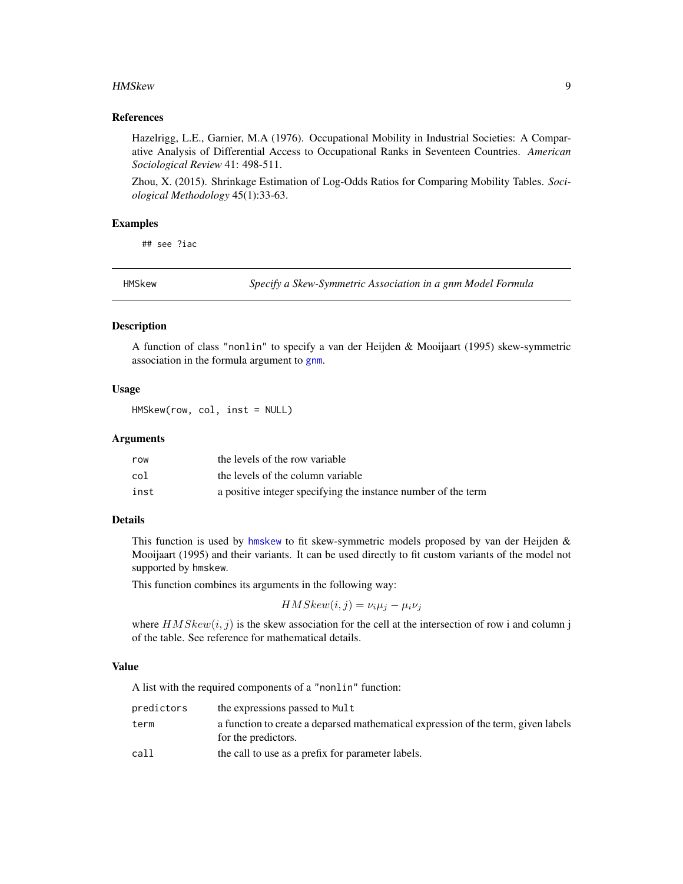#### <span id="page-8-0"></span>HMSkew 9

### References

Hazelrigg, L.E., Garnier, M.A (1976). Occupational Mobility in Industrial Societies: A Comparative Analysis of Differential Access to Occupational Ranks in Seventeen Countries. *American Sociological Review* 41: 498-511.

Zhou, X. (2015). Shrinkage Estimation of Log-Odds Ratios for Comparing Mobility Tables. *Sociological Methodology* 45(1):33-63.

#### Examples

## see ?iac

HMSkew *Specify a Skew-Symmetric Association in a gnm Model Formula*

#### Description

A function of class "nonlin" to specify a van der Heijden & Mooijaart (1995) skew-symmetric association in the formula argument to [gnm](#page-0-0).

# Usage

HMSkew(row, col, inst = NULL)

#### Arguments

| row  | the levels of the row variable                                |
|------|---------------------------------------------------------------|
| col  | the levels of the column variable                             |
| inst | a positive integer specifying the instance number of the term |

#### Details

This function is used by [hmskew](#page-9-1) to fit skew-symmetric models proposed by van der Heijden & Mooijaart (1995) and their variants. It can be used directly to fit custom variants of the model not supported by hmskew.

This function combines its arguments in the following way:

 $HMSkew(i, j) = \nu_i \mu_j - \mu_i \nu_j$ 

where  $HMSkew(i, j)$  is the skew association for the cell at the intersection of row i and column j of the table. See reference for mathematical details.

# Value

A list with the required components of a "nonlin" function:

| predictors | the expressions passed to Mult                                                                           |
|------------|----------------------------------------------------------------------------------------------------------|
| term       | a function to create a deparsed mathematical expression of the term, given labels<br>for the predictors. |
| call       | the call to use as a prefix for parameter labels.                                                        |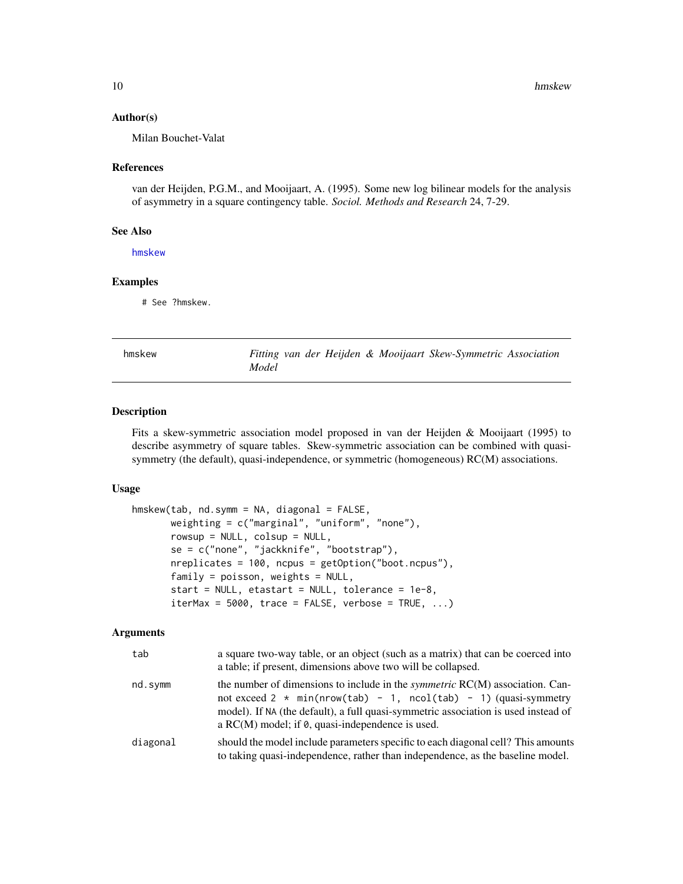#### <span id="page-9-0"></span>Author(s)

Milan Bouchet-Valat

#### References

van der Heijden, P.G.M., and Mooijaart, A. (1995). Some new log bilinear models for the analysis of asymmetry in a square contingency table. *Sociol. Methods and Research* 24, 7-29.

#### See Also

[hmskew](#page-9-1)

# Examples

# See ?hmskew.

<span id="page-9-1"></span>

| hmskew |  |
|--------|--|
|--------|--|

Fitting van der Heijden & Mooijaart Skew-Symmetric Association *Model*

# Description

Fits a skew-symmetric association model proposed in van der Heijden & Mooijaart (1995) to describe asymmetry of square tables. Skew-symmetric association can be combined with quasisymmetry (the default), quasi-independence, or symmetric (homogeneous) RC(M) associations.

#### Usage

```
hmskew(tab, nd.symm = NA, diagonal = FALSE,
       weighting = c("marginal", "uniform", "none"),
       rowsup = NULL, colsup = NULL,
       se = c("none", "jackknife", "bootstrap"),
       nreplicates = 100, ncpus = getOption("boot.ncpus"),
       family = poisson, weights = NULL,start = NULL, etastart = NULL, tolerance = 1e-8,
       iterMax = 5000, trace = FALSE, verbose = TRUE, ...)
```
#### Arguments

| tab      | a square two-way table, or an object (such as a matrix) that can be coerced into<br>a table; if present, dimensions above two will be collapsed.                                                                                                                                                                   |
|----------|--------------------------------------------------------------------------------------------------------------------------------------------------------------------------------------------------------------------------------------------------------------------------------------------------------------------|
| nd.symm  | the number of dimensions to include in the <i>symmetric</i> RC(M) association. Can-<br>not exceed $2 \times min(nrow(tab) - 1, ncol(tab) - 1)$ (quasi-symmetry<br>model). If NA (the default), a full quasi-symmetric association is used instead of<br>a $RC(M)$ model; if $\theta$ , quasi-independence is used. |
| diagonal | should the model include parameters specific to each diagonal cell? This amounts<br>to taking quasi-independence, rather than independence, as the baseline model.                                                                                                                                                 |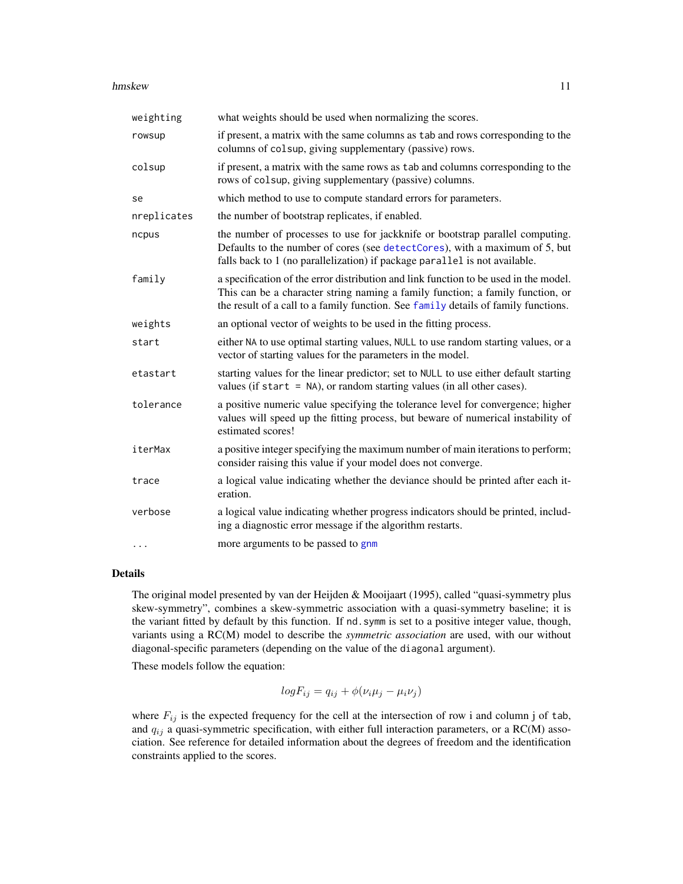#### <span id="page-10-0"></span>hmskew 11

| weighting   | what weights should be used when normalizing the scores.                                                                                                                                                                                                     |
|-------------|--------------------------------------------------------------------------------------------------------------------------------------------------------------------------------------------------------------------------------------------------------------|
| rowsup      | if present, a matrix with the same columns as tab and rows corresponding to the<br>columns of colsup, giving supplementary (passive) rows.                                                                                                                   |
| colsup      | if present, a matrix with the same rows as tab and columns corresponding to the<br>rows of colsup, giving supplementary (passive) columns.                                                                                                                   |
| se          | which method to use to compute standard errors for parameters.                                                                                                                                                                                               |
| nreplicates | the number of bootstrap replicates, if enabled.                                                                                                                                                                                                              |
| ncpus       | the number of processes to use for jackknife or bootstrap parallel computing.<br>Defaults to the number of cores (see detectCores), with a maximum of 5, but<br>falls back to 1 (no parallelization) if package parallel is not available.                   |
| family      | a specification of the error distribution and link function to be used in the model.<br>This can be a character string naming a family function; a family function, or<br>the result of a call to a family function. See family details of family functions. |
| weights     | an optional vector of weights to be used in the fitting process.                                                                                                                                                                                             |
| start       | either NA to use optimal starting values, NULL to use random starting values, or a<br>vector of starting values for the parameters in the model.                                                                                                             |
| etastart    | starting values for the linear predictor; set to NULL to use either default starting<br>values (if start $=$ NA), or random starting values (in all other cases).                                                                                            |
| tolerance   | a positive numeric value specifying the tolerance level for convergence; higher<br>values will speed up the fitting process, but beware of numerical instability of<br>estimated scores!                                                                     |
| iterMax     | a positive integer specifying the maximum number of main iterations to perform;<br>consider raising this value if your model does not converge.                                                                                                              |
| trace       | a logical value indicating whether the deviance should be printed after each it-<br>eration.                                                                                                                                                                 |
| verbose     | a logical value indicating whether progress indicators should be printed, includ-<br>ing a diagnostic error message if the algorithm restarts.                                                                                                               |
|             | more arguments to be passed to gnm                                                                                                                                                                                                                           |

# Details

The original model presented by van der Heijden & Mooijaart (1995), called "quasi-symmetry plus skew-symmetry", combines a skew-symmetric association with a quasi-symmetry baseline; it is the variant fitted by default by this function. If nd.symm is set to a positive integer value, though, variants using a RC(M) model to describe the *symmetric association* are used, with our without diagonal-specific parameters (depending on the value of the diagonal argument).

These models follow the equation:

$$
logF_{ij} = q_{ij} + \phi(\nu_i \mu_j - \mu_i \nu_j)
$$

where  $F_{ij}$  is the expected frequency for the cell at the intersection of row i and column j of tab, and  $q_{ij}$  a quasi-symmetric specification, with either full interaction parameters, or a RC(M) association. See reference for detailed information about the degrees of freedom and the identification constraints applied to the scores.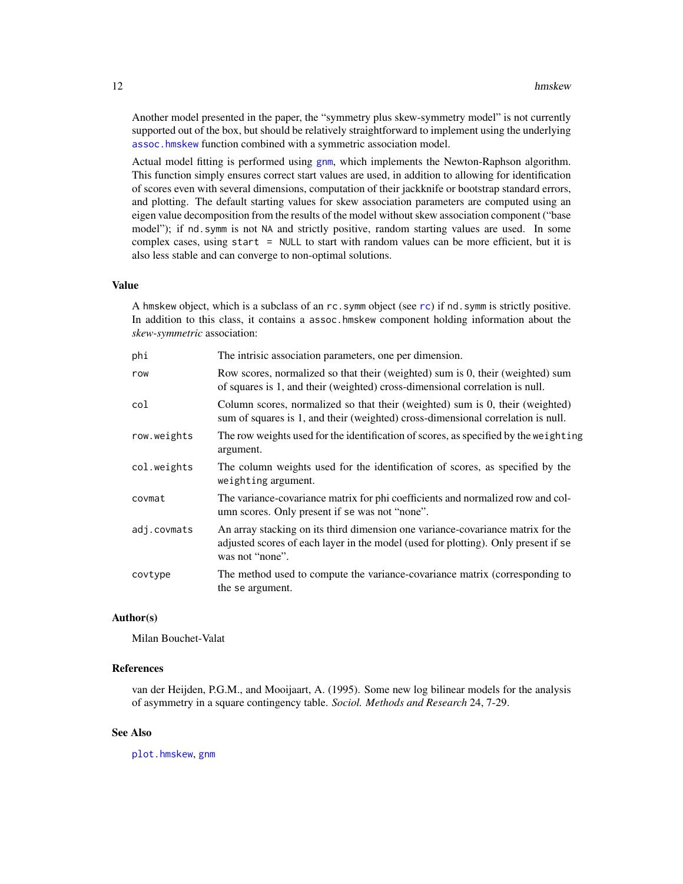<span id="page-11-0"></span>Another model presented in the paper, the "symmetry plus skew-symmetry model" is not currently supported out of the box, but should be relatively straightforward to implement using the underlying [assoc.hmskew](#page-3-1) function combined with a symmetric association model.

Actual model fitting is performed using [gnm](#page-0-0), which implements the Newton-Raphson algorithm. This function simply ensures correct start values are used, in addition to allowing for identification of scores even with several dimensions, computation of their jackknife or bootstrap standard errors, and plotting. The default starting values for skew association parameters are computed using an eigen value decomposition from the results of the model without skew association component ("base model"); if nd.symm is not NA and strictly positive, random starting values are used. In some complex cases, using start = NULL to start with random values can be more efficient, but it is also less stable and can converge to non-optimal solutions.

#### Value

A hmskew object, which is a subclass of an rc.symm object (see [rc](#page-27-1)) if nd.symm is strictly positive. In addition to this class, it contains a assoc.hmskew component holding information about the *skew-symmetric* association:

| phi         | The intrisic association parameters, one per dimension.                                                                                                                                  |
|-------------|------------------------------------------------------------------------------------------------------------------------------------------------------------------------------------------|
| row         | Row scores, normalized so that their (weighted) sum is 0, their (weighted) sum<br>of squares is 1, and their (weighted) cross-dimensional correlation is null.                           |
| col         | Column scores, normalized so that their (weighted) sum is 0, their (weighted)<br>sum of squares is 1, and their (weighted) cross-dimensional correlation is null.                        |
| row.weights | The row weights used for the identification of scores, as specified by the weighting<br>argument.                                                                                        |
| col.weights | The column weights used for the identification of scores, as specified by the<br>weighting argument.                                                                                     |
| covmat      | The variance-covariance matrix for phi coefficients and normalized row and col-<br>umn scores. Only present if se was not "none".                                                        |
| adj.covmats | An array stacking on its third dimension one variance-covariance matrix for the<br>adjusted scores of each layer in the model (used for plotting). Only present if se<br>was not "none". |
| covtype     | The method used to compute the variance-covariance matrix (corresponding to<br>the se argument.                                                                                          |

# Author(s)

Milan Bouchet-Valat

# References

van der Heijden, P.G.M., and Mooijaart, A. (1995). Some new log bilinear models for the analysis of asymmetry in a square contingency table. *Sociol. Methods and Research* 24, 7-29.

#### See Also

[plot.hmskew](#page-20-1), [gnm](#page-0-0)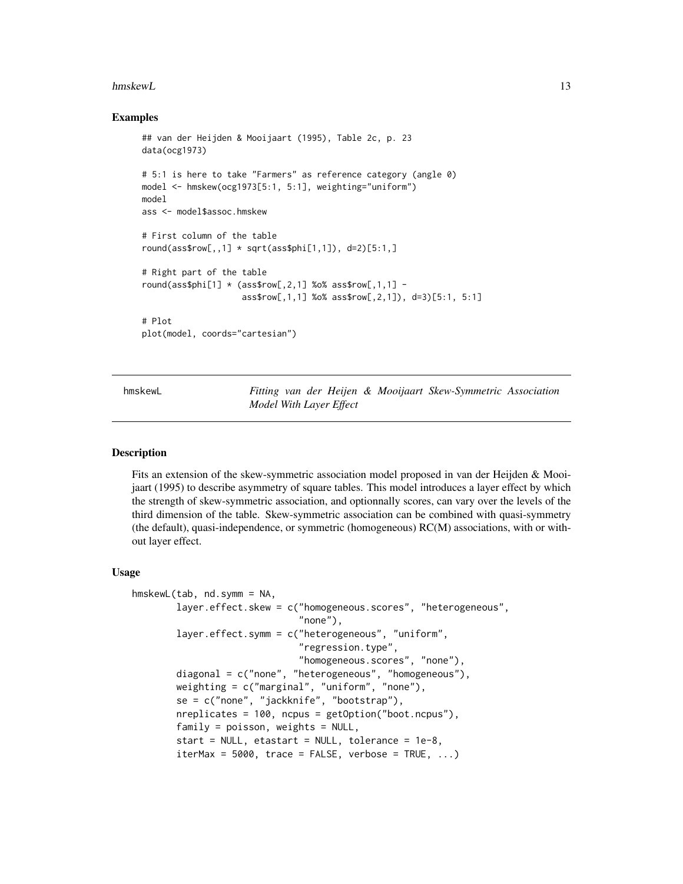#### <span id="page-12-0"></span>hmskewL 13

#### Examples

```
## van der Heijden & Mooijaart (1995), Table 2c, p. 23
data(ocg1973)
# 5:1 is here to take "Farmers" as reference category (angle 0)
model <- hmskew(ocg1973[5:1, 5:1], weighting="uniform")
model
ass <- model$assoc.hmskew
# First column of the table
round(ass$row[,,1] \star sqrt(ass$phi[1,1]), d=2)[5:1,]
# Right part of the table
round(ass$phi[1] \star (ass$row[,2,1] %o% ass$row[,1,1] -
                    ass$row[,1,1] %o% ass$row[,2,1]), d=3)[5:1, 5:1]
# Plot
plot(model, coords="cartesian")
```
<span id="page-12-1"></span>hmskewL *Fitting van der Heijen & Mooijaart Skew-Symmetric Association Model With Layer Effect*

#### Description

Fits an extension of the skew-symmetric association model proposed in van der Heijden & Mooijaart (1995) to describe asymmetry of square tables. This model introduces a layer effect by which the strength of skew-symmetric association, and optionnally scores, can vary over the levels of the third dimension of the table. Skew-symmetric association can be combined with quasi-symmetry (the default), quasi-independence, or symmetric (homogeneous) RC(M) associations, with or without layer effect.

#### Usage

```
hmskewL(tab, nd.symm = NA,
        layer.effect.skew = c("homogeneous.scores", "heterogeneous",
                              "none"),
       layer.effect.symm = c("heterogeneous", "uniform",
                              "regression.type",
                              "homogeneous.scores", "none"),
       diagonal = c("none", "heterogeneous", "homogeneous"),
       weighting = c("marginal", "uniform", "none"),
        se = c("none", "jackknife", "bootstrap"),
       nreplicates = 100, ncpus = getOption("boot.ncpus"),
       family = poisson, weights = NULL,start = NULL, etastart = NULL, tolerance = 1e-8,
        iterMax = 5000, trace = FALSE, verbose = TRUE, ...)
```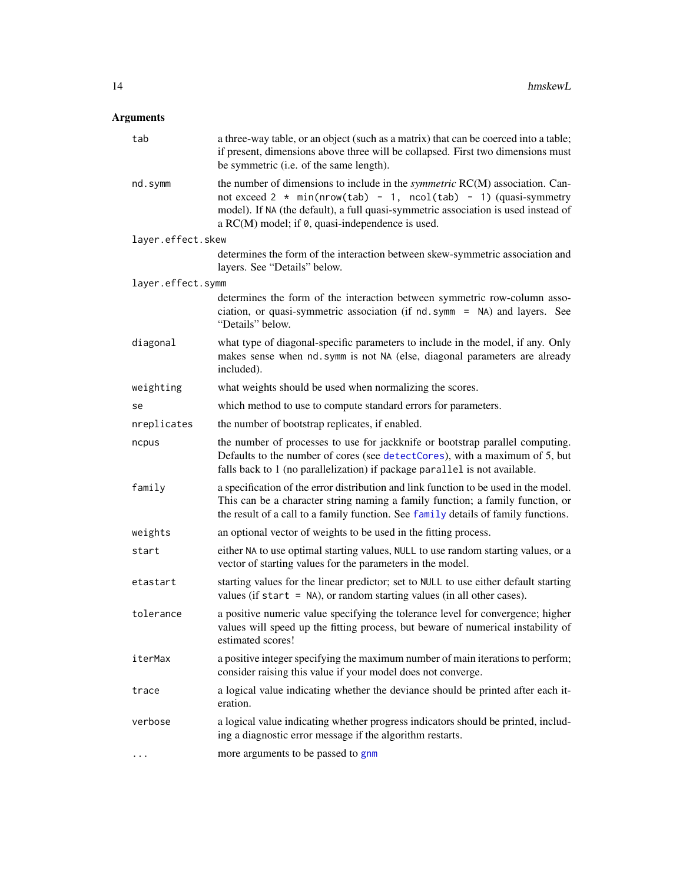# <span id="page-13-0"></span>Arguments

| tab               | a three-way table, or an object (such as a matrix) that can be coerced into a table;<br>if present, dimensions above three will be collapsed. First two dimensions must<br>be symmetric (i.e. of the same length).                                                                                            |
|-------------------|---------------------------------------------------------------------------------------------------------------------------------------------------------------------------------------------------------------------------------------------------------------------------------------------------------------|
| nd.symm           | the number of dimensions to include in the <i>symmetric</i> RC(M) association. Can-<br>not exceed $2 * min(nrow(tab) - 1, ncol(tab) - 1)$ (quasi-symmetry<br>model). If NA (the default), a full quasi-symmetric association is used instead of<br>a $RC(M)$ model; if $\theta$ , quasi-independence is used. |
| layer.effect.skew |                                                                                                                                                                                                                                                                                                               |
|                   | determines the form of the interaction between skew-symmetric association and<br>layers. See "Details" below.                                                                                                                                                                                                 |
| layer.effect.symm |                                                                                                                                                                                                                                                                                                               |
|                   | determines the form of the interaction between symmetric row-column asso-<br>ciation, or quasi-symmetric association (if nd. symm = NA) and layers. See<br>"Details" below.                                                                                                                                   |
| diagonal          | what type of diagonal-specific parameters to include in the model, if any. Only<br>makes sense when nd. symm is not NA (else, diagonal parameters are already<br>included).                                                                                                                                   |
| weighting         | what weights should be used when normalizing the scores.                                                                                                                                                                                                                                                      |
| se                | which method to use to compute standard errors for parameters.                                                                                                                                                                                                                                                |
| nreplicates       | the number of bootstrap replicates, if enabled.                                                                                                                                                                                                                                                               |
| ncpus             | the number of processes to use for jackknife or bootstrap parallel computing.<br>Defaults to the number of cores (see detectCores), with a maximum of 5, but<br>falls back to 1 (no parallelization) if package parallel is not available.                                                                    |
| family            | a specification of the error distribution and link function to be used in the model.<br>This can be a character string naming a family function; a family function, or<br>the result of a call to a family function. See family details of family functions.                                                  |
| weights           | an optional vector of weights to be used in the fitting process.                                                                                                                                                                                                                                              |
| start             | either NA to use optimal starting values, NULL to use random starting values, or a<br>vector of starting values for the parameters in the model.                                                                                                                                                              |
| etastart          | starting values for the linear predictor; set to NULL to use either default starting<br>values (if start $=$ NA), or random starting values (in all other cases).                                                                                                                                             |
| tolerance         | a positive numeric value specifying the tolerance level for convergence; higher<br>values will speed up the fitting process, but beware of numerical instability of<br>estimated scores!                                                                                                                      |
| iterMax           | a positive integer specifying the maximum number of main iterations to perform;<br>consider raising this value if your model does not converge.                                                                                                                                                               |
| trace             | a logical value indicating whether the deviance should be printed after each it-<br>eration.                                                                                                                                                                                                                  |
| verbose           | a logical value indicating whether progress indicators should be printed, includ-<br>ing a diagnostic error message if the algorithm restarts.                                                                                                                                                                |
| .                 | more arguments to be passed to gnm                                                                                                                                                                                                                                                                            |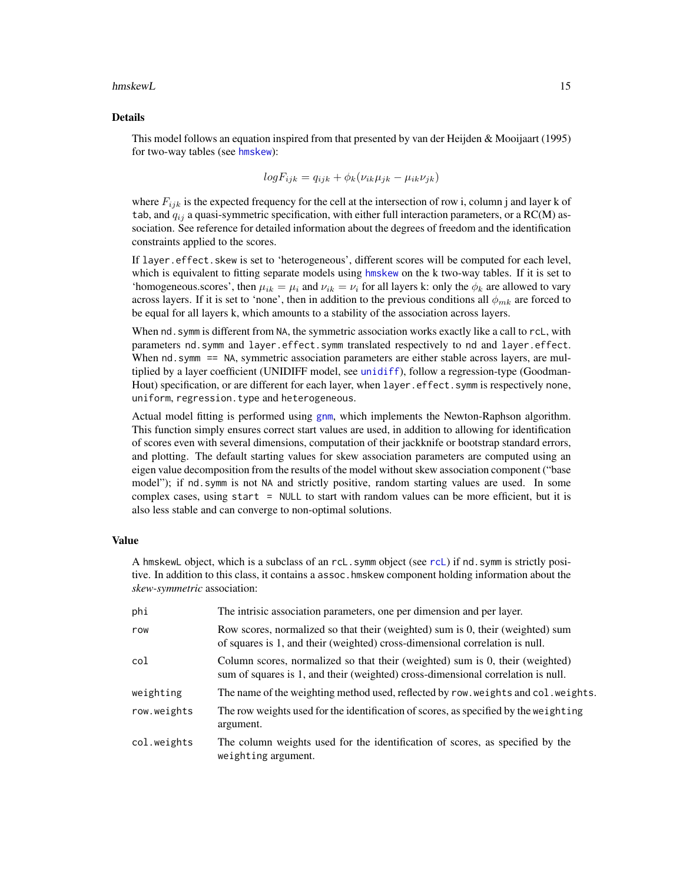#### <span id="page-14-0"></span>hmskewL the contract of the contract of the contract of the contract of the contract of the contract of the contract of the contract of the contract of the contract of the contract of the contract of the contract of the co

#### Details

This model follows an equation inspired from that presented by van der Heijden & Mooijaart (1995) for two-way tables (see [hmskew](#page-9-1)):

$$
logF_{ijk} = q_{ijk} + \phi_k(\nu_{ik}\mu_{jk} - \mu_{ik}\nu_{jk})
$$

where  $F_{ijk}$  is the expected frequency for the cell at the intersection of row i, column j and layer k of tab, and  $q_{ij}$  a quasi-symmetric specification, with either full interaction parameters, or a RC(M) association. See reference for detailed information about the degrees of freedom and the identification constraints applied to the scores.

If layer.effect.skew is set to 'heterogeneous', different scores will be computed for each level, which is equivalent to fitting separate models using [hmskew](#page-9-1) on the k two-way tables. If it is set to 'homogeneous.scores', then  $\mu_{ik} = \mu_i$  and  $\nu_{ik} = \nu_i$  for all layers k: only the  $\phi_k$  are allowed to vary across layers. If it is set to 'none', then in addition to the previous conditions all  $\phi_{mk}$  are forced to be equal for all layers k, which amounts to a stability of the association across layers.

When nd. symm is different from NA, the symmetric association works exactly like a call to rcL, with parameters nd.symm and layer.effect.symm translated respectively to nd and layer.effect. When nd. symm == NA, symmetric association parameters are either stable across layers, are multiplied by a layer coefficient (UNIDIFF model, see [unidiff](#page-52-1)), follow a regression-type (Goodman-Hout) specification, or are different for each layer, when layer.effect.symm is respectively none, uniform, regression.type and heterogeneous.

Actual model fitting is performed using [gnm](#page-0-0), which implements the Newton-Raphson algorithm. This function simply ensures correct start values are used, in addition to allowing for identification of scores even with several dimensions, computation of their jackknife or bootstrap standard errors, and plotting. The default starting values for skew association parameters are computed using an eigen value decomposition from the results of the model without skew association component ("base model"); if nd.symm is not NA and strictly positive, random starting values are used. In some complex cases, using start = NULL to start with random values can be more efficient, but it is also less stable and can converge to non-optimal solutions.

## Value

A hmskewL object, which is a subclass of an rcL.symm object (see [rcL](#page-32-1)) if nd.symm is strictly positive. In addition to this class, it contains a assoc.hmskew component holding information about the *skew-symmetric* association:

| phi         | The intrisic association parameters, one per dimension and per layer.                                                                                             |
|-------------|-------------------------------------------------------------------------------------------------------------------------------------------------------------------|
| row         | Row scores, normalized so that their (weighted) sum is 0, their (weighted) sum<br>of squares is 1, and their (weighted) cross-dimensional correlation is null.    |
| col         | Column scores, normalized so that their (weighted) sum is 0, their (weighted)<br>sum of squares is 1, and their (weighted) cross-dimensional correlation is null. |
| weighting   | The name of the weighting method used, reflected by row. weights and col. weights.                                                                                |
| row.weights | The row weights used for the identification of scores, as specified by the weighting<br>argument.                                                                 |
| col.weights | The column weights used for the identification of scores, as specified by the<br>weighting argument.                                                              |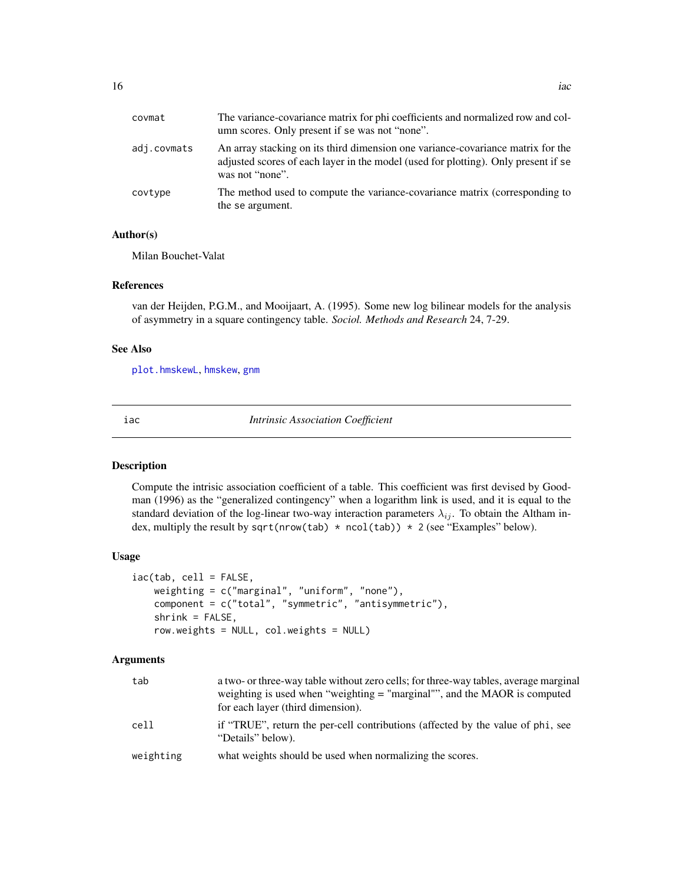<span id="page-15-0"></span>

| covmat      | The variance-covariance matrix for phi coefficients and normalized row and col-<br>umn scores. Only present if se was not "none".                                                        |
|-------------|------------------------------------------------------------------------------------------------------------------------------------------------------------------------------------------|
| adj.covmats | An array stacking on its third dimension one variance-covariance matrix for the<br>adjusted scores of each layer in the model (used for plotting). Only present if se<br>was not "none". |
| covtype     | The method used to compute the variance-covariance matrix (corresponding to<br>the se argument.                                                                                          |

#### Author(s)

Milan Bouchet-Valat

#### References

van der Heijden, P.G.M., and Mooijaart, A. (1995). Some new log bilinear models for the analysis of asymmetry in a square contingency table. *Sociol. Methods and Research* 24, 7-29.

# See Also

[plot.hmskewL](#page-20-1), [hmskew](#page-9-1), [gnm](#page-0-0)

<span id="page-15-1"></span>

iac *Intrinsic Association Coefficient*

# Description

Compute the intrisic association coefficient of a table. This coefficient was first devised by Goodman (1996) as the "generalized contingency" when a logarithm link is used, and it is equal to the standard deviation of the log-linear two-way interaction parameters  $\lambda_{ij}$ . To obtain the Altham index, multiply the result by sqrt(nrow(tab) \* ncol(tab)) \* 2 (see "Examples" below).

#### Usage

```
iac(tab, cell = FALSE,
   weighting = c("marginal", "uniform", "none"),
   component = c("total", "symmetric", "antisymmetric"),
   shrink = FALSE,
   row.weights = NULL, col.weights = NULL)
```
#### Arguments

| tab       | a two- or three-way table without zero cells; for three-way tables, average marginal<br>weighting is used when "weighting = "marginal"", and the MAOR is computed<br>for each layer (third dimension). |
|-----------|--------------------------------------------------------------------------------------------------------------------------------------------------------------------------------------------------------|
| cell      | if "TRUE", return the per-cell contributions (affected by the value of phi, see<br>"Details" below).                                                                                                   |
| weighting | what weights should be used when normalizing the scores.                                                                                                                                               |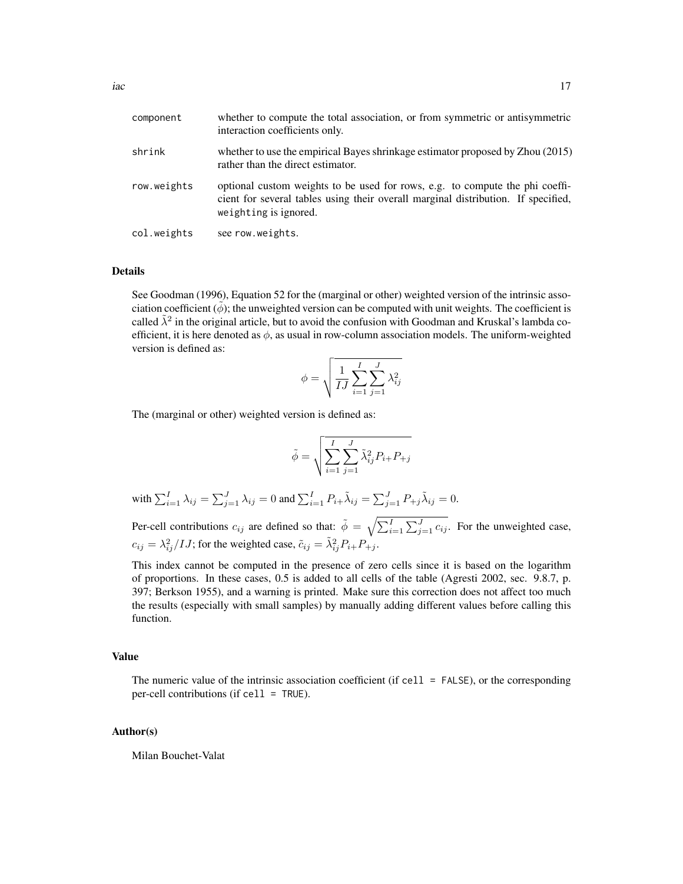| component   | whether to compute the total association, or from symmetric or antisymmetric<br>interaction coefficients only.                                                                             |
|-------------|--------------------------------------------------------------------------------------------------------------------------------------------------------------------------------------------|
| shrink      | whether to use the empirical Bayes shrinkage estimator proposed by Zhou (2015)<br>rather than the direct estimator.                                                                        |
| row.weights | optional custom weights to be used for rows, e.g. to compute the phi coeffi-<br>cient for several tables using their overall marginal distribution. If specified,<br>weighting is ignored. |
| col.weights | see row.weights.                                                                                                                                                                           |

#### Details

See Goodman (1996), Equation 52 for the (marginal or other) weighted version of the intrinsic association coefficient  $(\phi)$ ; the unweighted version can be computed with unit weights. The coefficient is called  $\tilde{\lambda}^2$  in the original article, but to avoid the confusion with Goodman and Kruskal's lambda coefficient, it is here denoted as  $\phi$ , as usual in row-column association models. The uniform-weighted version is defined as:

$$
\phi = \sqrt{\frac{1}{IJ} \sum_{i=1}^{I} \sum_{j=1}^{J} \lambda_{ij}^2}
$$

The (marginal or other) weighted version is defined as:

$$
\tilde{\phi} = \sqrt{\sum_{i=1}^{I} \sum_{j=1}^{J} \tilde{\lambda}_{ij}^2 P_{i+} P_{+j}}
$$

with  $\sum_{i=1}^{I} \lambda_{ij} = \sum_{j=1}^{J} \lambda_{ij} = 0$  and  $\sum_{i=1}^{I} P_{i+} \tilde{\lambda}_{ij} = \sum_{j=1}^{J} P_{+j} \tilde{\lambda}_{ij} = 0$ .

Per-cell contributions  $c_{ij}$  are defined so that:  $\tilde{\phi} = \sqrt{\sum_{i=1}^{I} \sum_{j=1}^{J} c_{ij}}$ . For the unweighted case,  $c_{ij} = \lambda_{ij}^2 / IJ$ ; for the weighted case,  $\tilde{c}_{ij} = \tilde{\lambda}_{ij}^2 P_{i+} P_{+j}$ .

This index cannot be computed in the presence of zero cells since it is based on the logarithm of proportions. In these cases, 0.5 is added to all cells of the table (Agresti 2002, sec. 9.8.7, p. 397; Berkson 1955), and a warning is printed. Make sure this correction does not affect too much the results (especially with small samples) by manually adding different values before calling this function.

#### Value

The numeric value of the intrinsic association coefficient (if cell  $=$  FALSE), or the corresponding per-cell contributions (if cell = TRUE).

#### Author(s)

Milan Bouchet-Valat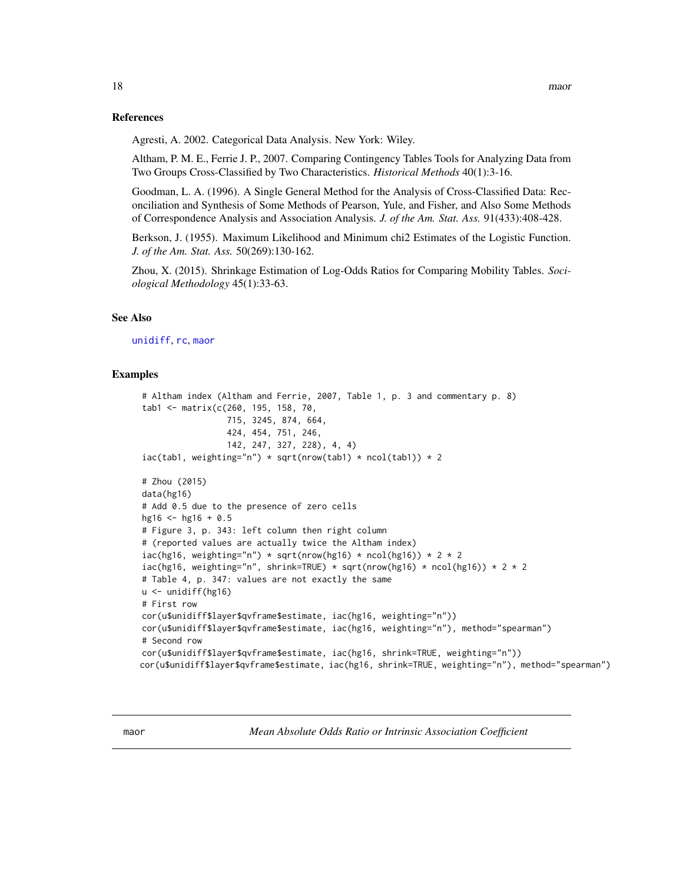#### <span id="page-17-0"></span>References

Agresti, A. 2002. Categorical Data Analysis. New York: Wiley.

Altham, P. M. E., Ferrie J. P., 2007. Comparing Contingency Tables Tools for Analyzing Data from Two Groups Cross-Classified by Two Characteristics. *Historical Methods* 40(1):3-16.

Goodman, L. A. (1996). A Single General Method for the Analysis of Cross-Classified Data: Reconciliation and Synthesis of Some Methods of Pearson, Yule, and Fisher, and Also Some Methods of Correspondence Analysis and Association Analysis. *J. of the Am. Stat. Ass.* 91(433):408-428.

Berkson, J. (1955). Maximum Likelihood and Minimum chi2 Estimates of the Logistic Function. *J. of the Am. Stat. Ass.* 50(269):130-162.

Zhou, X. (2015). Shrinkage Estimation of Log-Odds Ratios for Comparing Mobility Tables. *Sociological Methodology* 45(1):33-63.

#### See Also

[unidiff](#page-52-1), [rc](#page-27-1), [maor](#page-17-1)

#### Examples

```
# Altham index (Altham and Ferrie, 2007, Table 1, p. 3 and commentary p. 8)
tab1 <- matrix(c(260, 195, 158, 70,
                 715, 3245, 874, 664,
                 424, 454, 751, 246,
                 142, 247, 327, 228), 4, 4)
iac(tab1, weighting="n") * sqrt(nrow(tab1) * ncol(tab1)) * 2# Zhou (2015)
data(hg16)
# Add 0.5 due to the presence of zero cells
hg16 \le hg16 + 0.5
# Figure 3, p. 343: left column then right column
# (reported values are actually twice the Altham index)
iac(hg16, weighting="n") * sqrt(nrow(hg16) * ncol(hg16)) * 2 * 2iac(hg16, weighting="n", shrink=TRUE) * sqrt(nrow(hg16) * ncol(hg16)) * 2 * 2
# Table 4, p. 347: values are not exactly the same
u <- unidiff(hg16)
# First row
cor(u$unidiff$layer$qvframe$estimate, iac(hg16, weighting="n"))
cor(u$unidiff$layer$qvframe$estimate, iac(hg16, weighting="n"), method="spearman")
# Second row
cor(u$unidiff$layer$qvframe$estimate, iac(hg16, shrink=TRUE, weighting="n"))
cor(u$unidiff$layer$qvframe$estimate, iac(hg16, shrink=TRUE, weighting="n"), method="spearman")
```
<span id="page-17-1"></span>maor *Mean Absolute Odds Ratio or Intrinsic Association Coefficient*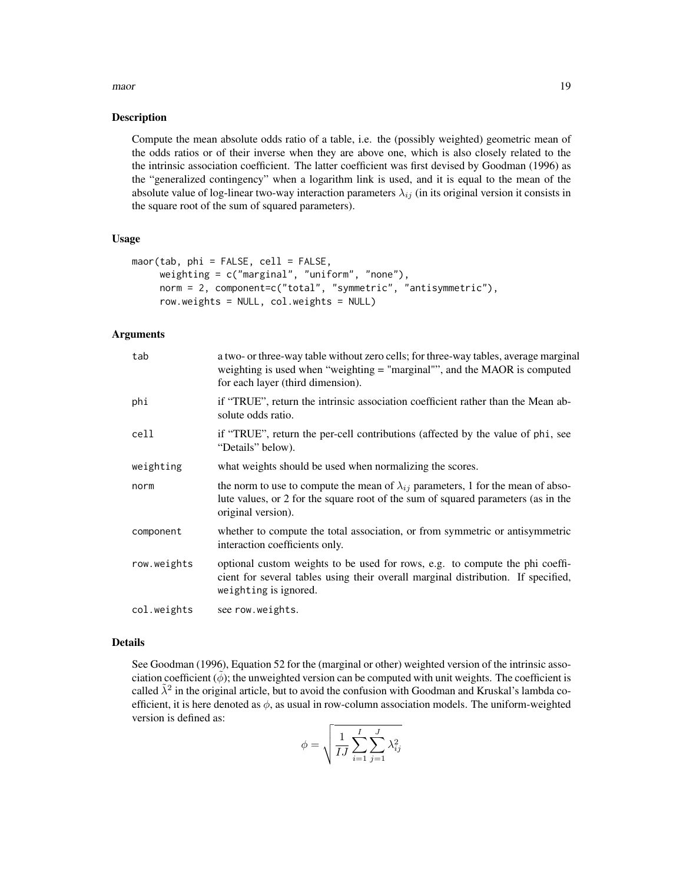#### maor and the contract of the contract of the contract of the contract of the contract of the contract of the contract of the contract of the contract of the contract of the contract of the contract of the contract of the c

#### **Description**

Compute the mean absolute odds ratio of a table, i.e. the (possibly weighted) geometric mean of the odds ratios or of their inverse when they are above one, which is also closely related to the the intrinsic association coefficient. The latter coefficient was first devised by Goodman (1996) as the "generalized contingency" when a logarithm link is used, and it is equal to the mean of the absolute value of log-linear two-way interaction parameters  $\lambda_{ij}$  (in its original version it consists in the square root of the sum of squared parameters).

#### Usage

```
maor(tab, phi = FALSE, cell = FALSE,
     weighting = c("marginal", "uniform", "none"),
     norm = 2, component=c("total", "symmetric", "antisymmetric"),
     row.weights = NULL, col.weights = NULL)
```
# Arguments

| tab         | a two- or three-way table without zero cells; for three-way tables, average marginal<br>weighting is used when "weighting $=$ "marginal"", and the MAOR is computed<br>for each layer (third dimension). |
|-------------|----------------------------------------------------------------------------------------------------------------------------------------------------------------------------------------------------------|
| phi         | if "TRUE", return the intrinsic association coefficient rather than the Mean ab-<br>solute odds ratio.                                                                                                   |
| cell        | if "TRUE", return the per-cell contributions (affected by the value of phi, see<br>"Details" below).                                                                                                     |
| weighting   | what weights should be used when normalizing the scores.                                                                                                                                                 |
| norm        | the norm to use to compute the mean of $\lambda_{ij}$ parameters, 1 for the mean of abso-<br>lute values, or 2 for the square root of the sum of squared parameters (as in the<br>original version).     |
| component   | whether to compute the total association, or from symmetric or antisymmetric<br>interaction coefficients only.                                                                                           |
| row.weights | optional custom weights to be used for rows, e.g. to compute the phi coeffi-<br>cient for several tables using their overall marginal distribution. If specified,<br>weighting is ignored.               |
| col.weights | see row.weights.                                                                                                                                                                                         |

#### Details

See Goodman (1996), Equation 52 for the (marginal or other) weighted version of the intrinsic association coefficient  $(\phi)$ ; the unweighted version can be computed with unit weights. The coefficient is called  $\tilde{\lambda}^2$  in the original article, but to avoid the confusion with Goodman and Kruskal's lambda coefficient, it is here denoted as  $\phi$ , as usual in row-column association models. The uniform-weighted version is defined as:

$$
\phi = \sqrt{\frac{1}{IJ} \sum_{i=1}^{I} \sum_{j=1}^{J} \lambda_{ij}^2}
$$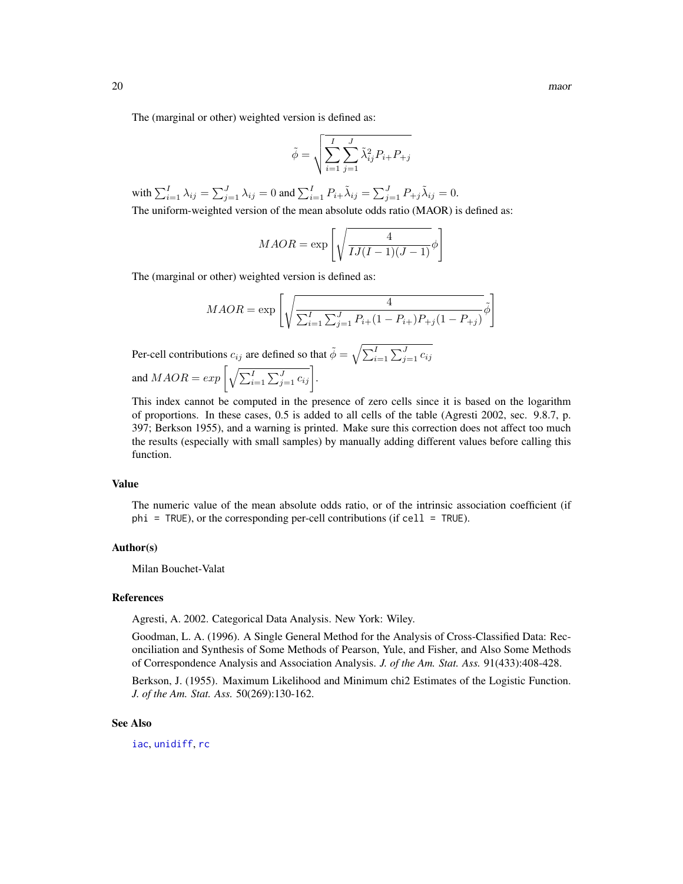<span id="page-19-0"></span>The (marginal or other) weighted version is defined as:

$$
\tilde{\phi} = \sqrt{\sum_{i=1}^{I} \sum_{j=1}^{J} \tilde{\lambda}_{ij}^2 P_{i+} P_{+j}}
$$

with  $\sum_{i=1}^{I} \lambda_{ij} = \sum_{j=1}^{J} \lambda_{ij} = 0$  and  $\sum_{i=1}^{I} P_{i+} \tilde{\lambda}_{ij} = \sum_{j=1}^{J} P_{+j} \tilde{\lambda}_{ij} = 0$ . The uniform-weighted version of the mean absolute odds ratio (MAOR) is defined as:

$$
MAOR = \exp\left[\sqrt{\frac{4}{IJ(I-1)(J-1)}}\phi\right]
$$

The (marginal or other) weighted version is defined as:

$$
MAOR = \exp\left[\sqrt{\frac{4}{\sum_{i=1}^{I} \sum_{j=1}^{J} P_{i+}(1 - P_{i+})P_{+j}(1 - P_{+j})}}\tilde{\phi}\right]
$$

Per-cell contributions  $c_{ij}$  are defined so that  $\tilde{\phi} = \sqrt{\sum_{i=1}^{I} \sum_{j=1}^{J} c_{ij}}$ and  $MAOR = exp\left[\sqrt{\sum_{i=1}^{I} \sum_{j=1}^{J} c_{ij}}\right]$ .

This index cannot be computed in the presence of zero cells since it is based on the logarithm of proportions. In these cases, 0.5 is added to all cells of the table (Agresti 2002, sec. 9.8.7, p. 397; Berkson 1955), and a warning is printed. Make sure this correction does not affect too much the results (especially with small samples) by manually adding different values before calling this function.

# Value

The numeric value of the mean absolute odds ratio, or of the intrinsic association coefficient (if  $phi = TRUE$ ), or the corresponding per-cell contributions (if cell = TRUE).

#### Author(s)

Milan Bouchet-Valat

#### References

Agresti, A. 2002. Categorical Data Analysis. New York: Wiley.

Goodman, L. A. (1996). A Single General Method for the Analysis of Cross-Classified Data: Reconciliation and Synthesis of Some Methods of Pearson, Yule, and Fisher, and Also Some Methods of Correspondence Analysis and Association Analysis. *J. of the Am. Stat. Ass.* 91(433):408-428.

Berkson, J. (1955). Maximum Likelihood and Minimum chi2 Estimates of the Logistic Function. *J. of the Am. Stat. Ass.* 50(269):130-162.

#### See Also

[iac](#page-15-1), [unidiff](#page-52-1), [rc](#page-27-1)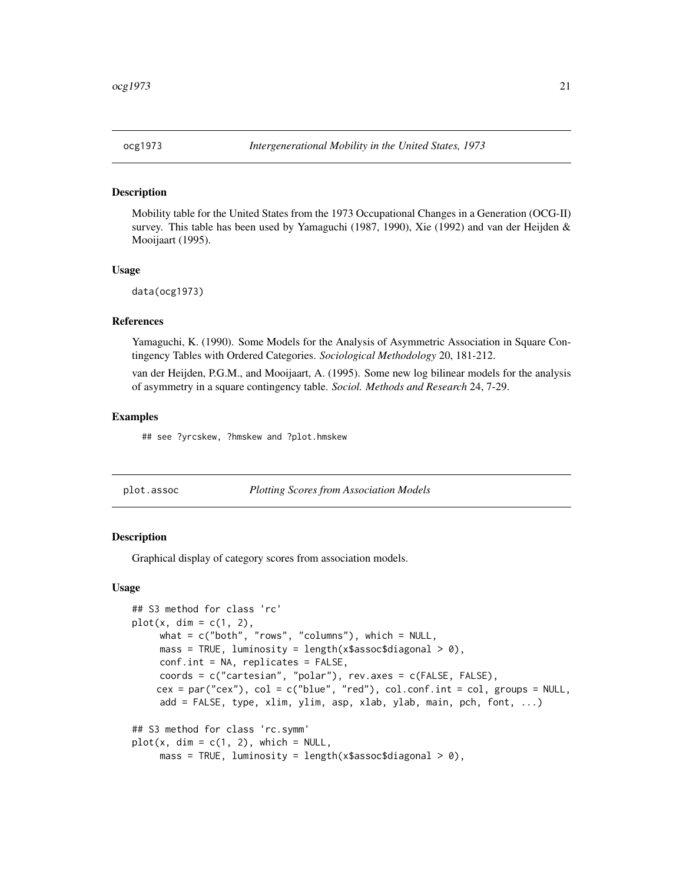<span id="page-20-0"></span>

#### Description

Mobility table for the United States from the 1973 Occupational Changes in a Generation (OCG-II) survey. This table has been used by Yamaguchi (1987, 1990), Xie (1992) and van der Heijden & Mooijaart (1995).

#### Usage

data(ocg1973)

#### References

Yamaguchi, K. (1990). Some Models for the Analysis of Asymmetric Association in Square Contingency Tables with Ordered Categories. *Sociological Methodology* 20, 181-212.

van der Heijden, P.G.M., and Mooijaart, A. (1995). Some new log bilinear models for the analysis of asymmetry in a square contingency table. *Sociol. Methods and Research* 24, 7-29.

#### Examples

## see ?yrcskew, ?hmskew and ?plot.hmskew

<span id="page-20-2"></span>

|  | plot.assoc |  |
|--|------------|--|
|--|------------|--|

Plotting Scores from Association Models

#### <span id="page-20-1"></span>**Description**

Graphical display of category scores from association models.

#### Usage

```
## S3 method for class 'rc'
plot(x, dim = c(1, 2),what = c("both", "rows", "columns"), which = NULL,mass = TRUE, luminosity = length(x$assoc$diagonal > 0),
     conf.int = NA, replicates = FALSE,
     coords = c("cartesian", "polar"), rev.axes = c(FALSE, FALSE),
    cex = par("cex"), col = c("blue", "red"), col.config in t = col, groups = NULL,add = FALSE, type, xlim, ylim, asp, xlab, ylab, main, pch, font, ...)
## S3 method for class 'rc.symm'
plot(x, dim = c(1, 2), which = NULL,mass = TRUE, luminosity = length(x$assoc$diagonal > 0),
```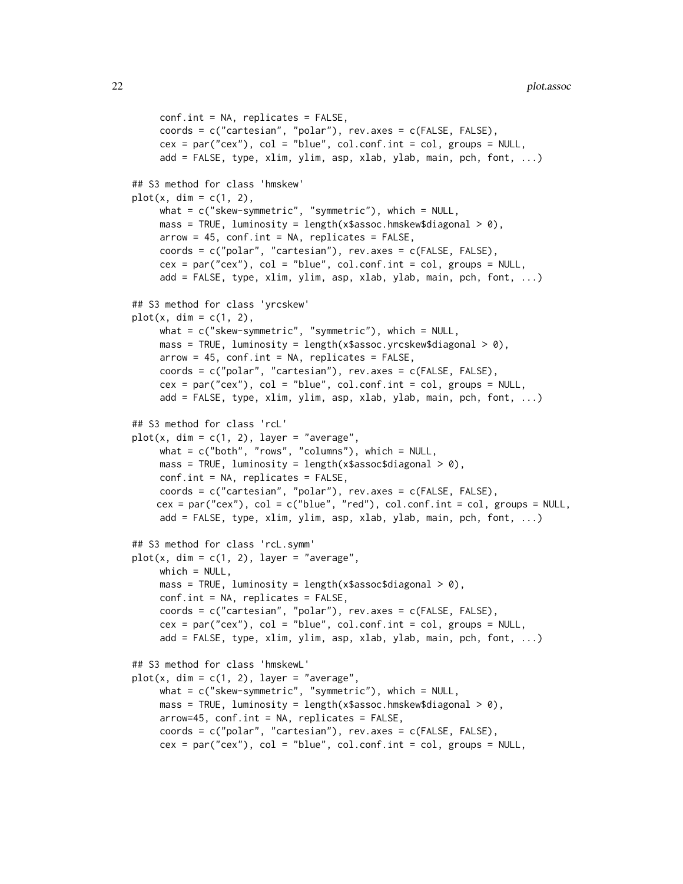```
conf.int = NA, replicates = FALSE,
     coords = c("cartesian", "polar"), rev.axes = c(FALSE, FALSE),
     cex = par("cex"), col = "blue", col.config not = col, groups = NULLadd = FALSE, type, xlim, ylim, asp, xlab, ylab, main, pch, font, ...)
## S3 method for class 'hmskew'
plot(x, dim = c(1, 2),what = c("skew-symmetric", "symmetric"), which = NULL,
     mass = TRUE, luminosity = length(x$assoc.hmskew$diagonal > 0),
     arrow = 45, conf.int = NA, replicates = FALSE,
     coords = c("polar", "cartesian"), rev.axes = c(FALSE, FALSE),
     cex = par("cex"), col = "blue", col.config.int = col, groups = NULL,add = FALSE, type, xlim, ylim, asp, xlab, ylab, main, pch, font, ...)
## S3 method for class 'yrcskew'
plot(x, dim = c(1, 2),what = c("skew-symmetric", "symmetric"), which = NULL,
     mass = TRUE, luminosity = length(x$assoc.yrcskew$diagonal > 0),
     arrow = 45, conf.int = NA, replicates = FALSE,
     coords = c("polar", "cartesian"), rev.axes = c(FALSE, FALSE),
     cex = par("cex"), col = "blue", col.config.int = col, groups = NULL,add = FALSE, type, xlim, ylim, asp, xlab, ylab, main, pch, font, ...)
## S3 method for class 'rcL'
plot(x, dim = c(1, 2), layer = "average",what = c("both", "rows", "columns"), which = NULL,mass = TRUE, luminosity = length(x$assoc$diagonal > 0),
     conf.int = NA, replicates = FALSE,
     coords = c("cartesian", "polar"), rev.axes = c(FALSE, FALSE),
    cex = par("cex"), col = c("blue", "red"), col.config int = col, groups = NULL,add = FALSE, type, xlim, ylim, asp, xlab, ylab, main, pch, font, ...)
## S3 method for class 'rcL.symm'
plot(x, dim = c(1, 2), layer = "average",which = NULL,
     mass = TRUE, luminosity = length(x$assoc$diagonal > 0),
     conf.int = NA, replicates = FALSE,
     coords = c("cartesian", "polar"), rev.axes = c(FALSE, FALSE),
     cex = par("cex"), col = "blue", col.config.int = col, groups = NULL,add = FALSE, type, xlim, ylim, asp, xlab, ylab, main, pch, font, ...)
## S3 method for class 'hmskewL'
plot(x, dim = c(1, 2), layer = "average",what = c("skew-symmetric", "symmetric"), which = NULL,
     mass = TRUE, luminosity = length(x$assoc.hmskew$diagonal > 0),
     arrow=45, conf.int = NA, replicates = FALSE,
     coords = c("polar", "cartesian"), rev.axes = c(FALSE, FALSE),
     cex = par("cex"), col = "blue", col.config in t = col, groups = NULL,
```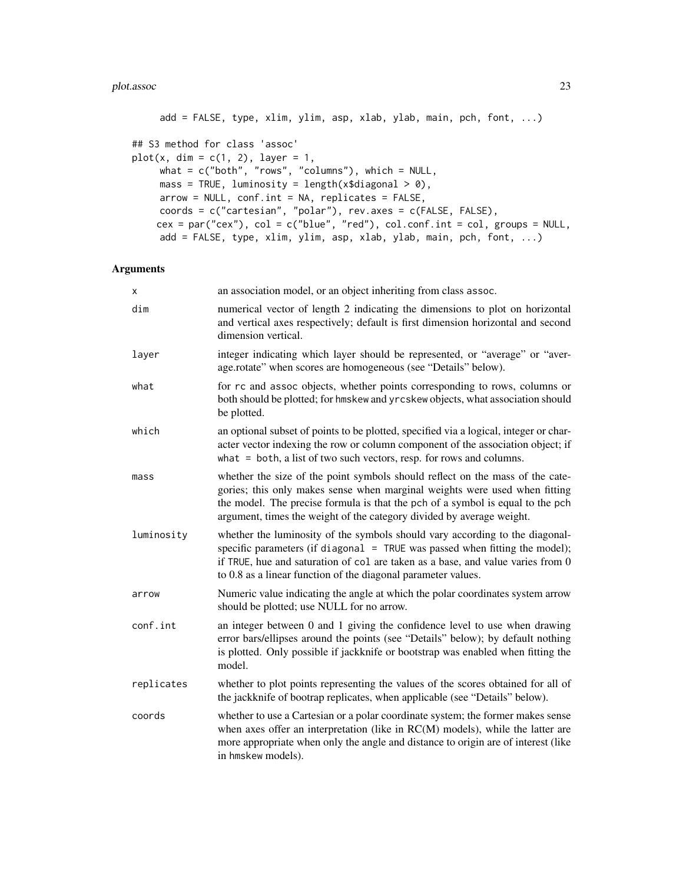#### plot.assoc 23

```
add = FALSE, type, xlim, ylim, asp, xlab, ylab, main, pch, font, ...)
## S3 method for class 'assoc'
plot(x, dim = c(1, 2), layer = 1,what = c("both", "rows", "columns"), which = NULL,
     mass = TRUE, luminosity = length(x$diagonal > 0),
     arrow = NULL, conf.int = NA, replicates = FALSE,
     coords = c("cartesian", "polar"), rev.axes = c(FALSE, FALSE),
    cex = par("cex"), col = c("blue", "red"), col.config.out = col, groups = NULL,add = FALSE, type, xlim, ylim, asp, xlab, ylab, main, pch, font, ...)
```
# Arguments

| x          | an association model, or an object inheriting from class assoc.                                                                                                                                                                                                                                                        |
|------------|------------------------------------------------------------------------------------------------------------------------------------------------------------------------------------------------------------------------------------------------------------------------------------------------------------------------|
| dim        | numerical vector of length 2 indicating the dimensions to plot on horizontal<br>and vertical axes respectively; default is first dimension horizontal and second<br>dimension vertical.                                                                                                                                |
| layer      | integer indicating which layer should be represented, or "average" or "aver-<br>age.rotate" when scores are homogeneous (see "Details" below).                                                                                                                                                                         |
| what       | for rc and assoc objects, whether points corresponding to rows, columns or<br>both should be plotted; for hmskew and yrcskew objects, what association should<br>be plotted.                                                                                                                                           |
| which      | an optional subset of points to be plotted, specified via a logical, integer or char-<br>acter vector indexing the row or column component of the association object; if<br>what $=$ both, a list of two such vectors, resp. for rows and columns.                                                                     |
| mass       | whether the size of the point symbols should reflect on the mass of the cate-<br>gories; this only makes sense when marginal weights were used when fitting<br>the model. The precise formula is that the pch of a symbol is equal to the pch<br>argument, times the weight of the category divided by average weight. |
| luminosity | whether the luminosity of the symbols should vary according to the diagonal-<br>specific parameters (if diagonal = TRUE was passed when fitting the model);<br>if TRUE, hue and saturation of col are taken as a base, and value varies from 0<br>to 0.8 as a linear function of the diagonal parameter values.        |
| arrow      | Numeric value indicating the angle at which the polar coordinates system arrow<br>should be plotted; use NULL for no arrow.                                                                                                                                                                                            |
| conf.int   | an integer between 0 and 1 giving the confidence level to use when drawing<br>error bars/ellipses around the points (see "Details" below); by default nothing<br>is plotted. Only possible if jackknife or bootstrap was enabled when fitting the<br>model.                                                            |
| replicates | whether to plot points representing the values of the scores obtained for all of<br>the jackknife of bootrap replicates, when applicable (see "Details" below).                                                                                                                                                        |
| coords     | whether to use a Cartesian or a polar coordinate system; the former makes sense<br>when axes offer an interpretation (like in RC(M) models), while the latter are<br>more appropriate when only the angle and distance to origin are of interest (like<br>in hmskew models).                                           |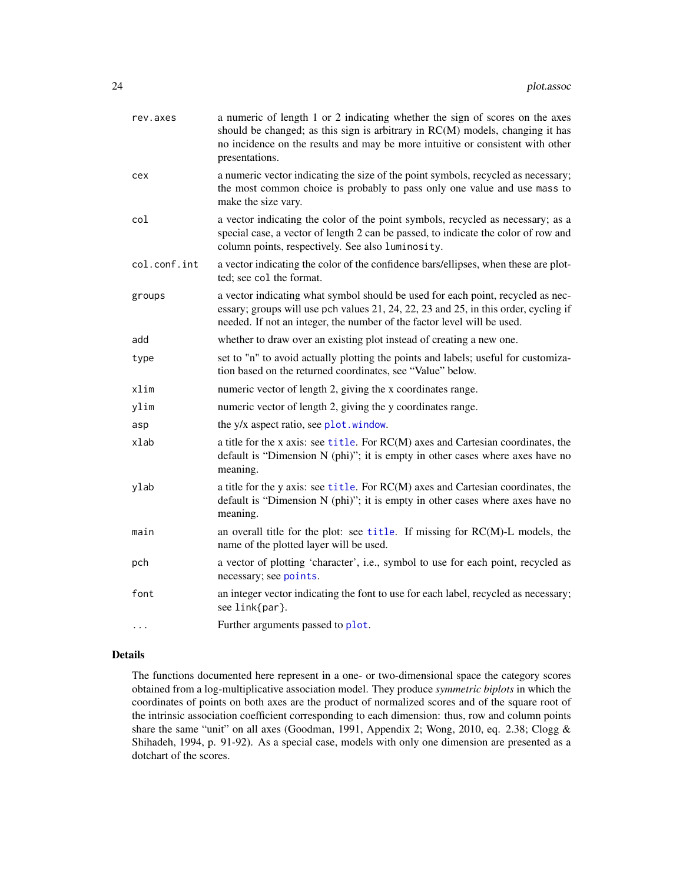<span id="page-23-0"></span>

| rev.axes     | a numeric of length 1 or 2 indicating whether the sign of scores on the axes<br>should be changed; as this sign is arbitrary in RC(M) models, changing it has<br>no incidence on the results and may be more intuitive or consistent with other<br>presentations. |
|--------------|-------------------------------------------------------------------------------------------------------------------------------------------------------------------------------------------------------------------------------------------------------------------|
| cex          | a numeric vector indicating the size of the point symbols, recycled as necessary;<br>the most common choice is probably to pass only one value and use mass to<br>make the size vary.                                                                             |
| col          | a vector indicating the color of the point symbols, recycled as necessary; as a<br>special case, a vector of length 2 can be passed, to indicate the color of row and<br>column points, respectively. See also luminosity.                                        |
| col.conf.int | a vector indicating the color of the confidence bars/ellipses, when these are plot-<br>ted; see col the format.                                                                                                                                                   |
| groups       | a vector indicating what symbol should be used for each point, recycled as nec-<br>essary; groups will use pch values 21, 24, 22, 23 and 25, in this order, cycling if<br>needed. If not an integer, the number of the factor level will be used.                 |
| add          | whether to draw over an existing plot instead of creating a new one.                                                                                                                                                                                              |
| type         | set to "n" to avoid actually plotting the points and labels; useful for customiza-<br>tion based on the returned coordinates, see "Value" below.                                                                                                                  |
| xlim         | numeric vector of length 2, giving the x coordinates range.                                                                                                                                                                                                       |
| ylim         | numeric vector of length 2, giving the y coordinates range.                                                                                                                                                                                                       |
| asp          | the y/x aspect ratio, see plot.window.                                                                                                                                                                                                                            |
| xlab         | a title for the x axis: see title. For RC(M) axes and Cartesian coordinates, the<br>default is "Dimension N (phi)"; it is empty in other cases where axes have no<br>meaning.                                                                                     |
| ylab         | a title for the y axis: see title. For RC(M) axes and Cartesian coordinates, the<br>default is "Dimension N (phi)"; it is empty in other cases where axes have no<br>meaning.                                                                                     |
| main         | an overall title for the plot: see title. If missing for RC(M)-L models, the<br>name of the plotted layer will be used.                                                                                                                                           |
| pch          | a vector of plotting 'character', i.e., symbol to use for each point, recycled as<br>necessary; see points.                                                                                                                                                       |
| font         | an integer vector indicating the font to use for each label, recycled as necessary;<br>see link{par}.                                                                                                                                                             |
| $\cdots$     | Further arguments passed to plot.                                                                                                                                                                                                                                 |

#### Details

The functions documented here represent in a one- or two-dimensional space the category scores obtained from a log-multiplicative association model. They produce *symmetric biplots* in which the coordinates of points on both axes are the product of normalized scores and of the square root of the intrinsic association coefficient corresponding to each dimension: thus, row and column points share the same "unit" on all axes (Goodman, 1991, Appendix 2; Wong, 2010, eq. 2.38; Clogg & Shihadeh, 1994, p. 91-92). As a special case, models with only one dimension are presented as a dotchart of the scores.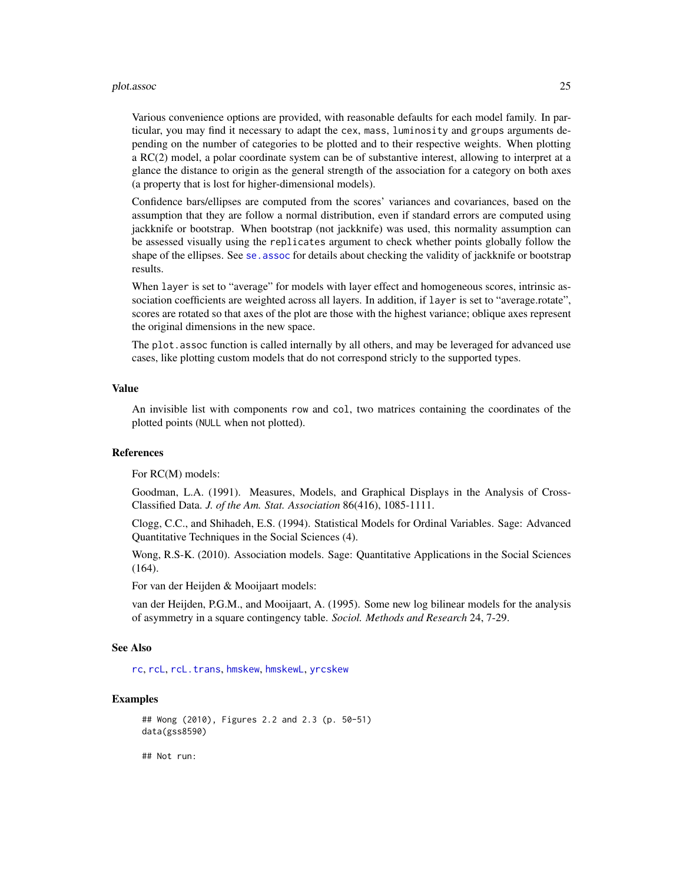#### <span id="page-24-0"></span>plot.assoc 25

Various convenience options are provided, with reasonable defaults for each model family. In particular, you may find it necessary to adapt the cex, mass, luminosity and groups arguments depending on the number of categories to be plotted and to their respective weights. When plotting a RC(2) model, a polar coordinate system can be of substantive interest, allowing to interpret at a glance the distance to origin as the general strength of the association for a category on both axes (a property that is lost for higher-dimensional models).

Confidence bars/ellipses are computed from the scores' variances and covariances, based on the assumption that they are follow a normal distribution, even if standard errors are computed using jackknife or bootstrap. When bootstrap (not jackknife) was used, this normality assumption can be assessed visually using the replicates argument to check whether points globally follow the shape of the ellipses. See [se.assoc](#page-39-1) for details about checking the validity of jackknife or bootstrap results.

When layer is set to "average" for models with layer effect and homogeneous scores, intrinsic association coefficients are weighted across all layers. In addition, if layer is set to "average.rotate", scores are rotated so that axes of the plot are those with the highest variance; oblique axes represent the original dimensions in the new space.

The plot.assoc function is called internally by all others, and may be leveraged for advanced use cases, like plotting custom models that do not correspond stricly to the supported types.

#### Value

An invisible list with components row and col, two matrices containing the coordinates of the plotted points (NULL when not plotted).

#### References

For RC(M) models:

Goodman, L.A. (1991). Measures, Models, and Graphical Displays in the Analysis of Cross-Classified Data. *J. of the Am. Stat. Association* 86(416), 1085-1111.

Clogg, C.C., and Shihadeh, E.S. (1994). Statistical Models for Ordinal Variables. Sage: Advanced Quantitative Techniques in the Social Sciences (4).

Wong, R.S-K. (2010). Association models. Sage: Quantitative Applications in the Social Sciences (164).

For van der Heijden & Mooijaart models:

van der Heijden, P.G.M., and Mooijaart, A. (1995). Some new log bilinear models for the analysis of asymmetry in a square contingency table. *Sociol. Methods and Research* 24, 7-29.

#### See Also

[rc](#page-27-1), [rcL](#page-32-1), [rcL.trans](#page-35-1), [hmskew](#page-9-1), [hmskewL](#page-12-1), [yrcskew](#page-56-1)

#### Examples

```
## Wong (2010), Figures 2.2 and 2.3 (p. 50-51)
data(gss8590)
```
## Not run: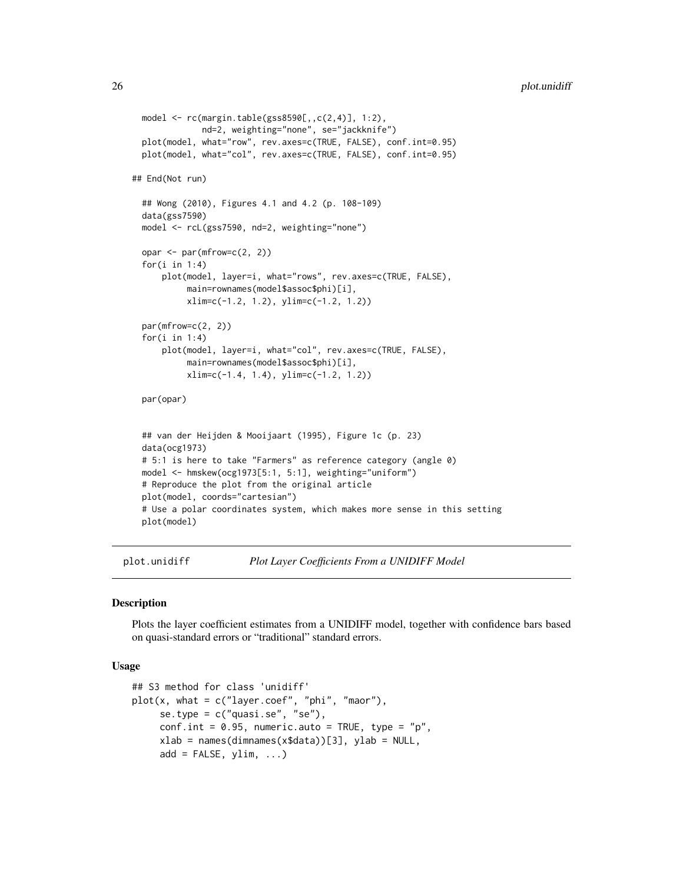```
model <- rc(margin.table(gss8590[,,c(2,4)], 1:2),
             nd=2, weighting="none", se="jackknife")
 plot(model, what="row", rev.axes=c(TRUE, FALSE), conf.int=0.95)
 plot(model, what="col", rev.axes=c(TRUE, FALSE), conf.int=0.95)
## End(Not run)
 ## Wong (2010), Figures 4.1 and 4.2 (p. 108-109)
 data(gss7590)
 model <- rcL(gss7590, nd=2, weighting="none")
 opar <- par(mfrow=c(2, 2))
 for(i in 1:4)
     plot(model, layer=i, what="rows", rev.axes=c(TRUE, FALSE),
          main=rownames(model$assoc$phi)[i],
          xlim=c(-1.2, 1.2), ylim=c(-1.2, 1.2))
 par(mfrow=c(2, 2))
 for(i in 1:4)
     plot(model, layer=i, what="col", rev.axes=c(TRUE, FALSE),
          main=rownames(model$assoc$phi)[i],
          xlim=c(-1.4, 1.4), ylim=c(-1.2, 1.2))
 par(opar)
 ## van der Heijden & Mooijaart (1995), Figure 1c (p. 23)
 data(ocg1973)
 # 5:1 is here to take "Farmers" as reference category (angle 0)
 model <- hmskew(ocg1973[5:1, 5:1], weighting="uniform")
 # Reproduce the plot from the original article
 plot(model, coords="cartesian")
 # Use a polar coordinates system, which makes more sense in this setting
 plot(model)
```
<span id="page-25-1"></span>plot.unidiff *Plot Layer Coefficients From a UNIDIFF Model*

#### **Description**

Plots the layer coefficient estimates from a UNIDIFF model, together with confidence bars based on quasi-standard errors or "traditional" standard errors.

#### Usage

```
## S3 method for class 'unidiff'
plot(x, what = c("layer.coef", "phi", "maor"),se.type = c("quasi.se", "se"),
    conf.int = 0.95, numeric.auto = TRUE, type = "p",
    xlab = names(dimnames(x$data))[3], ylab = NULL,add = FALSE, ylim, ...)
```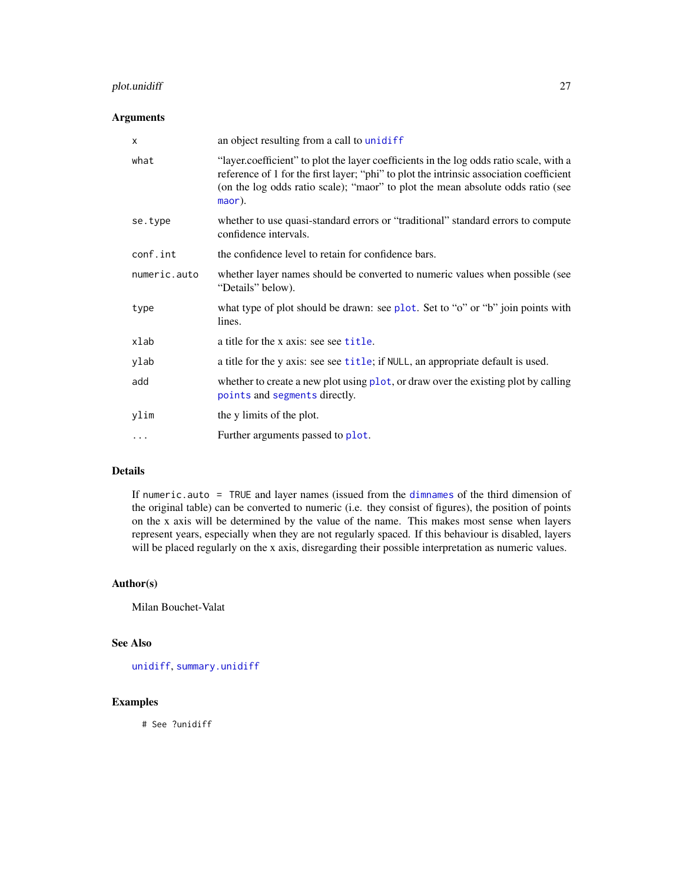# <span id="page-26-0"></span>plot.unidiff 27

# Arguments

| X            | an object resulting from a call to unidiff                                                                                                                                                                                                                                     |
|--------------|--------------------------------------------------------------------------------------------------------------------------------------------------------------------------------------------------------------------------------------------------------------------------------|
| what         | "layer.coefficient" to plot the layer coefficients in the log odds ratio scale, with a<br>reference of 1 for the first layer; "phi" to plot the intrinsic association coefficient<br>(on the log odds ratio scale); "maor" to plot the mean absolute odds ratio (see<br>maor). |
| se.type      | whether to use quasi-standard errors or "traditional" standard errors to compute<br>confidence intervals.                                                                                                                                                                      |
| conf.int     | the confidence level to retain for confidence bars.                                                                                                                                                                                                                            |
| numeric.auto | whether layer names should be converted to numeric values when possible (see<br>"Details" below).                                                                                                                                                                              |
| type         | what type of plot should be drawn: see plot. Set to "o" or "b" join points with<br>lines.                                                                                                                                                                                      |
| xlab         | a title for the x axis: see see title.                                                                                                                                                                                                                                         |
| ylab         | a title for the y axis: see see title; if NULL, an appropriate default is used.                                                                                                                                                                                                |
| add          | whether to create a new plot using plot, or draw over the existing plot by calling<br>points and segments directly.                                                                                                                                                            |
| ylim         | the y limits of the plot.                                                                                                                                                                                                                                                      |
| $\cdots$     | Further arguments passed to plot.                                                                                                                                                                                                                                              |

# Details

If numeric.auto = TRUE and layer names (issued from the [dimnames](#page-0-0) of the third dimension of the original table) can be converted to numeric (i.e. they consist of figures), the position of points on the x axis will be determined by the value of the name. This makes most sense when layers represent years, especially when they are not regularly spaced. If this behaviour is disabled, layers will be placed regularly on the x axis, disregarding their possible interpretation as numeric values.

# Author(s)

Milan Bouchet-Valat

# See Also

[unidiff](#page-52-1), [summary.unidiff](#page-44-1)

# Examples

# See ?unidiff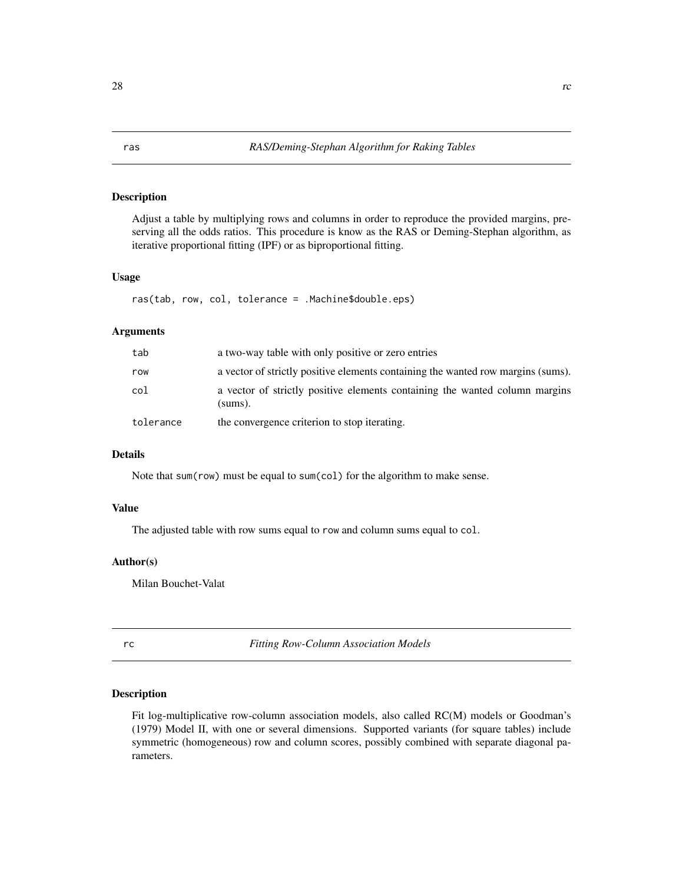# <span id="page-27-0"></span>Description

Adjust a table by multiplying rows and columns in order to reproduce the provided margins, preserving all the odds ratios. This procedure is know as the RAS or Deming-Stephan algorithm, as iterative proportional fitting (IPF) or as biproportional fitting.

#### Usage

ras(tab, row, col, tolerance = .Machine\$double.eps)

# Arguments

| tab       | a two-way table with only positive or zero entries                                     |
|-----------|----------------------------------------------------------------------------------------|
| row       | a vector of strictly positive elements containing the wanted row margins (sums).       |
| col       | a vector of strictly positive elements containing the wanted column margins<br>(sums). |
| tolerance | the convergence criterion to stop iterating.                                           |

#### Details

Note that sum(row) must be equal to sum(col) for the algorithm to make sense.

#### Value

The adjusted table with row sums equal to row and column sums equal to col.

#### Author(s)

Milan Bouchet-Valat

<span id="page-27-1"></span>rc *Fitting Row-Column Association Models*

# Description

Fit log-multiplicative row-column association models, also called RC(M) models or Goodman's (1979) Model II, with one or several dimensions. Supported variants (for square tables) include symmetric (homogeneous) row and column scores, possibly combined with separate diagonal parameters.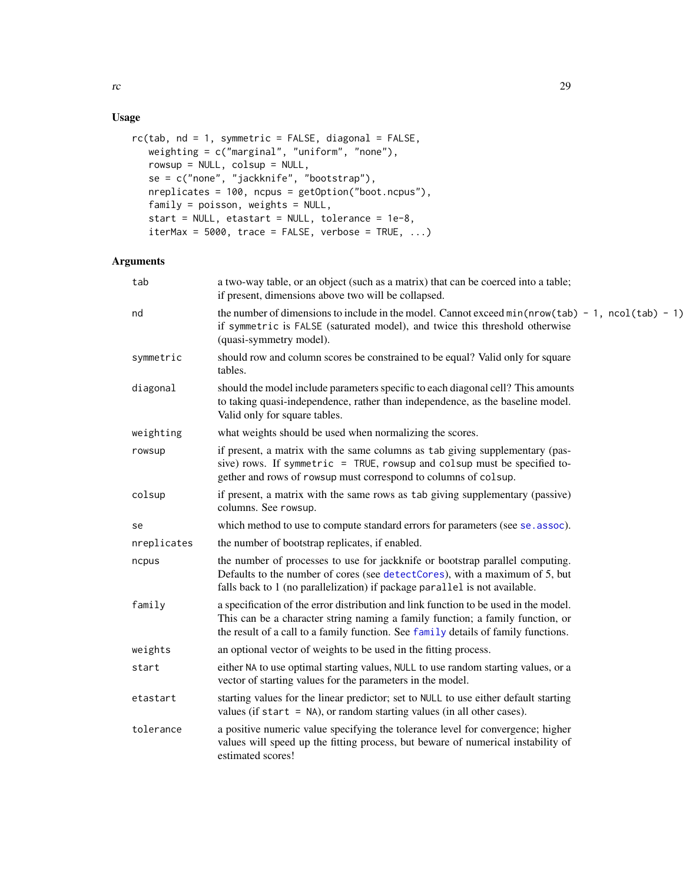# Usage

```
rc(tab, nd = 1, symmetric = FALSE, diagonal = FALSE,weighting = c("marginal", "uniform", "none"),
  rowsup = NULL, colsup = NULL,
   se = c("none", "jackknife", "bootstrap"),
   nreplicates = 100, ncpus = getOption("boot.ncpus"),
   family = poisson, weights = NULL,start = NULL, etastart = NULL, tolerance = 1e-8,
   iterMax = 5000, trace = FALSE, verbase = TRUE, ...)
```
# Arguments

| tab         | a two-way table, or an object (such as a matrix) that can be coerced into a table;<br>if present, dimensions above two will be collapsed.                                                                                                                    |
|-------------|--------------------------------------------------------------------------------------------------------------------------------------------------------------------------------------------------------------------------------------------------------------|
| nd          | the number of dimensions to include in the model. Cannot exceed $min(nrow(tab) - 1, ncol(tab) - 1)$<br>if symmetric is FALSE (saturated model), and twice this threshold otherwise<br>(quasi-symmetry model).                                                |
| symmetric   | should row and column scores be constrained to be equal? Valid only for square<br>tables.                                                                                                                                                                    |
| diagonal    | should the model include parameters specific to each diagonal cell? This amounts<br>to taking quasi-independence, rather than independence, as the baseline model.<br>Valid only for square tables.                                                          |
| weighting   | what weights should be used when normalizing the scores.                                                                                                                                                                                                     |
| rowsup      | if present, a matrix with the same columns as tab giving supplementary (pas-<br>sive) rows. If symmetric = TRUE, rowsup and colsup must be specified to-<br>gether and rows of rowsup must correspond to columns of colsup.                                  |
| colsup      | if present, a matrix with the same rows as tab giving supplementary (passive)<br>columns. See rowsup.                                                                                                                                                        |
| se          | which method to use to compute standard errors for parameters (see se. assoc).                                                                                                                                                                               |
| nreplicates | the number of bootstrap replicates, if enabled.                                                                                                                                                                                                              |
| ncpus       | the number of processes to use for jackknife or bootstrap parallel computing.<br>Defaults to the number of cores (see detectCores), with a maximum of 5, but<br>falls back to 1 (no parallelization) if package parallel is not available.                   |
| family      | a specification of the error distribution and link function to be used in the model.<br>This can be a character string naming a family function; a family function, or<br>the result of a call to a family function. See family details of family functions. |
| weights     | an optional vector of weights to be used in the fitting process.                                                                                                                                                                                             |
| start       | either NA to use optimal starting values, NULL to use random starting values, or a<br>vector of starting values for the parameters in the model.                                                                                                             |
| etastart    | starting values for the linear predictor; set to NULL to use either default starting<br>values (if start $=$ NA), or random starting values (in all other cases).                                                                                            |
| tolerance   | a positive numeric value specifying the tolerance level for convergence; higher<br>values will speed up the fitting process, but beware of numerical instability of<br>estimated scores!                                                                     |

<span id="page-28-0"></span>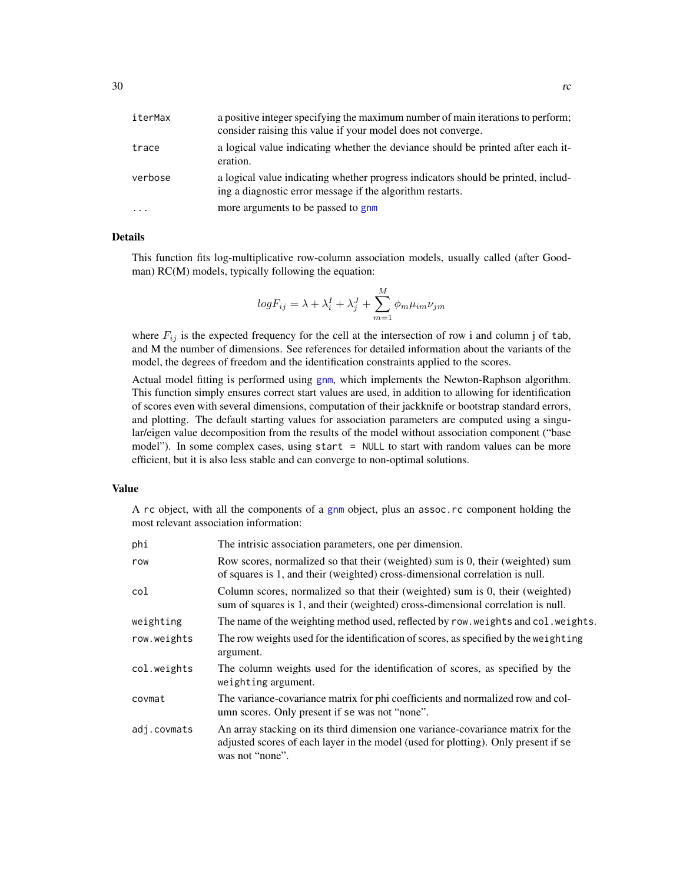<span id="page-29-0"></span>

| iterMax  | a positive integer specifying the maximum number of main iterations to perform;<br>consider raising this value if your model does not converge. |
|----------|-------------------------------------------------------------------------------------------------------------------------------------------------|
| trace    | a logical value indicating whether the deviance should be printed after each it-<br>eration.                                                    |
| verbose  | a logical value indicating whether progress indicators should be printed, includ-<br>ing a diagnostic error message if the algorithm restarts.  |
| $\cdots$ | more arguments to be passed to gnm                                                                                                              |

#### Details

This function fits log-multiplicative row-column association models, usually called (after Goodman) RC(M) models, typically following the equation:

$$
logF_{ij} = \lambda + \lambda_i^I + \lambda_j^J + \sum_{m=1}^{M} \phi_m \mu_{im} \nu_{jm}
$$

where  $F_{ij}$  is the expected frequency for the cell at the intersection of row i and column j of tab, and M the number of dimensions. See references for detailed information about the variants of the model, the degrees of freedom and the identification constraints applied to the scores.

Actual model fitting is performed using [gnm](#page-0-0), which implements the Newton-Raphson algorithm. This function simply ensures correct start values are used, in addition to allowing for identification of scores even with several dimensions, computation of their jackknife or bootstrap standard errors, and plotting. The default starting values for association parameters are computed using a singular/eigen value decomposition from the results of the model without association component ("base model"). In some complex cases, using start = NULL to start with random values can be more efficient, but it is also less stable and can converge to non-optimal solutions.

#### Value

A rc object, with all the components of a [gnm](#page-0-0) object, plus an assoc.rc component holding the most relevant association information:

| phi         | The intrisic association parameters, one per dimension.                                                                                                                                  |
|-------------|------------------------------------------------------------------------------------------------------------------------------------------------------------------------------------------|
| row         | Row scores, normalized so that their (weighted) sum is 0, their (weighted) sum<br>of squares is 1, and their (weighted) cross-dimensional correlation is null.                           |
| col         | Column scores, normalized so that their (weighted) sum is 0, their (weighted)<br>sum of squares is 1, and their (weighted) cross-dimensional correlation is null.                        |
| weighting   | The name of the weighting method used, reflected by row. weights and col. weights.                                                                                                       |
| row.weights | The row weights used for the identification of scores, as specified by the weighting<br>argument.                                                                                        |
| col.weights | The column weights used for the identification of scores, as specified by the<br>weighting argument.                                                                                     |
| covmat      | The variance-covariance matrix for phi coefficients and normalized row and col-<br>umn scores. Only present if se was not "none".                                                        |
| adj.covmats | An array stacking on its third dimension one variance-covariance matrix for the<br>adjusted scores of each layer in the model (used for plotting). Only present if se<br>was not "none". |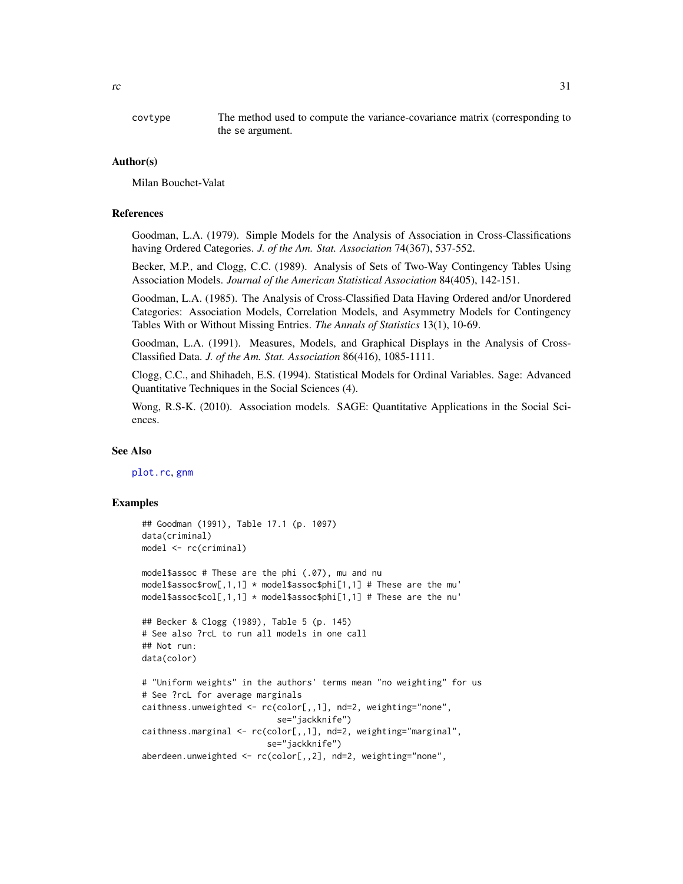<span id="page-30-0"></span>covtype The method used to compute the variance-covariance matrix (corresponding to the se argument.

#### Author(s)

Milan Bouchet-Valat

#### References

Goodman, L.A. (1979). Simple Models for the Analysis of Association in Cross-Classifications having Ordered Categories. *J. of the Am. Stat. Association* 74(367), 537-552.

Becker, M.P., and Clogg, C.C. (1989). Analysis of Sets of Two-Way Contingency Tables Using Association Models. *Journal of the American Statistical Association* 84(405), 142-151.

Goodman, L.A. (1985). The Analysis of Cross-Classified Data Having Ordered and/or Unordered Categories: Association Models, Correlation Models, and Asymmetry Models for Contingency Tables With or Without Missing Entries. *The Annals of Statistics* 13(1), 10-69.

Goodman, L.A. (1991). Measures, Models, and Graphical Displays in the Analysis of Cross-Classified Data. *J. of the Am. Stat. Association* 86(416), 1085-1111.

Clogg, C.C., and Shihadeh, E.S. (1994). Statistical Models for Ordinal Variables. Sage: Advanced Quantitative Techniques in the Social Sciences (4).

Wong, R.S-K. (2010). Association models. SAGE: Quantitative Applications in the Social Sciences.

#### See Also

[plot.rc](#page-20-1), [gnm](#page-0-0)

#### Examples

```
## Goodman (1991), Table 17.1 (p. 1097)
data(criminal)
model <- rc(criminal)
model$assoc # These are the phi (.07), mu and nu
model$assoc$row[,1,1] * model$assoc$phi[1,1] # These are the mu'
model$assoc$col[,1,1] * model$assoc$phi[1,1] # These are the nu'
## Becker & Clogg (1989), Table 5 (p. 145)
# See also ?rcL to run all models in one call
## Not run:
data(color)
# "Uniform weights" in the authors' terms mean "no weighting" for us
# See ?rcL for average marginals
caithness.unweighted <- rc(color[,,1], nd=2, weighting="none",
                           se="jackknife")
caithness.marginal <- rc(color[,,1], nd=2, weighting="marginal",
                         se="jackknife")
aberdeen.unweighted <- rc(color[,,2], nd=2, weighting="none",
```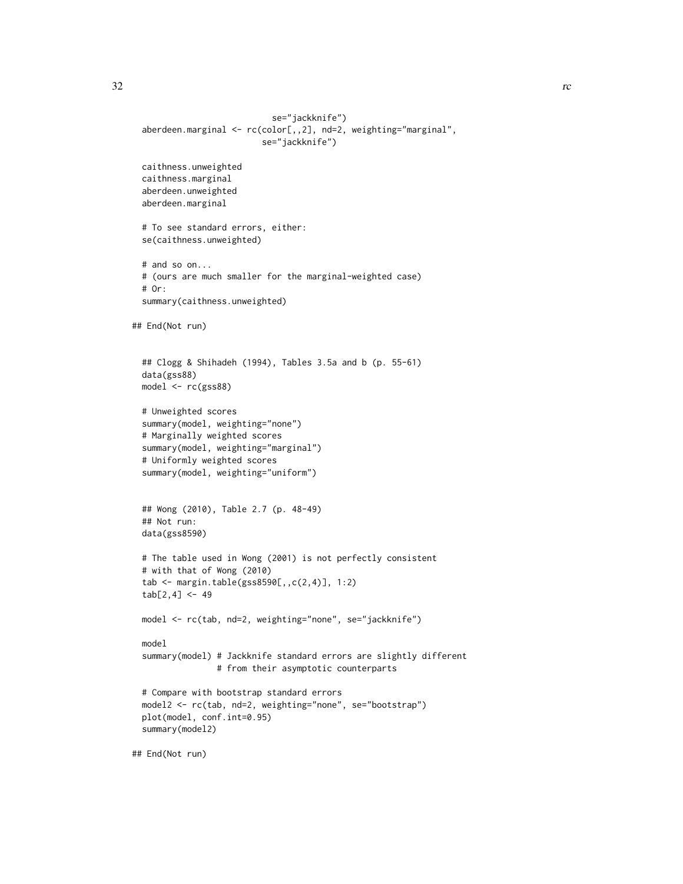```
se="jackknife")
 aberdeen.marginal <- rc(color[,,2], nd=2, weighting="marginal",
                          se="jackknife")
 caithness.unweighted
 caithness.marginal
 aberdeen.unweighted
 aberdeen.marginal
 # To see standard errors, either:
 se(caithness.unweighted)
 # and so on...
 # (ours are much smaller for the marginal-weighted case)
 # Or:
 summary(caithness.unweighted)
## End(Not run)
 ## Clogg & Shihadeh (1994), Tables 3.5a and b (p. 55-61)
 data(gss88)
 model <- rc(gss88)
 # Unweighted scores
 summary(model, weighting="none")
 # Marginally weighted scores
 summary(model, weighting="marginal")
 # Uniformly weighted scores
 summary(model, weighting="uniform")
 ## Wong (2010), Table 2.7 (p. 48-49)
 ## Not run:
 data(gss8590)
 # The table used in Wong (2001) is not perfectly consistent
 # with that of Wong (2010)
 tab <- margin.table(gss8590[,,c(2,4)], 1:2)
 tab[2, 4] < -49model <- rc(tab, nd=2, weighting="none", se="jackknife")
 model
 summary(model) # Jackknife standard errors are slightly different
                 # from their asymptotic counterparts
 # Compare with bootstrap standard errors
 model2 <- rc(tab, nd=2, weighting="none", se="bootstrap")
 plot(model, conf.int=0.95)
 summary(model2)
## End(Not run)
```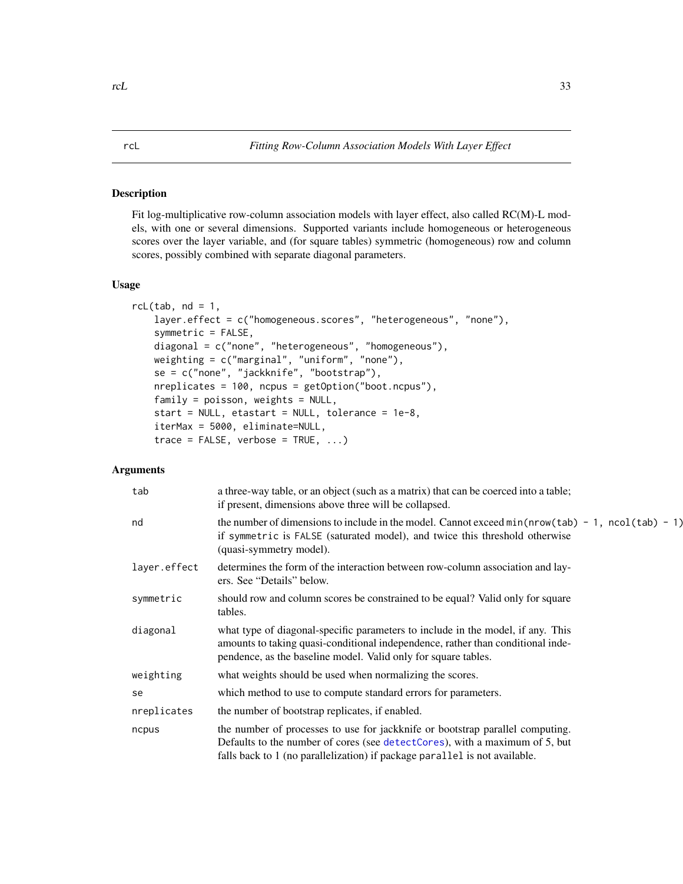#### <span id="page-32-1"></span><span id="page-32-0"></span>Description

Fit log-multiplicative row-column association models with layer effect, also called RC(M)-L models, with one or several dimensions. Supported variants include homogeneous or heterogeneous scores over the layer variable, and (for square tables) symmetric (homogeneous) row and column scores, possibly combined with separate diagonal parameters.

#### Usage

```
rcl(tab, nd = 1,layer.effect = c("homogeneous.scores", "heterogeneous", "none"),
    symmetric = FALSE,
   diagonal = c("none", "heterogeneous", "homogeneous"),
   weighting = c("marginal", "uniform", "none"),
   se = c("none", "jackknife", "bootstrap"),
   nreplicates = 100, ncpus = getOption("boot.ncpus"),
    family = poisson, weights = NULL,start = NULL, etastart = NULL, tolerance = 1e-8,
   iterMax = 5000, eliminate=NULL,
    trace = FALSE, verbose = TRUE, ...)
```
### Arguments

| tab          | a three-way table, or an object (such as a matrix) that can be coerced into a table;<br>if present, dimensions above three will be collapsed.                                                                                              |
|--------------|--------------------------------------------------------------------------------------------------------------------------------------------------------------------------------------------------------------------------------------------|
| nd           | the number of dimensions to include in the model. Cannot exceed $min(nrow(tab) - 1, ncol(tab) - 1)$<br>if symmetric is FALSE (saturated model), and twice this threshold otherwise<br>(quasi-symmetry model).                              |
| layer.effect | determines the form of the interaction between row-column association and lay-<br>ers. See "Details" below.                                                                                                                                |
| symmetric    | should row and column scores be constrained to be equal? Valid only for square<br>tables.                                                                                                                                                  |
| diagonal     | what type of diagonal-specific parameters to include in the model, if any. This<br>amounts to taking quasi-conditional independence, rather than conditional inde-<br>pendence, as the baseline model. Valid only for square tables.       |
| weighting    | what weights should be used when normalizing the scores.                                                                                                                                                                                   |
| se           | which method to use to compute standard errors for parameters.                                                                                                                                                                             |
| nreplicates  | the number of bootstrap replicates, if enabled.                                                                                                                                                                                            |
| ncpus        | the number of processes to use for jackknife or bootstrap parallel computing.<br>Defaults to the number of cores (see detectCores), with a maximum of 5, but<br>falls back to 1 (no parallelization) if package parallel is not available. |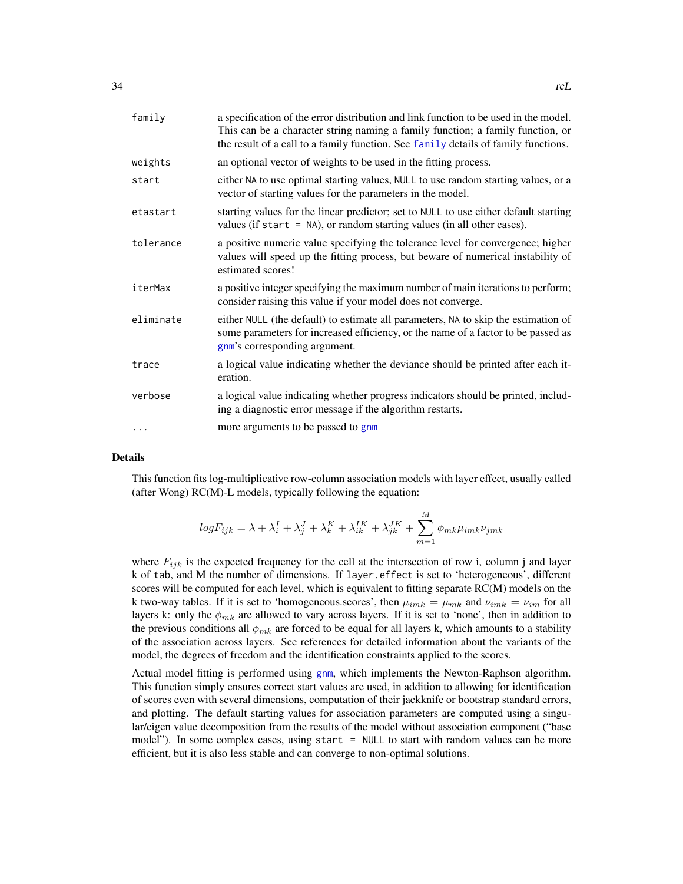<span id="page-33-0"></span>

| family    | a specification of the error distribution and link function to be used in the model.<br>This can be a character string naming a family function; a family function, or<br>the result of a call to a family function. See family details of family functions. |
|-----------|--------------------------------------------------------------------------------------------------------------------------------------------------------------------------------------------------------------------------------------------------------------|
| weights   | an optional vector of weights to be used in the fitting process.                                                                                                                                                                                             |
| start     | either NA to use optimal starting values, NULL to use random starting values, or a<br>vector of starting values for the parameters in the model.                                                                                                             |
| etastart  | starting values for the linear predictor; set to NULL to use either default starting<br>values (if start $=$ NA), or random starting values (in all other cases).                                                                                            |
| tolerance | a positive numeric value specifying the tolerance level for convergence; higher<br>values will speed up the fitting process, but beware of numerical instability of<br>estimated scores!                                                                     |
| iterMax   | a positive integer specifying the maximum number of main iterations to perform;<br>consider raising this value if your model does not converge.                                                                                                              |
| eliminate | either NULL (the default) to estimate all parameters, NA to skip the estimation of<br>some parameters for increased efficiency, or the name of a factor to be passed as<br>gnm's corresponding argument.                                                     |
| trace     | a logical value indicating whether the deviance should be printed after each it-<br>eration.                                                                                                                                                                 |
| verbose   | a logical value indicating whether progress indicators should be printed, includ-<br>ing a diagnostic error message if the algorithm restarts.                                                                                                               |
| .         | more arguments to be passed to gnm                                                                                                                                                                                                                           |

#### Details

This function fits log-multiplicative row-column association models with layer effect, usually called (after Wong) RC(M)-L models, typically following the equation:

$$
logF_{ijk} = \lambda + \lambda_i^I + \lambda_j^J + \lambda_k^K + \lambda_{ik}^{IK} + \lambda_{jk}^{JK} + \sum_{m=1}^{M} \phi_{mk} \mu_{imk} \nu_{jmk}
$$

where  $F_{ijk}$  is the expected frequency for the cell at the intersection of row i, column j and layer k of tab, and M the number of dimensions. If layer.effect is set to 'heterogeneous', different scores will be computed for each level, which is equivalent to fitting separate RC(M) models on the k two-way tables. If it is set to 'homogeneous.scores', then  $\mu_{imk} = \mu_{mk}$  and  $\nu_{imk} = \nu_{im}$  for all layers k: only the  $\phi_{mk}$  are allowed to vary across layers. If it is set to 'none', then in addition to the previous conditions all  $\phi_{mk}$  are forced to be equal for all layers k, which amounts to a stability of the association across layers. See references for detailed information about the variants of the model, the degrees of freedom and the identification constraints applied to the scores.

Actual model fitting is performed using [gnm](#page-0-0), which implements the Newton-Raphson algorithm. This function simply ensures correct start values are used, in addition to allowing for identification of scores even with several dimensions, computation of their jackknife or bootstrap standard errors, and plotting. The default starting values for association parameters are computed using a singular/eigen value decomposition from the results of the model without association component ("base model"). In some complex cases, using start = NULL to start with random values can be more efficient, but it is also less stable and can converge to non-optimal solutions.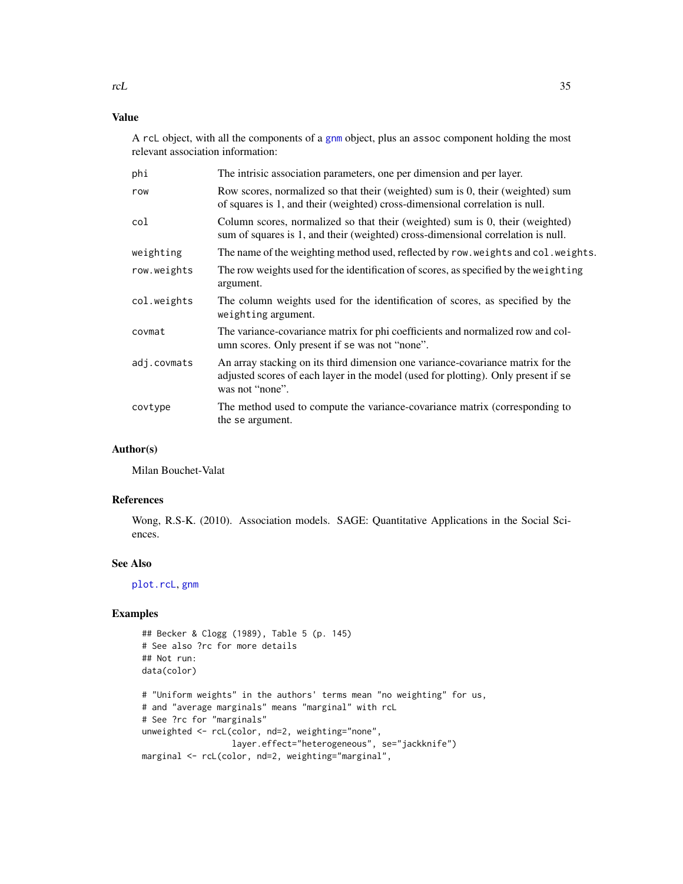# <span id="page-34-0"></span>Value

A rcL object, with all the components of a [gnm](#page-0-0) object, plus an assoc component holding the most relevant association information:

| phi         | The intrisic association parameters, one per dimension and per layer.                                                                                                                    |
|-------------|------------------------------------------------------------------------------------------------------------------------------------------------------------------------------------------|
| row         | Row scores, normalized so that their (weighted) sum is 0, their (weighted) sum<br>of squares is 1, and their (weighted) cross-dimensional correlation is null.                           |
| col         | Column scores, normalized so that their (weighted) sum is 0, their (weighted)<br>sum of squares is 1, and their (weighted) cross-dimensional correlation is null.                        |
| weighting   | The name of the weighting method used, reflected by row. weights and col. weights.                                                                                                       |
| row.weights | The row weights used for the identification of scores, as specified by the weighting<br>argument.                                                                                        |
| col.weights | The column weights used for the identification of scores, as specified by the<br>weighting argument.                                                                                     |
| covmat      | The variance-covariance matrix for phi coefficients and normalized row and col-<br>umn scores. Only present if se was not "none".                                                        |
| adj.covmats | An array stacking on its third dimension one variance-covariance matrix for the<br>adjusted scores of each layer in the model (used for plotting). Only present if se<br>was not "none". |
| covtype     | The method used to compute the variance-covariance matrix (corresponding to<br>the se argument.                                                                                          |

# Author(s)

Milan Bouchet-Valat

# References

Wong, R.S-K. (2010). Association models. SAGE: Quantitative Applications in the Social Sciences.

#### See Also

[plot.rcL](#page-20-1), [gnm](#page-0-0)

# Examples

```
## Becker & Clogg (1989), Table 5 (p. 145)
# See also ?rc for more details
## Not run:
data(color)
# "Uniform weights" in the authors' terms mean "no weighting" for us,
# and "average marginals" means "marginal" with rcL
```

```
# See ?rc for "marginals"
unweighted <- rcL(color, nd=2, weighting="none",
                 layer.effect="heterogeneous", se="jackknife")
marginal <- rcL(color, nd=2, weighting="marginal",
```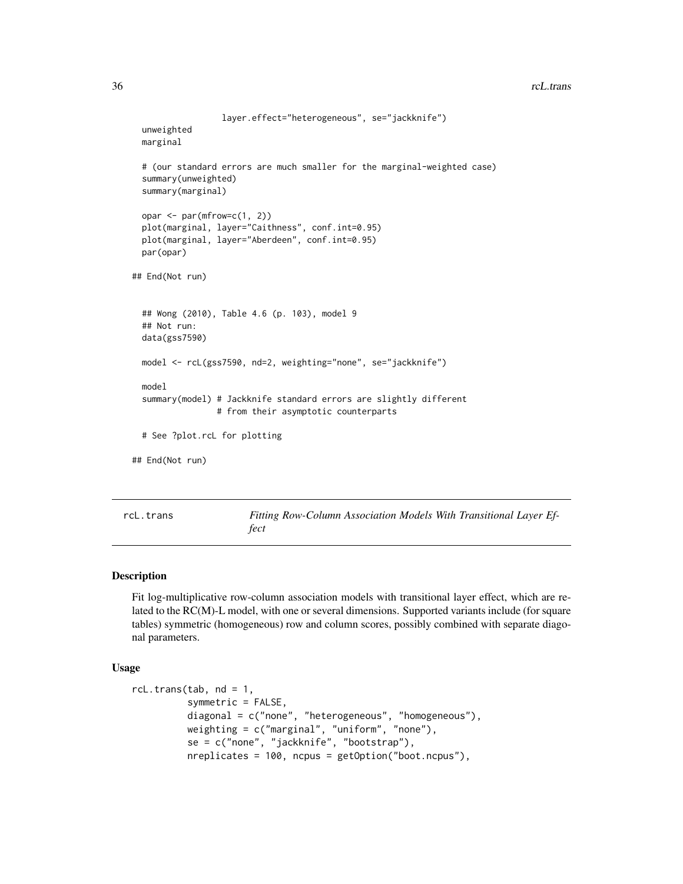```
layer.effect="heterogeneous", se="jackknife")
 unweighted
 marginal
 # (our standard errors are much smaller for the marginal-weighted case)
 summary(unweighted)
 summary(marginal)
 opar <- par(mfrow=c(1, 2))
 plot(marginal, layer="Caithness", conf.int=0.95)
 plot(marginal, layer="Aberdeen", conf.int=0.95)
 par(opar)
## End(Not run)
 ## Wong (2010), Table 4.6 (p. 103), model 9
 ## Not run:
 data(gss7590)
 model <- rcL(gss7590, nd=2, weighting="none", se="jackknife")
 model
 summary(model) # Jackknife standard errors are slightly different
                # from their asymptotic counterparts
 # See ?plot.rcL for plotting
## End(Not run)
```
<span id="page-35-1"></span>rcL.trans *Fitting Row-Column Association Models With Transitional Layer Effect*

#### Description

Fit log-multiplicative row-column association models with transitional layer effect, which are related to the RC(M)-L model, with one or several dimensions. Supported variants include (for square tables) symmetric (homogeneous) row and column scores, possibly combined with separate diagonal parameters.

# Usage

```
rcl.trans(tab, nd = 1,
          symmetric = FALSE,
          diagonal = c("none", "heterogeneous", "homogeneous"),
          weighting = c("marginal", "uniform", "none"),
          se = c("none", "jackknife", "bootstrap"),
          nreplicates = 100, ncpus = getOption("boot.ncpus"),
```
<span id="page-35-0"></span>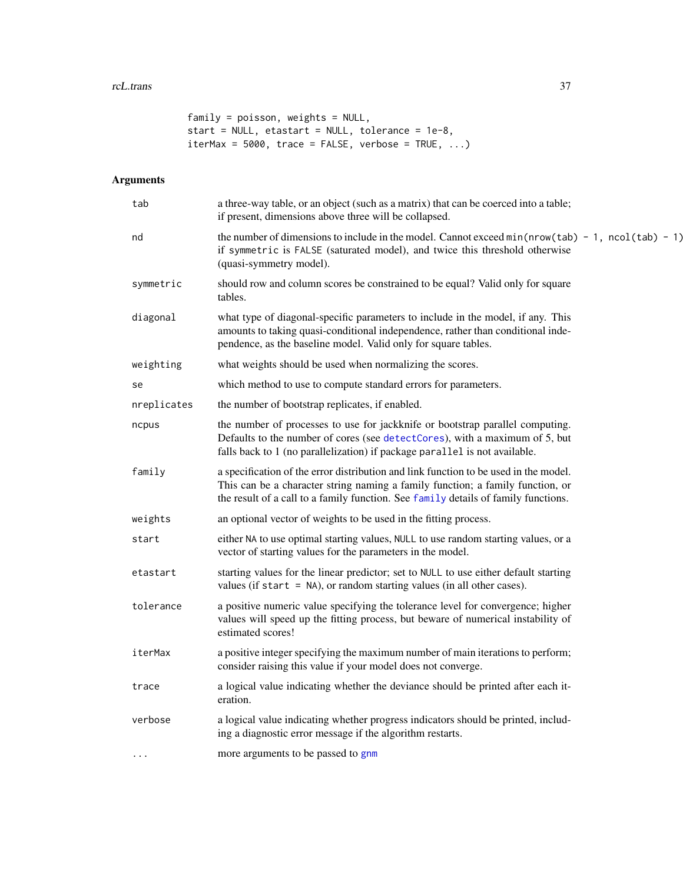```
family = poisson, weights = NULL,
start = NULL, etastart = NULL, tolerance = 1e-8,
iterMax = 5000, trace = FALSE, verbose = TRUE, ...)
```
# Arguments

| a three-way table, or an object (such as a matrix) that can be coerced into a table;<br>if present, dimensions above three will be collapsed.                                                                                                                |
|--------------------------------------------------------------------------------------------------------------------------------------------------------------------------------------------------------------------------------------------------------------|
| the number of dimensions to include in the model. Cannot exceed $min(nrow(tab) - 1, ncol(tab) - 1)$<br>if symmetric is FALSE (saturated model), and twice this threshold otherwise<br>(quasi-symmetry model).                                                |
| should row and column scores be constrained to be equal? Valid only for square<br>tables.                                                                                                                                                                    |
| what type of diagonal-specific parameters to include in the model, if any. This<br>amounts to taking quasi-conditional independence, rather than conditional inde-<br>pendence, as the baseline model. Valid only for square tables.                         |
| what weights should be used when normalizing the scores.                                                                                                                                                                                                     |
| which method to use to compute standard errors for parameters.                                                                                                                                                                                               |
| the number of bootstrap replicates, if enabled.                                                                                                                                                                                                              |
| the number of processes to use for jackknife or bootstrap parallel computing.<br>Defaults to the number of cores (see detectCores), with a maximum of 5, but<br>falls back to 1 (no parallelization) if package parallel is not available.                   |
| a specification of the error distribution and link function to be used in the model.<br>This can be a character string naming a family function; a family function, or<br>the result of a call to a family function. See family details of family functions. |
| an optional vector of weights to be used in the fitting process.                                                                                                                                                                                             |
| either NA to use optimal starting values, NULL to use random starting values, or a<br>vector of starting values for the parameters in the model.                                                                                                             |
| starting values for the linear predictor; set to NULL to use either default starting<br>values (if start $=$ NA), or random starting values (in all other cases).                                                                                            |
| a positive numeric value specifying the tolerance level for convergence; higher<br>values will speed up the fitting process, but beware of numerical instability of<br>estimated scores!                                                                     |
| a positive integer specifying the maximum number of main iterations to perform;<br>consider raising this value if your model does not converge.                                                                                                              |
| a logical value indicating whether the deviance should be printed after each it-<br>eration.                                                                                                                                                                 |
| a logical value indicating whether progress indicators should be printed, includ-<br>ing a diagnostic error message if the algorithm restarts.                                                                                                               |
| more arguments to be passed to gnm                                                                                                                                                                                                                           |
|                                                                                                                                                                                                                                                              |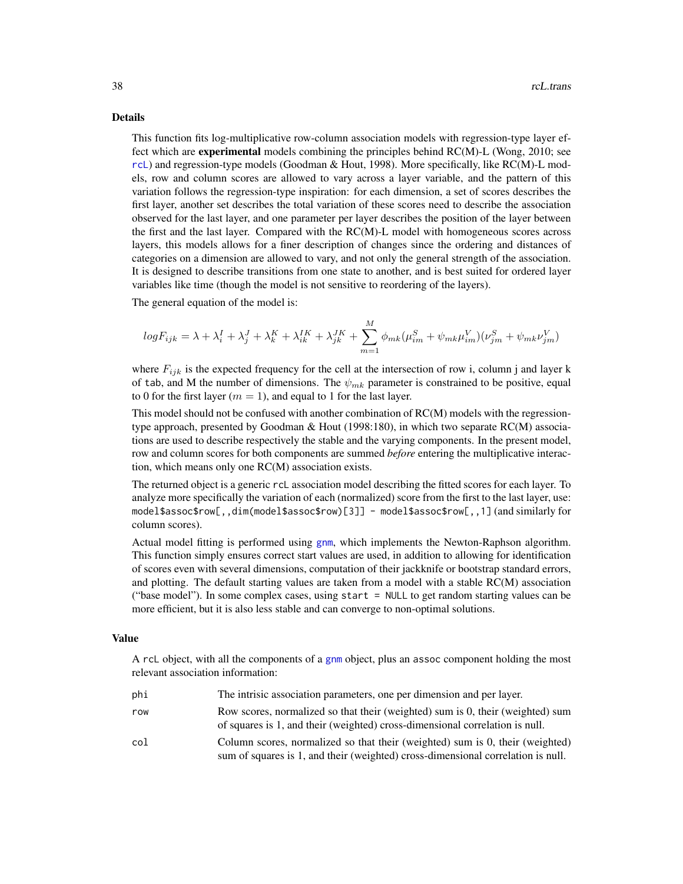#### <span id="page-37-0"></span>Details

This function fits log-multiplicative row-column association models with regression-type layer effect which are **experimental** models combining the principles behind RC(M)-L (Wong, 2010; see [rcL](#page-32-1)) and regression-type models (Goodman & Hout, 1998). More specifically, like RC(M)-L models, row and column scores are allowed to vary across a layer variable, and the pattern of this variation follows the regression-type inspiration: for each dimension, a set of scores describes the first layer, another set describes the total variation of these scores need to describe the association observed for the last layer, and one parameter per layer describes the position of the layer between the first and the last layer. Compared with the RC(M)-L model with homogeneous scores across layers, this models allows for a finer description of changes since the ordering and distances of categories on a dimension are allowed to vary, and not only the general strength of the association. It is designed to describe transitions from one state to another, and is best suited for ordered layer variables like time (though the model is not sensitive to reordering of the layers).

The general equation of the model is:

$$
logF_{ijk} = \lambda + \lambda_i^I + \lambda_j^J + \lambda_k^K + \lambda_{ik}^{IK} + \lambda_{jk}^{JK} + \sum_{m=1}^{M} \phi_{mk}(\mu_{im}^S + \psi_{mk}\mu_{im}^V)(\nu_{jm}^S + \psi_{mk}\nu_{jm}^V)
$$

where  $F_{ijk}$  is the expected frequency for the cell at the intersection of row i, column j and layer k of tab, and M the number of dimensions. The  $\psi_{mk}$  parameter is constrained to be positive, equal to 0 for the first layer ( $m = 1$ ), and equal to 1 for the last layer.

This model should not be confused with another combination of RC(M) models with the regressiontype approach, presented by Goodman & Hout (1998:180), in which two separate RC(M) associations are used to describe respectively the stable and the varying components. In the present model, row and column scores for both components are summed *before* entering the multiplicative interaction, which means only one RC(M) association exists.

The returned object is a generic rcL association model describing the fitted scores for each layer. To analyze more specifically the variation of each (normalized) score from the first to the last layer, use: model\$assoc\$row[,,dim(model\$assoc\$row)[3]] - model\$assoc\$row[,,1] (and similarly for column scores).

Actual model fitting is performed using [gnm](#page-0-0), which implements the Newton-Raphson algorithm. This function simply ensures correct start values are used, in addition to allowing for identification of scores even with several dimensions, computation of their jackknife or bootstrap standard errors, and plotting. The default starting values are taken from a model with a stable RC(M) association ("base model"). In some complex cases, using start = NULL to get random starting values can be more efficient, but it is also less stable and can converge to non-optimal solutions.

#### Value

A rcL object, with all the components of a [gnm](#page-0-0) object, plus an assoc component holding the most relevant association information:

| phi | The intrisic association parameters, one per dimension and per layer.                                                                                             |
|-----|-------------------------------------------------------------------------------------------------------------------------------------------------------------------|
| row | Row scores, normalized so that their (weighted) sum is 0, their (weighted) sum<br>of squares is 1, and their (weighted) cross-dimensional correlation is null.    |
| col | Column scores, normalized so that their (weighted) sum is 0, their (weighted)<br>sum of squares is 1, and their (weighted) cross-dimensional correlation is null. |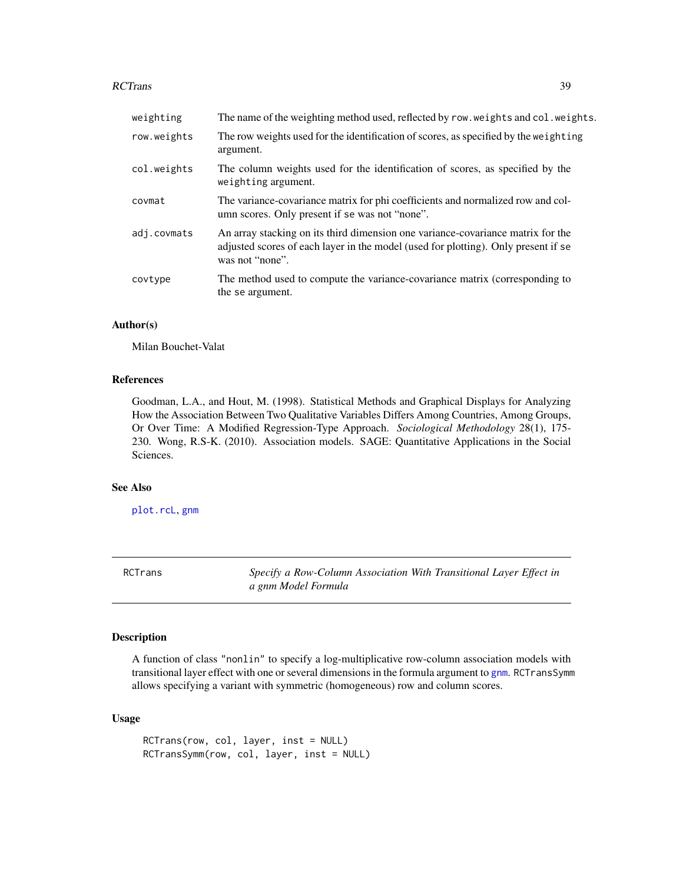#### <span id="page-38-0"></span>RCTrans 39

| weighting   | The name of the weighting method used, reflected by row. weights and col. weights.                                                                                                       |
|-------------|------------------------------------------------------------------------------------------------------------------------------------------------------------------------------------------|
| row.weights | The row weights used for the identification of scores, as specified by the weighting<br>argument.                                                                                        |
| col.weights | The column weights used for the identification of scores, as specified by the<br>weighting argument.                                                                                     |
| covmat      | The variance-covariance matrix for phi coefficients and normalized row and col-<br>umn scores. Only present if se was not "none".                                                        |
| adj.covmats | An array stacking on its third dimension one variance-covariance matrix for the<br>adjusted scores of each layer in the model (used for plotting). Only present if se<br>was not "none". |
| covtype     | The method used to compute the variance-covariance matrix (corresponding to<br>the se argument.                                                                                          |

# Author(s)

Milan Bouchet-Valat

#### References

Goodman, L.A., and Hout, M. (1998). Statistical Methods and Graphical Displays for Analyzing How the Association Between Two Qualitative Variables Differs Among Countries, Among Groups, Or Over Time: A Modified Regression-Type Approach. *Sociological Methodology* 28(1), 175- 230. Wong, R.S-K. (2010). Association models. SAGE: Quantitative Applications in the Social Sciences.

# See Also

[plot.rcL](#page-20-1), [gnm](#page-0-0)

RCTrans *Specify a Row-Column Association With Transitional Layer Effect in a gnm Model Formula*

#### Description

A function of class "nonlin" to specify a log-multiplicative row-column association models with transitional layer effect with one or several dimensions in the formula argument to [gnm](#page-0-0). RCTransSymm allows specifying a variant with symmetric (homogeneous) row and column scores.

### Usage

```
RCTrans(row, col, layer, inst = NULL)
RCTransSymm(row, col, layer, inst = NULL)
```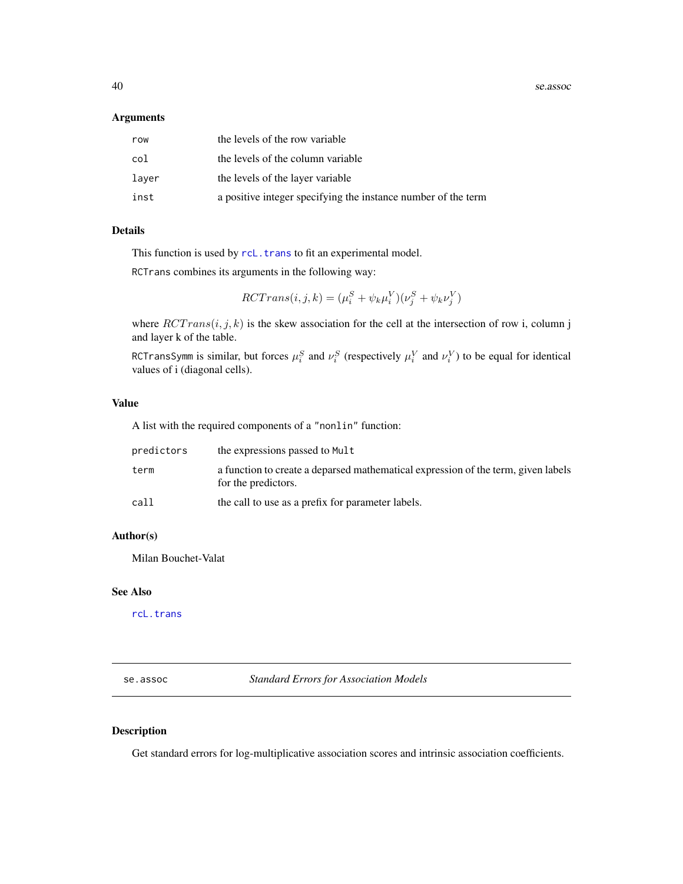<span id="page-39-0"></span>40 se.assoc

#### Arguments

| row   | the levels of the row variable                                |
|-------|---------------------------------------------------------------|
| col   | the levels of the column variable                             |
| laver | the levels of the layer variable                              |
| inst  | a positive integer specifying the instance number of the term |

# Details

This function is used by [rcL.trans](#page-35-1) to fit an experimental model.

RCTrans combines its arguments in the following way:

$$
RCTrans(i, j, k) = (\mu_i^S + \psi_k \mu_i^V)(\nu_j^S + \psi_k \nu_j^V)
$$

where  $RCTrans(i, j, k)$  is the skew association for the cell at the intersection of row i, column j and layer k of the table.

RCTransSymm is similar, but forces  $\mu_i^S$  and  $\nu_i^S$  (respectively  $\mu_i^V$  and  $\nu_i^V$ ) to be equal for identical values of i (diagonal cells).

#### Value

A list with the required components of a "nonlin" function:

| predictors | the expressions passed to Mult                                                                           |
|------------|----------------------------------------------------------------------------------------------------------|
| term       | a function to create a deparsed mathematical expression of the term, given labels<br>for the predictors. |
| call       | the call to use as a prefix for parameter labels.                                                        |

#### Author(s)

Milan Bouchet-Valat

#### See Also

[rcL.trans](#page-35-1)

<span id="page-39-1"></span>se.assoc *Standard Errors for Association Models*

# Description

Get standard errors for log-multiplicative association scores and intrinsic association coefficients.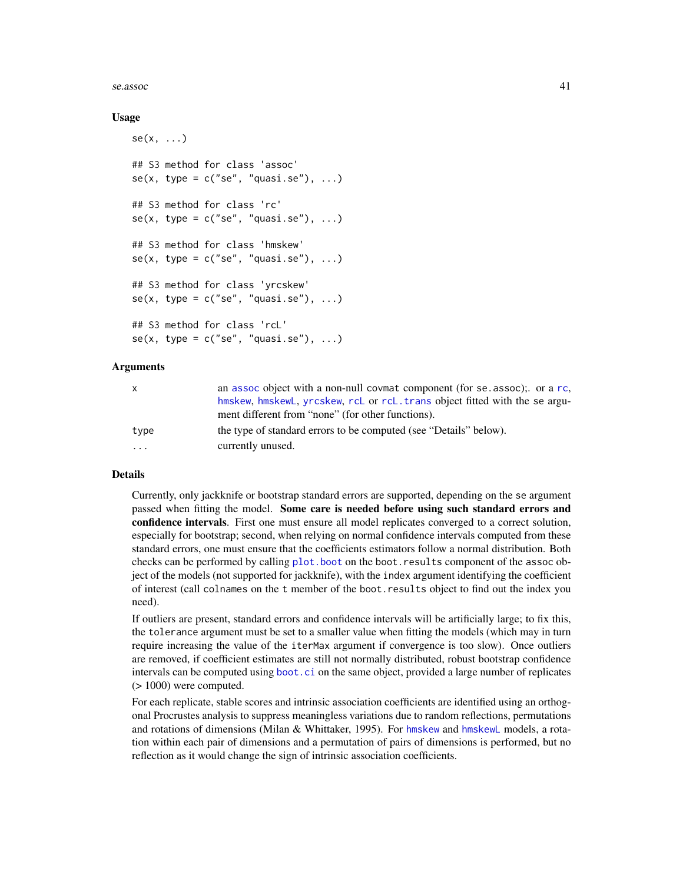#### <span id="page-40-0"></span> $s_{\rm e.}$ assoc  $41$

#### Usage

```
se(x, \ldots)## S3 method for class 'assoc'
se(x, type = c("se", "quasi.se"), ...)## S3 method for class 'rc'
se(x, type = c("se", "quasi.se"), ...)## S3 method for class 'hmskew'
se(x, type = c("se", "quasi.se"), ...)## S3 method for class 'yrcskew'
se(x, type = c("se", "quasi.se"), ...)## S3 method for class 'rcL'
se(x, type = c("se", "quasi.se"), ...)
```
## Arguments

| $\mathsf{X}$            | an assoc object with a non-null covmat component (for se assoc); or a rc,   |
|-------------------------|-----------------------------------------------------------------------------|
|                         | hmskew, hmskewL, yrcskew, rcL or rcL. trans object fitted with the se argu- |
|                         | ment different from "none" (for other functions).                           |
| type                    | the type of standard errors to be computed (see "Details" below).           |
| $\cdot$ $\cdot$ $\cdot$ | currently unused.                                                           |

#### Details

Currently, only jackknife or bootstrap standard errors are supported, depending on the se argument passed when fitting the model. Some care is needed before using such standard errors and confidence intervals. First one must ensure all model replicates converged to a correct solution, especially for bootstrap; second, when relying on normal confidence intervals computed from these standard errors, one must ensure that the coefficients estimators follow a normal distribution. Both checks can be performed by calling [plot.boot](#page-0-0) on the boot.results component of the assoc object of the models (not supported for jackknife), with the index argument identifying the coefficient of interest (call colnames on the t member of the boot.results object to find out the index you need).

If outliers are present, standard errors and confidence intervals will be artificially large; to fix this, the tolerance argument must be set to a smaller value when fitting the models (which may in turn require increasing the value of the iterMax argument if convergence is too slow). Once outliers are removed, if coefficient estimates are still not normally distributed, robust bootstrap confidence intervals can be computed using [boot.ci](#page-0-0) on the same object, provided a large number of replicates (> 1000) were computed.

For each replicate, stable scores and intrinsic association coefficients are identified using an orthogonal Procrustes analysis to suppress meaningless variations due to random reflections, permutations and rotations of dimensions (Milan & Whittaker, 1995). For [hmskew](#page-9-1) and [hmskewL](#page-12-1) models, a rotation within each pair of dimensions and a permutation of pairs of dimensions is performed, but no reflection as it would change the sign of intrinsic association coefficients.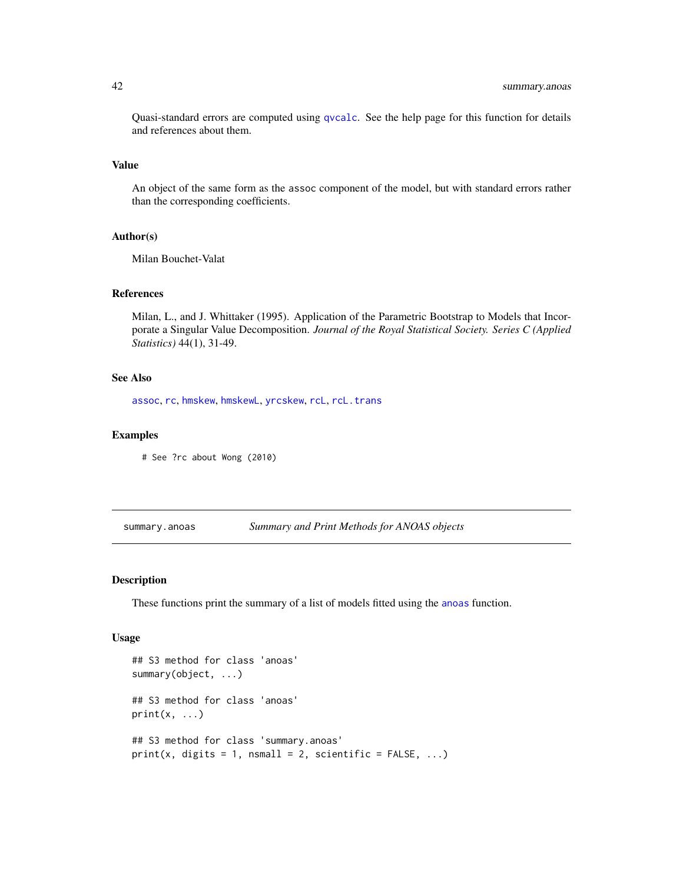Quasi-standard errors are computed using [qvcalc](#page-0-0). See the help page for this function for details and references about them.

#### Value

An object of the same form as the assoc component of the model, but with standard errors rather than the corresponding coefficients.

#### Author(s)

Milan Bouchet-Valat

# References

Milan, L., and J. Whittaker (1995). Application of the Parametric Bootstrap to Models that Incorporate a Singular Value Decomposition. *Journal of the Royal Statistical Society. Series C (Applied Statistics)* 44(1), 31-49.

#### See Also

[assoc](#page-3-2), [rc](#page-27-1), [hmskew](#page-9-1), [hmskewL](#page-12-1), [yrcskew](#page-56-1), [rcL](#page-32-1), [rcL.trans](#page-35-1)

#### Examples

# See ?rc about Wong (2010)

summary.anoas *Summary and Print Methods for ANOAS objects*

#### Description

These functions print the summary of a list of models fitted using the [anoas](#page-1-1) function.

#### Usage

```
## S3 method for class 'anoas'
summary(object, ...)
## S3 method for class 'anoas'
print(x, \ldots)## S3 method for class 'summary.anoas'
print(x, digits = 1, nsmall = 2, scientific = FALSE, ...)
```
<span id="page-41-0"></span>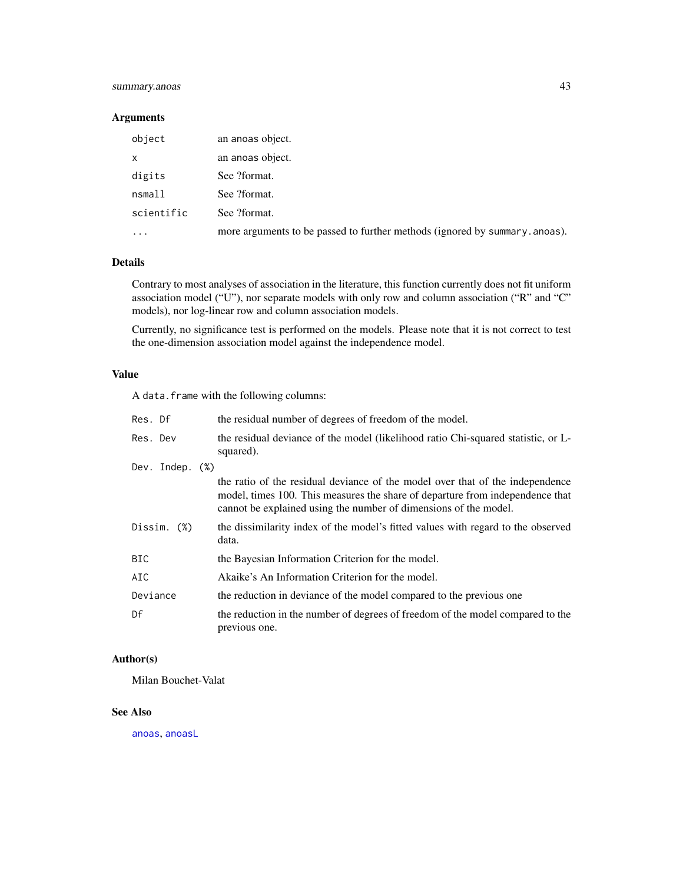# <span id="page-42-0"></span>summary.anoas 43

# Arguments

| object     | an anoas object.                                                            |
|------------|-----------------------------------------------------------------------------|
| x          | an anoas object.                                                            |
| digits     | See ?format.                                                                |
| nsmall     | See ?format.                                                                |
| scientific | See ?format.                                                                |
| .          | more arguments to be passed to further methods (ignored by summary, anoas). |

#### Details

Contrary to most analyses of association in the literature, this function currently does not fit uniform association model ("U"), nor separate models with only row and column association ("R" and "C" models), nor log-linear row and column association models.

Currently, no significance test is performed on the models. Please note that it is not correct to test the one-dimension association model against the independence model.

### Value

A data.frame with the following columns:

| Res. Df            | the residual number of degrees of freedom of the model.                                                                                                                                                                            |
|--------------------|------------------------------------------------------------------------------------------------------------------------------------------------------------------------------------------------------------------------------------|
| Res. Dev           | the residual deviance of the model (likelihood ratio Chi-squared statistic, or L-<br>squared).                                                                                                                                     |
| Dev. Indep. $(\%)$ |                                                                                                                                                                                                                                    |
|                    | the ratio of the residual deviance of the model over that of the independence<br>model, times 100. This measures the share of departure from independence that<br>cannot be explained using the number of dimensions of the model. |
| Dissim. (%)        | the dissimilarity index of the model's fitted values with regard to the observed<br>data.                                                                                                                                          |
| BIC.               | the Bayesian Information Criterion for the model.                                                                                                                                                                                  |
| AIC                | Akaike's An Information Criterion for the model.                                                                                                                                                                                   |
| Deviance           | the reduction in deviance of the model compared to the previous one                                                                                                                                                                |
| Df                 | the reduction in the number of degrees of freedom of the model compared to the<br>previous one.                                                                                                                                    |

# Author(s)

Milan Bouchet-Valat

# See Also

[anoas](#page-1-1), [anoasL](#page-1-2)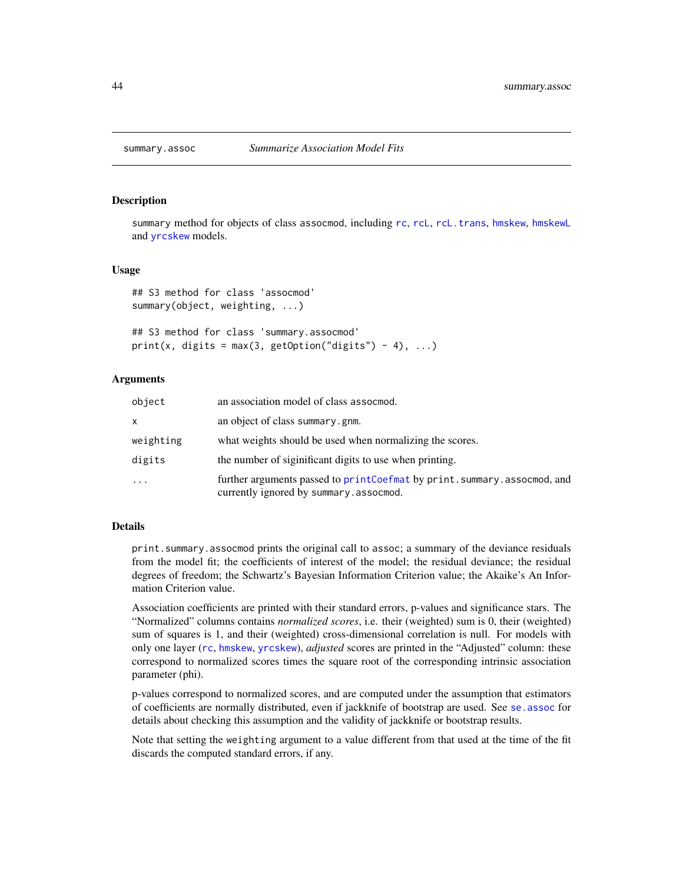<span id="page-43-0"></span>

#### **Description**

summary method for objects of class assocmod, including [rc](#page-27-1), [rcL](#page-32-1), [rcL.trans](#page-35-1), [hmskew](#page-9-1), [hmskewL](#page-12-1) and [yrcskew](#page-56-1) models.

#### Usage

```
## S3 method for class 'assocmod'
summary(object, weighting, ...)
```

```
## S3 method for class 'summary.assocmod'
print(x, digits = max(3, getOption("digits") - 4), ...)
```
#### Arguments

| object    | an association model of class assocmod.                                                                             |
|-----------|---------------------------------------------------------------------------------------------------------------------|
| x         | an object of class summary.gnm.                                                                                     |
| weighting | what weights should be used when normalizing the scores.                                                            |
| digits    | the number of siginificant digits to use when printing.                                                             |
| $\cdot$   | further arguments passed to printCoefmat by print. summary. assocmod, and<br>currently ignored by summary.assocmod. |

#### Details

print.summary.assocmod prints the original call to assoc; a summary of the deviance residuals from the model fit; the coefficients of interest of the model; the residual deviance; the residual degrees of freedom; the Schwartz's Bayesian Information Criterion value; the Akaike's An Information Criterion value.

Association coefficients are printed with their standard errors, p-values and significance stars. The "Normalized" columns contains *normalized scores*, i.e. their (weighted) sum is 0, their (weighted) sum of squares is 1, and their (weighted) cross-dimensional correlation is null. For models with only one layer ([rc](#page-27-1), [hmskew](#page-9-1), [yrcskew](#page-56-1)), *adjusted* scores are printed in the "Adjusted" column: these correspond to normalized scores times the square root of the corresponding intrinsic association parameter (phi).

p-values correspond to normalized scores, and are computed under the assumption that estimators of coefficients are normally distributed, even if jackknife of bootstrap are used. See [se.assoc](#page-39-1) for details about checking this assumption and the validity of jackknife or bootstrap results.

Note that setting the weighting argument to a value different from that used at the time of the fit discards the computed standard errors, if any.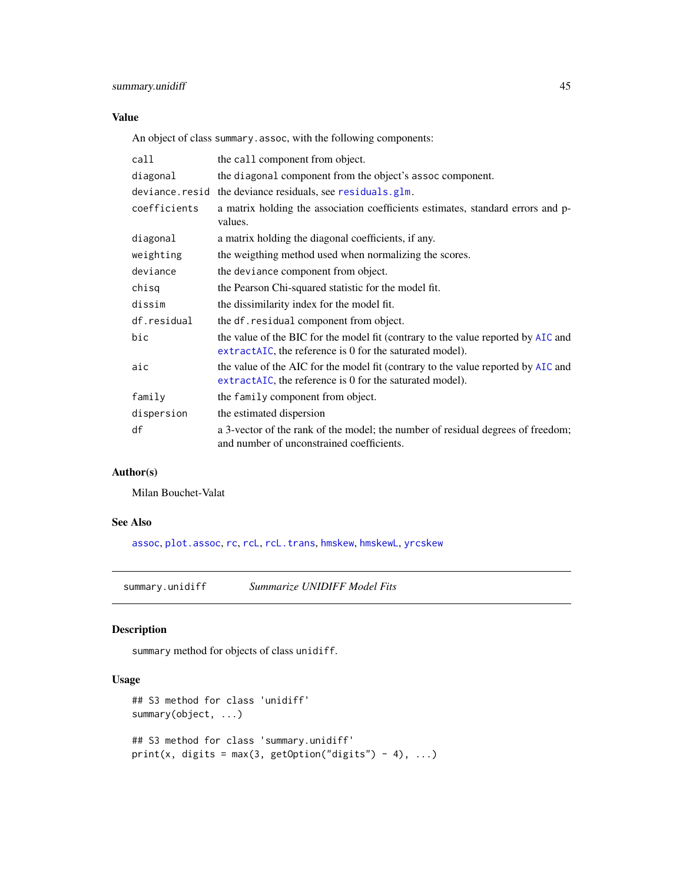# <span id="page-44-0"></span>Value

An object of class summary.assoc, with the following components:

| call         | the call component from object.                                                                                                                |
|--------------|------------------------------------------------------------------------------------------------------------------------------------------------|
| diagonal     | the diagonal component from the object's assoc component.                                                                                      |
|              | deviance.resid the deviance residuals, see residuals.glm.                                                                                      |
| coefficients | a matrix holding the association coefficients estimates, standard errors and p-<br>values.                                                     |
| diagonal     | a matrix holding the diagonal coefficients, if any.                                                                                            |
| weighting    | the weigthing method used when normalizing the scores.                                                                                         |
| deviance     | the deviance component from object.                                                                                                            |
| chisq        | the Pearson Chi-squared statistic for the model fit.                                                                                           |
| dissim       | the dissimilarity index for the model fit.                                                                                                     |
| df.residual  | the df. residual component from object.                                                                                                        |
| bic          | the value of the BIC for the model fit (contrary to the value reported by AIC and<br>extractaller the reference is 0 for the saturated model). |
| aic          | the value of the AIC for the model fit (contrary to the value reported by AIC and<br>extractaller the reference is 0 for the saturated model). |
| family       | the family component from object.                                                                                                              |
| dispersion   | the estimated dispersion                                                                                                                       |
| df           | a 3-vector of the rank of the model; the number of residual degrees of freedom;<br>and number of unconstrained coefficients.                   |

# Author(s)

Milan Bouchet-Valat

# See Also

[assoc](#page-3-2), [plot.assoc](#page-20-2), [rc](#page-27-1), [rcL](#page-32-1), [rcL.trans](#page-35-1), [hmskew](#page-9-1), [hmskewL](#page-12-1), [yrcskew](#page-56-1)

<span id="page-44-1"></span>summary.unidiff *Summarize UNIDIFF Model Fits*

# Description

summary method for objects of class unidiff.

# Usage

```
## S3 method for class 'unidiff'
summary(object, ...)
## S3 method for class 'summary.unidiff'
print(x, digits = max(3, getOption("digits") - 4), ...)
```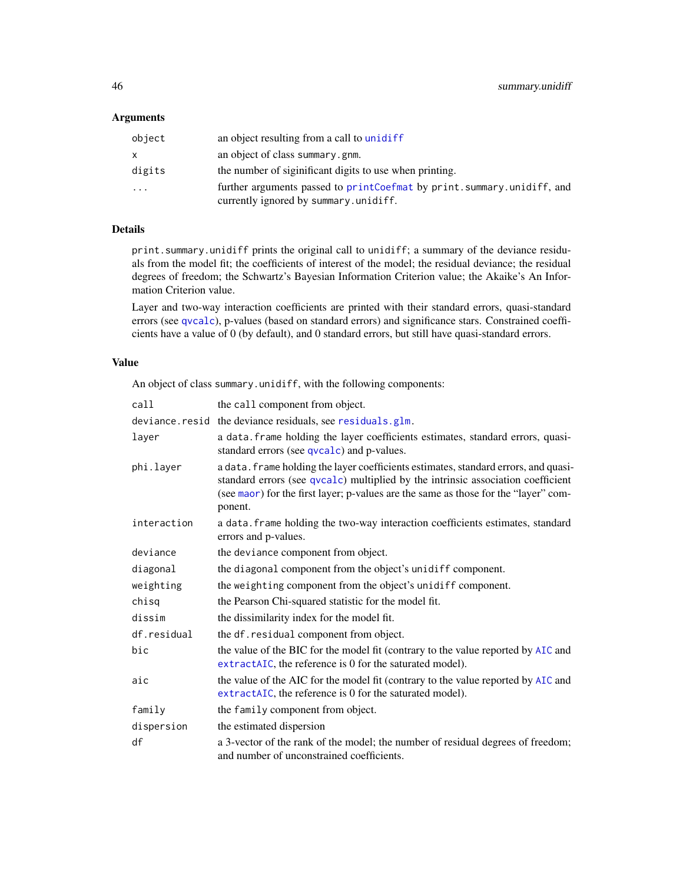# <span id="page-45-0"></span>Arguments

| object   | an object resulting from a call to unidiff                                                                      |
|----------|-----------------------------------------------------------------------------------------------------------------|
| x.       | an object of class summary.gnm.                                                                                 |
| digits   | the number of siginificant digits to use when printing.                                                         |
| $\cdots$ | further arguments passed to printCoefmat by print.summary.unidiff, and<br>currently ignored by summary.unidiff. |

# Details

print.summary.unidiff prints the original call to unidiff; a summary of the deviance residuals from the model fit; the coefficients of interest of the model; the residual deviance; the residual degrees of freedom; the Schwartz's Bayesian Information Criterion value; the Akaike's An Information Criterion value.

Layer and two-way interaction coefficients are printed with their standard errors, quasi-standard errors (see [qvcalc](#page-0-0)), p-values (based on standard errors) and significance stars. Constrained coefficients have a value of 0 (by default), and 0 standard errors, but still have quasi-standard errors.

# Value

An object of class summary.unidiff, with the following components:

| call        | the call component from object.                                                                                                                                                                                                                                           |
|-------------|---------------------------------------------------------------------------------------------------------------------------------------------------------------------------------------------------------------------------------------------------------------------------|
|             | deviance.resid the deviance residuals, see residuals.glm.                                                                                                                                                                                                                 |
| layer       | a data. frame holding the layer coefficients estimates, standard errors, quasi-<br>standard errors (see qvcalc) and p-values.                                                                                                                                             |
| phi.layer   | a data. frame holding the layer coefficients estimates, standard errors, and quasi-<br>standard errors (see qvcalc) multiplied by the intrinsic association coefficient<br>(see maor) for the first layer; p-values are the same as those for the "layer" com-<br>ponent. |
| interaction | a data. frame holding the two-way interaction coefficients estimates, standard<br>errors and p-values.                                                                                                                                                                    |
| deviance    | the deviance component from object.                                                                                                                                                                                                                                       |
| diagonal    | the diagonal component from the object's unidiff component.                                                                                                                                                                                                               |
| weighting   | the weighting component from the object's unidiff component.                                                                                                                                                                                                              |
| chisg       | the Pearson Chi-squared statistic for the model fit.                                                                                                                                                                                                                      |
| dissim      | the dissimilarity index for the model fit.                                                                                                                                                                                                                                |
| df.residual | the df. residual component from object.                                                                                                                                                                                                                                   |
| bic         | the value of the BIC for the model fit (contrary to the value reported by AIC and<br>extractAIC, the reference is 0 for the saturated model).                                                                                                                             |
| aic         | the value of the AIC for the model fit (contrary to the value reported by AIC and<br>extractAIC, the reference is 0 for the saturated model).                                                                                                                             |
| family      | the family component from object.                                                                                                                                                                                                                                         |
| dispersion  | the estimated dispersion                                                                                                                                                                                                                                                  |
| df          | a 3-vector of the rank of the model; the number of residual degrees of freedom;<br>and number of unconstrained coefficients.                                                                                                                                              |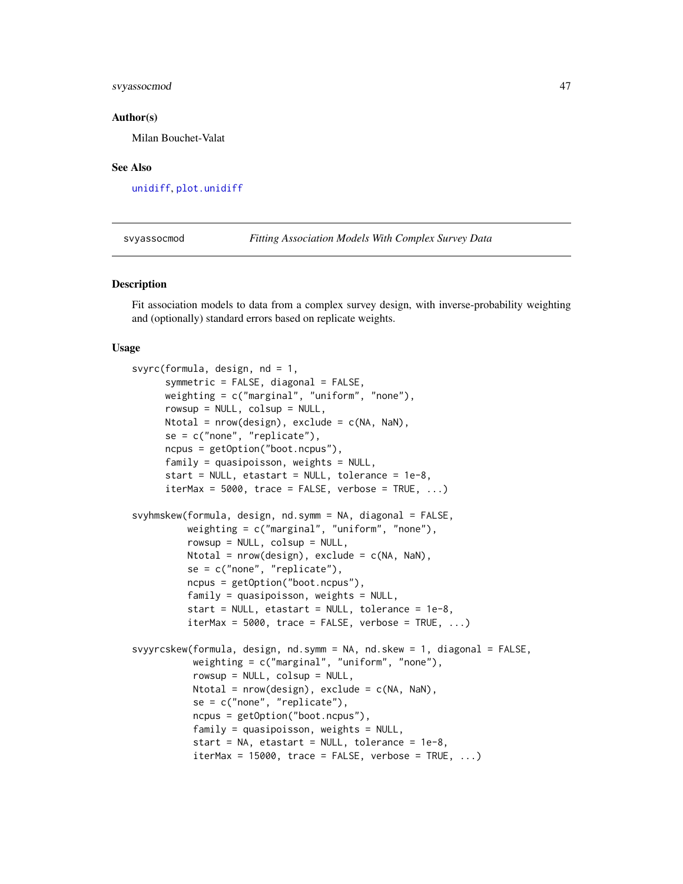# <span id="page-46-0"></span>svyassocmod 47

#### Author(s)

Milan Bouchet-Valat

#### See Also

[unidiff](#page-52-1), [plot.unidiff](#page-25-1)

svyassocmod *Fitting Association Models With Complex Survey Data*

#### Description

Fit association models to data from a complex survey design, with inverse-probability weighting and (optionally) standard errors based on replicate weights.

#### Usage

```
svyrc(formula, design, nd = 1,
     symmetric = FALSE, diagonal = FALSE,
     weighting = c("marginal", "uniform", "none"),
     rowsup = NULL, colsup = NULL,Ntotal = nrow(design), exclude = c(NA, NaN),
     se = c("none", "replicate"),
     ncpus = getOption("boot.ncpus"),
     family = quasipoisson, weights = NULL,start = NULL, etastart = NULL, tolerance = 1e-8,
     iterMax = 5000, trace = FALSE, verbose = TRUE, ...)
svyhmskew(formula, design, nd.symm = NA, diagonal = FALSE,
          weighting = c("marginal", "uniform", "none"),
          rowsup = NULL, colsup = NULL,
          Ntotal = nrow(design), exclude = c(NA, NaN),
          se = c("none", "replicate"),
          ncpus = getOption("boot.ncpus"),
          family = quasipoisson, weights = NULL,
          start = NULL, etastart = NULL, tolerance = 1e-8,
          iterMax = 5000, trace = FALSE, verbose = TRUE, ...)
svyyrcskew(formula, design, nd.symm = NA, nd.skew = 1, diagonal = FALSE,
           weighting = c("marginal", "uniform", "none"),
           rowsup = NULL, colsup = NULL,
          Ntotal = nrow(design), exclude = c(NA, Nan),se = c("none", "replicate"),ncpus = getOption("boot.ncpus"),
          family = quasipoisson, weights = NULL,start = NA, etastart = NULL, tolerance = 1e-8,
           iterMax = 15000, trace = FALSE, verbase = TRUE, ...)
```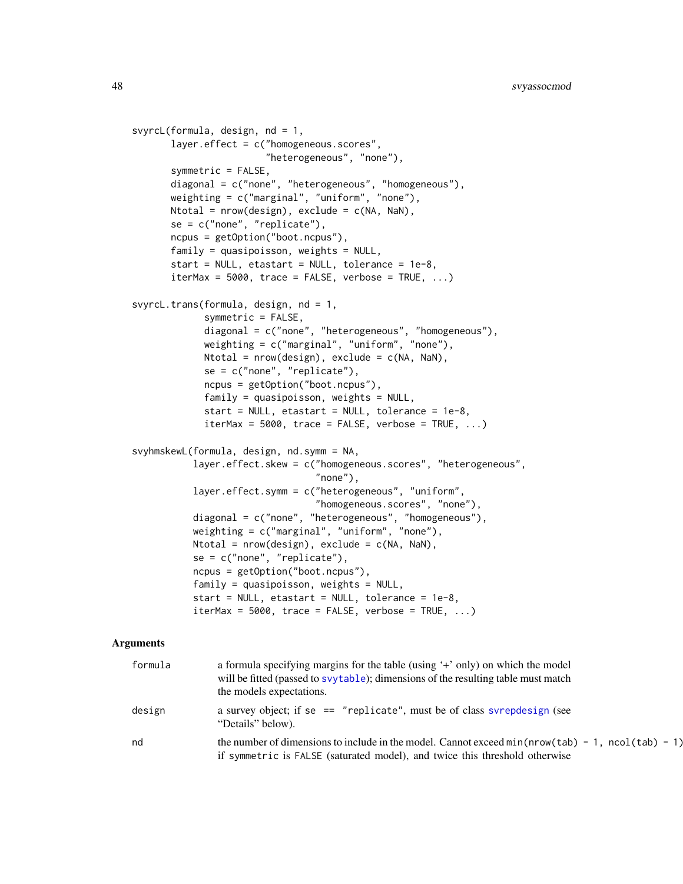```
svyrcL(formula, design, nd = 1,
       layer.effect = c("homogeneous.scores",
                        "heterogeneous", "none"),
       symmetric = FALSE,
       diagonal = c("none", "heterogeneous", "homogeneous"),
      weighting = c("marginal", "uniform", "none"),
      Ntotal = nrow(design), exclude = c(NA, NaN),
       se = c("none", "replicate"),
       ncpus = getOption("boot.ncpus"),
       family = quasipoisson, weights = NULL,
       start = NULL, etastart = NULL, tolerance = 1e-8,
       iterMax = 5000, trace = FALSE, verbose = TRUE, ...)
svyrcL.trans(formula, design, nd = 1,
             symmetric = FALSE,
             diagonal = c("none", "heterogeneous", "homogeneous"),
             weighting = c("marginal", "uniform", "none"),
             Ntotal = nrow(design), exclude = c(NA, NaN),
             se = c("none", "replicate"),
             ncpus = getOption("boot.ncpus"),
             family = quasipoisson, weights = NULL,
             start = NULL, etastart = NULL, tolerance = 1e-8,
             iterMax = 5000, trace = FALSE, verbose = TRUE, ...)
svyhmskewL(formula, design, nd.symm = NA,
           layer.effect.skew = c("homogeneous.scores", "heterogeneous",
                                 "none"),
           layer.effect.symm = c("heterogeneous", "uniform",
                                 "homogeneous.scores", "none"),
           diagonal = c("none", "heterogeneous", "homogeneous"),
           weighting = c("marginal", "uniform", "none"),
           Ntotal = nrow(design), exclude = c(NA, Nan),se = c("none", "replicate"),
           ncpus = getOption("boot.ncpus"),
           family = quasipoisson, weights = NULL,
           start = NULL, etastart = NULL, tolerance = 1e-8,
           iterMax = 5000, trace = FALSE, verbose = TRUE, ...)
```
# Arguments

| formula | a formula specifying margins for the table (using '+' only) on which the model<br>will be fitted (passed to svytable); dimensions of the resulting table must match<br>the models expectations. |
|---------|-------------------------------------------------------------------------------------------------------------------------------------------------------------------------------------------------|
| design  | a survey object; if se == "replicate", must be of class svrepdesign (see<br>"Details" below).                                                                                                   |
| nd      | the number of dimensions to include in the model. Cannot exceed $min(nrow(tab) - 1, ncol(tab) - 1)$<br>if symmetric is FALSE (saturated model), and twice this threshold otherwise              |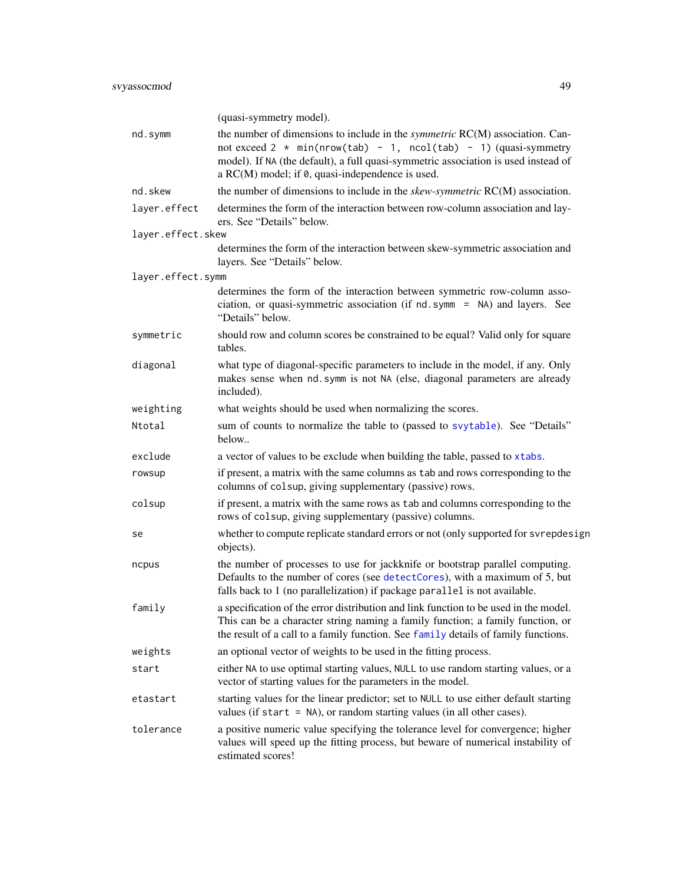<span id="page-48-0"></span>

|                   | (quasi-symmetry model).                                                                                                                                                                                                                                                                                     |
|-------------------|-------------------------------------------------------------------------------------------------------------------------------------------------------------------------------------------------------------------------------------------------------------------------------------------------------------|
| nd.symm           | the number of dimensions to include in the <i>symmetric</i> RC(M) association. Can-<br>not exceed $2 * min(nrow(tab) - 1, ncol(tab) - 1)$ (quasi-symmetry<br>model). If NA (the default), a full quasi-symmetric association is used instead of<br>a RC(M) model; if $\theta$ , quasi-independence is used. |
| nd.skew           | the number of dimensions to include in the skew-symmetric RC(M) association.                                                                                                                                                                                                                                |
| layer.effect      | determines the form of the interaction between row-column association and lay-<br>ers. See "Details" below.                                                                                                                                                                                                 |
| layer.effect.skew |                                                                                                                                                                                                                                                                                                             |
|                   | determines the form of the interaction between skew-symmetric association and<br>layers. See "Details" below.                                                                                                                                                                                               |
| layer.effect.symm |                                                                                                                                                                                                                                                                                                             |
|                   | determines the form of the interaction between symmetric row-column asso-<br>ciation, or quasi-symmetric association (if nd. symm = NA) and layers. See<br>"Details" below.                                                                                                                                 |
| symmetric         | should row and column scores be constrained to be equal? Valid only for square<br>tables.                                                                                                                                                                                                                   |
| diagonal          | what type of diagonal-specific parameters to include in the model, if any. Only<br>makes sense when nd. symm is not NA (else, diagonal parameters are already<br>included).                                                                                                                                 |
| weighting         | what weights should be used when normalizing the scores.                                                                                                                                                                                                                                                    |
| Ntotal            | sum of counts to normalize the table to (passed to svytable). See "Details"<br>below                                                                                                                                                                                                                        |
| exclude           | a vector of values to be exclude when building the table, passed to xtabs.                                                                                                                                                                                                                                  |
| rowsup            | if present, a matrix with the same columns as tab and rows corresponding to the<br>columns of colsup, giving supplementary (passive) rows.                                                                                                                                                                  |
| colsup            | if present, a matrix with the same rows as tab and columns corresponding to the<br>rows of colsup, giving supplementary (passive) columns.                                                                                                                                                                  |
| se                | whether to compute replicate standard errors or not (only supported for svrepdesign<br>objects).                                                                                                                                                                                                            |
| ncpus             | the number of processes to use for jackknife or bootstrap parallel computing.<br>Defaults to the number of cores (see detectCores), with a maximum of 5, but<br>falls back to 1 (no parallelization) if package parallel is not available.                                                                  |
| family            | a specification of the error distribution and link function to be used in the model.<br>This can be a character string naming a family function; a family function, or<br>the result of a call to a family function. See family details of family functions.                                                |
| weights           | an optional vector of weights to be used in the fitting process.                                                                                                                                                                                                                                            |
| start             | either NA to use optimal starting values, NULL to use random starting values, or a<br>vector of starting values for the parameters in the model.                                                                                                                                                            |
| etastart          | starting values for the linear predictor; set to NULL to use either default starting<br>values (if start $=$ NA), or random starting values (in all other cases).                                                                                                                                           |
| tolerance         | a positive numeric value specifying the tolerance level for convergence; higher<br>values will speed up the fitting process, but beware of numerical instability of<br>estimated scores!                                                                                                                    |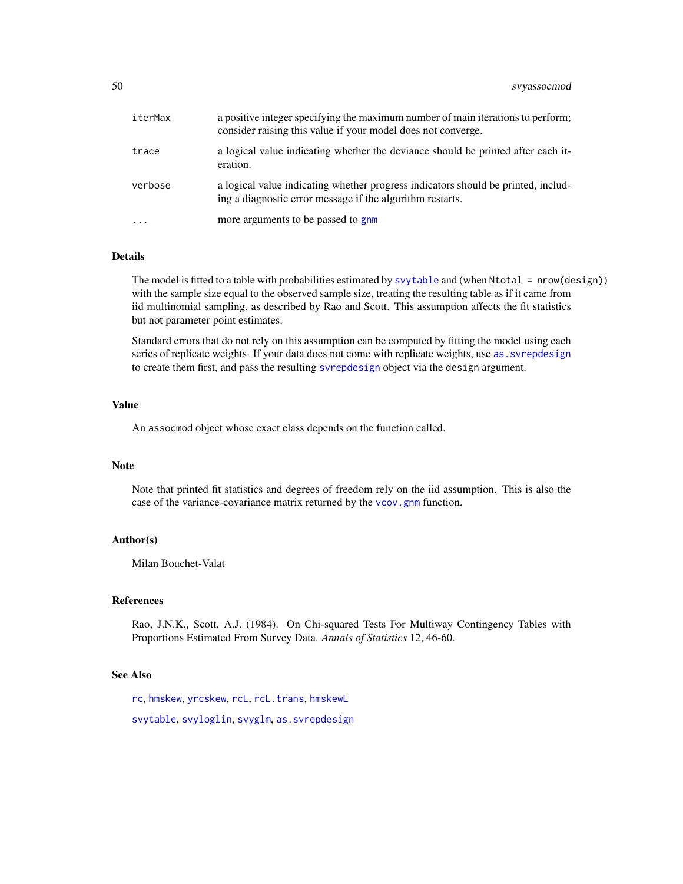<span id="page-49-0"></span>

| iterMax  | a positive integer specifying the maximum number of main iterations to perform;<br>consider raising this value if your model does not converge. |
|----------|-------------------------------------------------------------------------------------------------------------------------------------------------|
| trace    | a logical value indicating whether the deviance should be printed after each it-<br>eration.                                                    |
| verbose  | a logical value indicating whether progress indicators should be printed, includ-<br>ing a diagnostic error message if the algorithm restarts.  |
| $\cdots$ | more arguments to be passed to gnm                                                                                                              |

# Details

The model is fitted to a table with probabilities estimated by [svytable](#page-0-0) and (when Ntotal = nrow(design)) with the sample size equal to the observed sample size, treating the resulting table as if it came from iid multinomial sampling, as described by Rao and Scott. This assumption affects the fit statistics but not parameter point estimates.

Standard errors that do not rely on this assumption can be computed by fitting the model using each series of replicate weights. If your data does not come with replicate weights, use as. svrepdesign to create them first, and pass the resulting [svrepdesign](#page-0-0) object via the design argument.

# Value

An assocmod object whose exact class depends on the function called.

#### Note

Note that printed fit statistics and degrees of freedom rely on the iid assumption. This is also the case of the variance-covariance matrix returned by the [vcov.gnm](#page-0-0) function.

### Author(s)

Milan Bouchet-Valat

#### References

Rao, J.N.K., Scott, A.J. (1984). On Chi-squared Tests For Multiway Contingency Tables with Proportions Estimated From Survey Data. *Annals of Statistics* 12, 46-60.

#### See Also

[rc](#page-27-1), [hmskew](#page-9-1), [yrcskew](#page-56-1), [rcL](#page-32-1), [rcL.trans](#page-35-1), [hmskewL](#page-12-1)

[svytable](#page-0-0), [svyloglin](#page-0-0), [svyglm](#page-0-0), [as.svrepdesign](#page-0-0)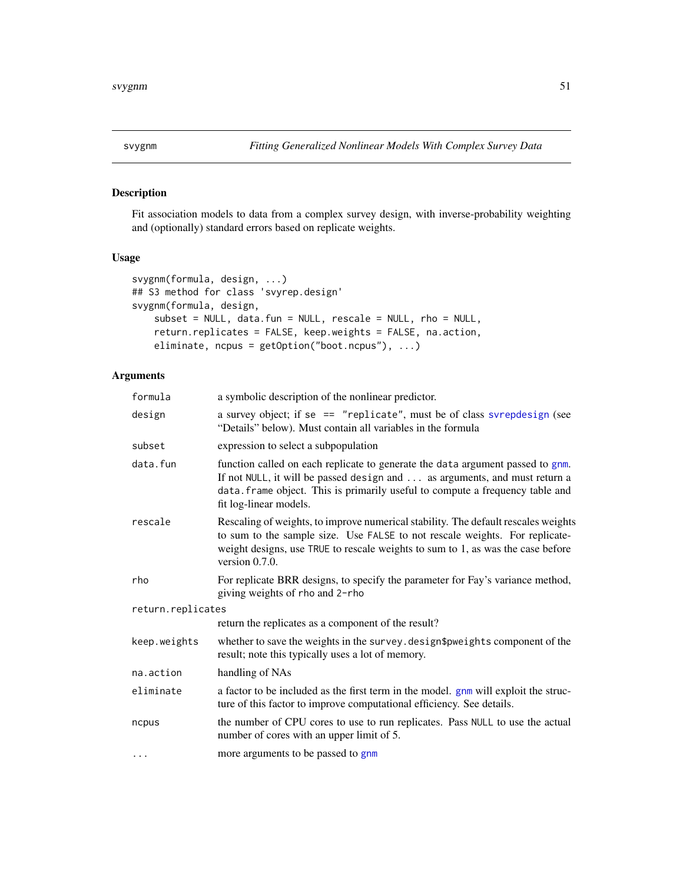<span id="page-50-0"></span>

# Description

Fit association models to data from a complex survey design, with inverse-probability weighting and (optionally) standard errors based on replicate weights.

# Usage

```
svygnm(formula, design, ...)
## S3 method for class 'svyrep.design'
svygnm(formula, design,
   subset = NULL, data.fun = NULL, rescale = NULL, rho = NULL,
   return.replicates = FALSE, keep.weights = FALSE, na.action,
   eliminate, ncpus = getOption("boot.ncpus"), ...)
```
# Arguments

| formula           | a symbolic description of the nonlinear predictor.                                                                                                                                                                                                                        |  |
|-------------------|---------------------------------------------------------------------------------------------------------------------------------------------------------------------------------------------------------------------------------------------------------------------------|--|
| design            | a survey object; if se == "replicate", must be of class svrepdesign (see<br>"Details" below). Must contain all variables in the formula                                                                                                                                   |  |
| subset            | expression to select a subpopulation                                                                                                                                                                                                                                      |  |
| data.fun          | function called on each replicate to generate the data argument passed to gnm.<br>If not NULL, it will be passed design and  as arguments, and must return a<br>data. frame object. This is primarily useful to compute a frequency table and<br>fit log-linear models.   |  |
| rescale           | Rescaling of weights, to improve numerical stability. The default rescales weights<br>to sum to the sample size. Use FALSE to not rescale weights. For replicate-<br>weight designs, use TRUE to rescale weights to sum to 1, as was the case before<br>version $0.7.0$ . |  |
| rho               | For replicate BRR designs, to specify the parameter for Fay's variance method,<br>giving weights of rho and 2-rho                                                                                                                                                         |  |
| return.replicates |                                                                                                                                                                                                                                                                           |  |
|                   | return the replicates as a component of the result?                                                                                                                                                                                                                       |  |
| keep.weights      | whether to save the weights in the survey. design\$pweights component of the<br>result; note this typically uses a lot of memory.                                                                                                                                         |  |
| na.action         | handling of NAs                                                                                                                                                                                                                                                           |  |
| eliminate         | a factor to be included as the first term in the model. gnm will exploit the struc-<br>ture of this factor to improve computational efficiency. See details.                                                                                                              |  |
| ncpus             | the number of CPU cores to use to run replicates. Pass NULL to use the actual<br>number of cores with an upper limit of 5.                                                                                                                                                |  |
| $\cdots$          | more arguments to be passed to gnm                                                                                                                                                                                                                                        |  |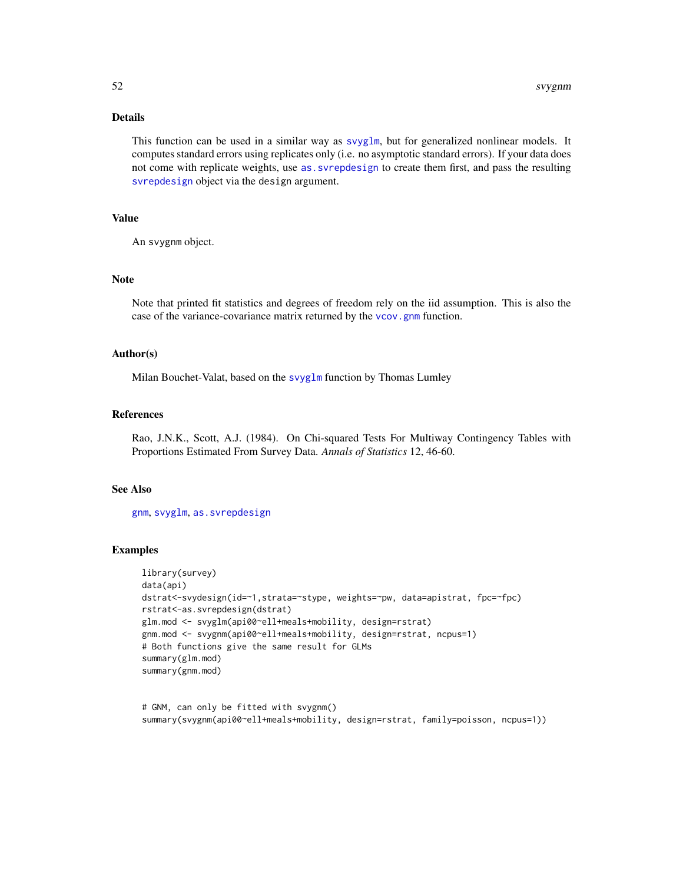# Details

This function can be used in a similar way as [svyglm](#page-0-0), but for generalized nonlinear models. It computes standard errors using replicates only (i.e. no asymptotic standard errors). If your data does not come with replicate weights, use [as.svrepdesign](#page-0-0) to create them first, and pass the resulting [svrepdesign](#page-0-0) object via the design argument.

#### Value

An svygnm object.

#### Note

Note that printed fit statistics and degrees of freedom rely on the iid assumption. This is also the case of the variance-covariance matrix returned by the [vcov.gnm](#page-0-0) function.

#### Author(s)

Milan Bouchet-Valat, based on the [svyglm](#page-0-0) function by Thomas Lumley

#### References

Rao, J.N.K., Scott, A.J. (1984). On Chi-squared Tests For Multiway Contingency Tables with Proportions Estimated From Survey Data. *Annals of Statistics* 12, 46-60.

#### See Also

[gnm](#page-0-0), [svyglm](#page-0-0), [as.svrepdesign](#page-0-0)

# Examples

```
library(survey)
data(api)
dstrat<-svydesign(id=~1,strata=~stype, weights=~pw, data=apistrat, fpc=~fpc)
rstrat<-as.svrepdesign(dstrat)
glm.mod <- svyglm(api00~ell+meals+mobility, design=rstrat)
gnm.mod <- svygnm(api00~ell+meals+mobility, design=rstrat, ncpus=1)
# Both functions give the same result for GLMs
summary(glm.mod)
summary(gnm.mod)
```
# GNM, can only be fitted with svygnm() summary(svygnm(api00~ell+meals+mobility, design=rstrat, family=poisson, ncpus=1))

<span id="page-51-0"></span>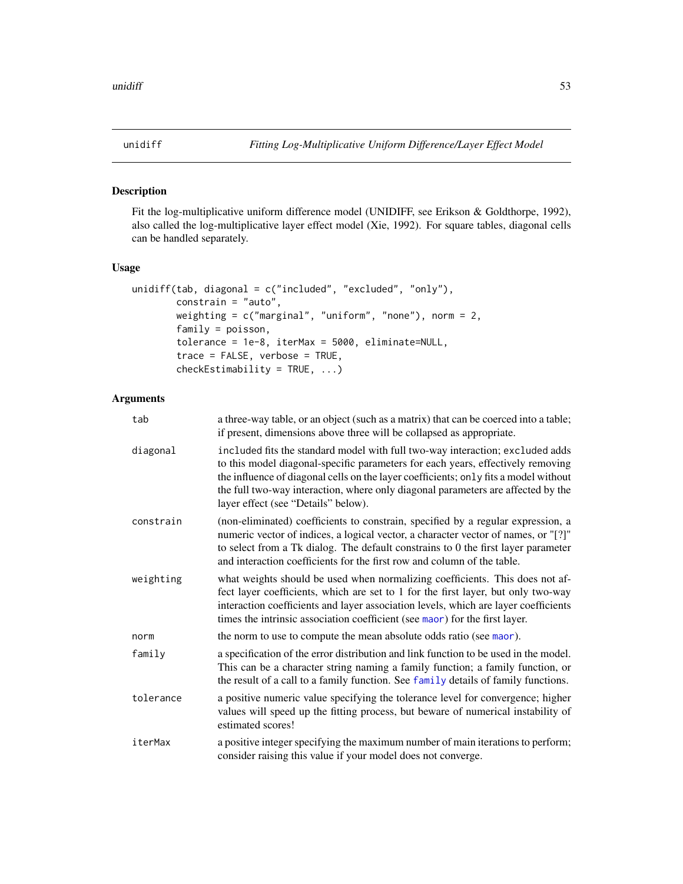<span id="page-52-1"></span><span id="page-52-0"></span>

# Description

Fit the log-multiplicative uniform difference model (UNIDIFF, see Erikson & Goldthorpe, 1992), also called the log-multiplicative layer effect model (Xie, 1992). For square tables, diagonal cells can be handled separately.

#### Usage

```
unidiff(tab, diagonal = c("included", "excluded", "only"),
        constrain = "auto",
        weighting = c("marginal", "uniform", "none"), norm = 2,
        family = poisson,
        tolerance = 1e-8, iterMax = 5000, eliminate=NULL,
        trace = FALSE, verbose = TRUE,
        checkEstimability = TRUE, ...)
```
# Arguments

| tab       | a three-way table, or an object (such as a matrix) that can be coerced into a table;<br>if present, dimensions above three will be collapsed as appropriate.                                                                                                                                                                                                                        |
|-----------|-------------------------------------------------------------------------------------------------------------------------------------------------------------------------------------------------------------------------------------------------------------------------------------------------------------------------------------------------------------------------------------|
| diagonal  | included fits the standard model with full two-way interaction; excluded adds<br>to this model diagonal-specific parameters for each years, effectively removing<br>the influence of diagonal cells on the layer coefficients; only fits a model without<br>the full two-way interaction, where only diagonal parameters are affected by the<br>layer effect (see "Details" below). |
| constrain | (non-eliminated) coefficients to constrain, specified by a regular expression, a<br>numeric vector of indices, a logical vector, a character vector of names, or "[?]"<br>to select from a Tk dialog. The default constrains to 0 the first layer parameter<br>and interaction coefficients for the first row and column of the table.                                              |
| weighting | what weights should be used when normalizing coefficients. This does not af-<br>fect layer coefficients, which are set to 1 for the first layer, but only two-way<br>interaction coefficients and layer association levels, which are layer coefficients<br>times the intrinsic association coefficient (see maor) for the first layer.                                             |
| norm      | the norm to use to compute the mean absolute odds ratio (see maor).                                                                                                                                                                                                                                                                                                                 |
| family    | a specification of the error distribution and link function to be used in the model.<br>This can be a character string naming a family function; a family function, or<br>the result of a call to a family function. See family details of family functions.                                                                                                                        |
| tolerance | a positive numeric value specifying the tolerance level for convergence; higher<br>values will speed up the fitting process, but beware of numerical instability of<br>estimated scores!                                                                                                                                                                                            |
| iterMax   | a positive integer specifying the maximum number of main iterations to perform;<br>consider raising this value if your model does not converge.                                                                                                                                                                                                                                     |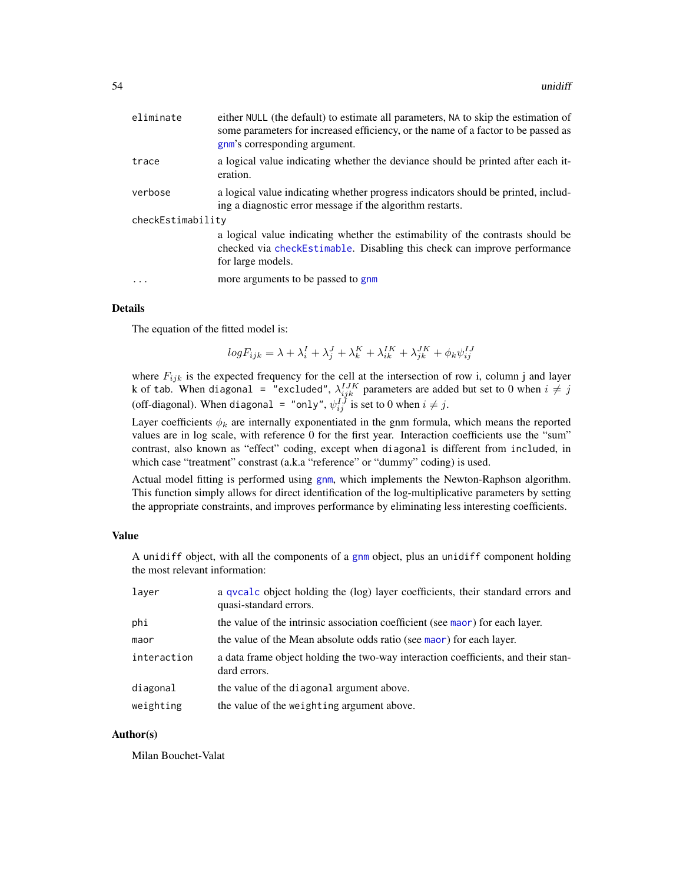<span id="page-53-0"></span>

| eliminate         | either NULL (the default) to estimate all parameters, NA to skip the estimation of<br>some parameters for increased efficiency, or the name of a factor to be passed as<br>gnm's corresponding argument. |
|-------------------|----------------------------------------------------------------------------------------------------------------------------------------------------------------------------------------------------------|
| trace             | a logical value indicating whether the deviance should be printed after each it-<br>eration.                                                                                                             |
| verbose           | a logical value indicating whether progress indicators should be printed, includ-<br>ing a diagnostic error message if the algorithm restarts.                                                           |
| checkEstimability | a logical value indicating whether the estimability of the contrasts should be<br>checked via checkEstimable. Disabling this check can improve performance<br>for large models.                          |
|                   | more arguments to be passed to gnm                                                                                                                                                                       |

#### Details

The equation of the fitted model is:

$$
logF_{ijk} = \lambda + \lambda_i^I + \lambda_j^J + \lambda_k^K + \lambda_{ik}^{IK} + \lambda_{jk}^{JK} + \phi_k \psi_{ij}^{IJ}
$$

where  $F_{ijk}$  is the expected frequency for the cell at the intersection of row i, column j and layer k of tab. When diagonal = "excluded",  $\lambda^{IJK}_{ijk}$  parameters are added but set to 0 when  $i\neq j$ (off-diagonal). When diagonal = "only",  $\psi_{ij}^{IJ}$  is set to 0 when  $i \neq j$ .

Layer coefficients  $\phi_k$  are internally exponentiated in the gnm formula, which means the reported values are in log scale, with reference 0 for the first year. Interaction coefficients use the "sum" contrast, also known as "effect" coding, except when diagonal is different from included, in which case "treatment" constrast (a.k.a "reference" or "dummy" coding) is used.

Actual model fitting is performed using [gnm](#page-0-0), which implements the Newton-Raphson algorithm. This function simply allows for direct identification of the log-multiplicative parameters by setting the appropriate constraints, and improves performance by eliminating less interesting coefficients.

#### Value

A unidiff object, with all the components of a [gnm](#page-0-0) object, plus an unidiff component holding the most relevant information:

| layer       | a qvcalc object holding the (log) layer coefficients, their standard errors and<br>quasi-standard errors. |
|-------------|-----------------------------------------------------------------------------------------------------------|
| phi         | the value of the intrinsic association coefficient (see maor) for each layer.                             |
| maor        | the value of the Mean absolute odds ratio (see maor) for each layer.                                      |
| interaction | a data frame object holding the two-way interaction coefficients, and their stan-<br>dard errors.         |
| diagonal    | the value of the diagonal argument above.                                                                 |
| weighting   | the value of the weighting argument above.                                                                |

# Author(s)

Milan Bouchet-Valat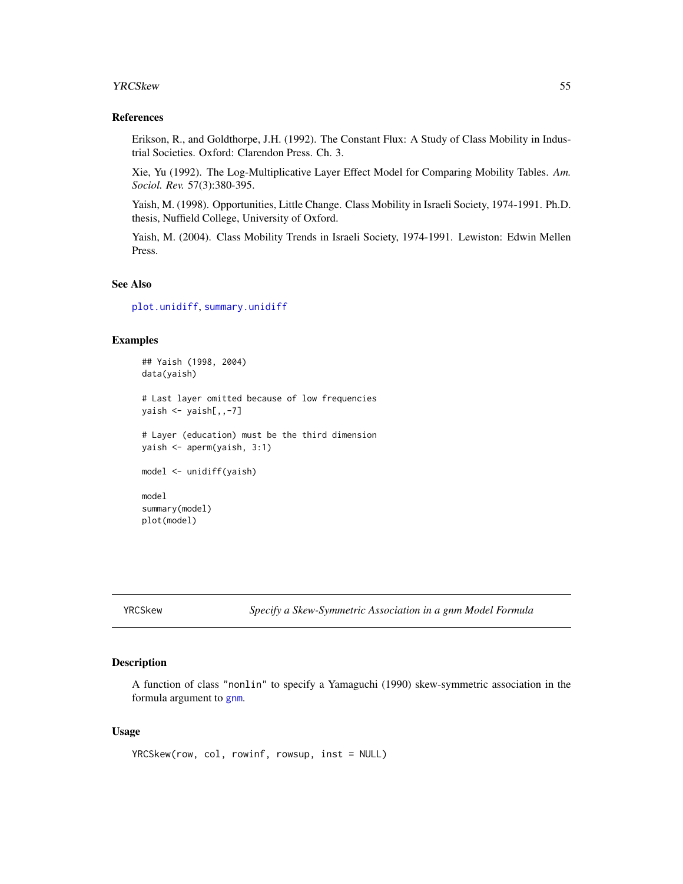#### <span id="page-54-0"></span>**YRCSkew** 55

#### References

Erikson, R., and Goldthorpe, J.H. (1992). The Constant Flux: A Study of Class Mobility in Industrial Societies. Oxford: Clarendon Press. Ch. 3.

Xie, Yu (1992). The Log-Multiplicative Layer Effect Model for Comparing Mobility Tables. *Am. Sociol. Rev.* 57(3):380-395.

Yaish, M. (1998). Opportunities, Little Change. Class Mobility in Israeli Society, 1974-1991. Ph.D. thesis, Nuffield College, University of Oxford.

Yaish, M. (2004). Class Mobility Trends in Israeli Society, 1974-1991. Lewiston: Edwin Mellen Press.

# See Also

[plot.unidiff](#page-25-1), [summary.unidiff](#page-44-1)

# Examples

```
## Yaish (1998, 2004)
data(yaish)
# Last layer omitted because of low frequencies
yaish <- yaish[,,-7]
# Layer (education) must be the third dimension
yaish <- aperm(yaish, 3:1)
model <- unidiff(yaish)
model
summary(model)
plot(model)
```
YRCSkew *Specify a Skew-Symmetric Association in a gnm Model Formula*

# Description

A function of class "nonlin" to specify a Yamaguchi (1990) skew-symmetric association in the formula argument to [gnm](#page-0-0).

#### Usage

```
YRCSkew(row, col, rowinf, rowsup, inst = NULL)
```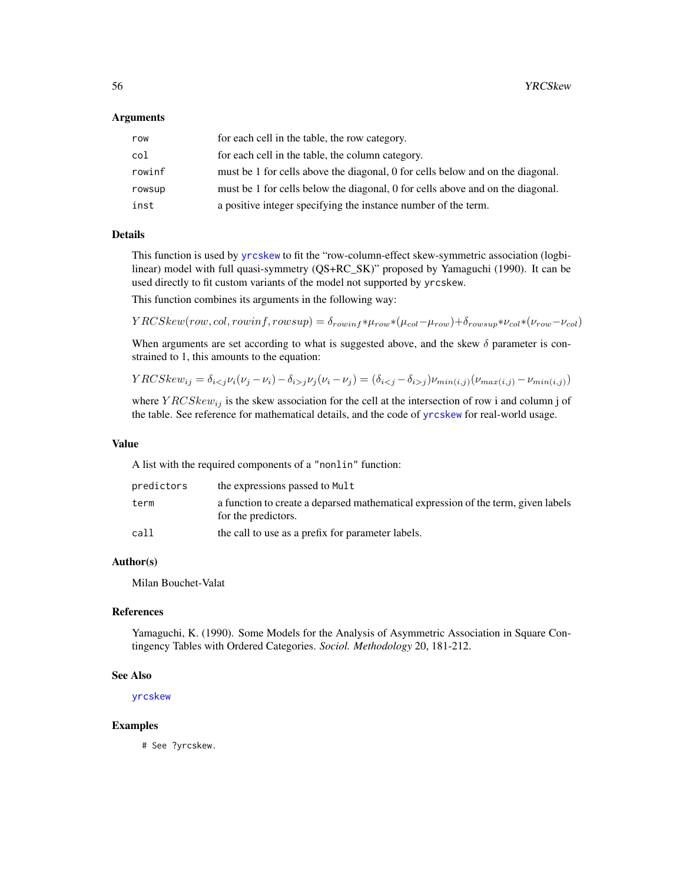#### <span id="page-55-0"></span>Arguments

| row    | for each cell in the table, the row category.                                  |
|--------|--------------------------------------------------------------------------------|
| col    | for each cell in the table, the column category.                               |
| rowinf | must be 1 for cells above the diagonal, 0 for cells below and on the diagonal. |
| rowsup | must be 1 for cells below the diagonal, 0 for cells above and on the diagonal. |
| inst   | a positive integer specifying the instance number of the term.                 |

#### Details

This function is used by [yrcskew](#page-56-1) to fit the "row-column-effect skew-symmetric association (logbilinear) model with full quasi-symmetry (QS+RC\_SK)" proposed by Yamaguchi (1990). It can be used directly to fit custom variants of the model not supported by yrcskew.

This function combines its arguments in the following way:

 $YRCSkew(row, col, rowinf, rowsup) = \delta_{rowinf} * \mu_{row} * (\mu_{col} - \mu_{row}) + \delta_{rowsup} * \nu_{col} * (\nu_{row} - \nu_{col})$ 

When arguments are set according to what is suggested above, and the skew  $\delta$  parameter is constrained to 1, this amounts to the equation:

$$
YRCSkew_{ij} = \delta_{i < j} \nu_i(\nu_j - \nu_i) - \delta_{i > j} \nu_j(\nu_i - \nu_j) = (\delta_{i < j} - \delta_{i > j}) \nu_{\min(i, j)}(\nu_{\max(i, j)} - \nu_{\min(i, j)})
$$

where  $YRCSkew_{ij}$  is the skew association for the cell at the intersection of row i and column j of the table. See reference for mathematical details, and the code of [yrcskew](#page-56-1) for real-world usage.

#### Value

A list with the required components of a "nonlin" function:

| predictors | the expressions passed to Mult                                                                           |
|------------|----------------------------------------------------------------------------------------------------------|
| term       | a function to create a deparsed mathematical expression of the term, given labels<br>for the predictors. |
| call       | the call to use as a prefix for parameter labels.                                                        |

#### Author(s)

Milan Bouchet-Valat

# References

Yamaguchi, K. (1990). Some Models for the Analysis of Asymmetric Association in Square Contingency Tables with Ordered Categories. *Sociol. Methodology* 20, 181-212.

#### See Also

[yrcskew](#page-56-1)

# Examples

# See ?yrcskew.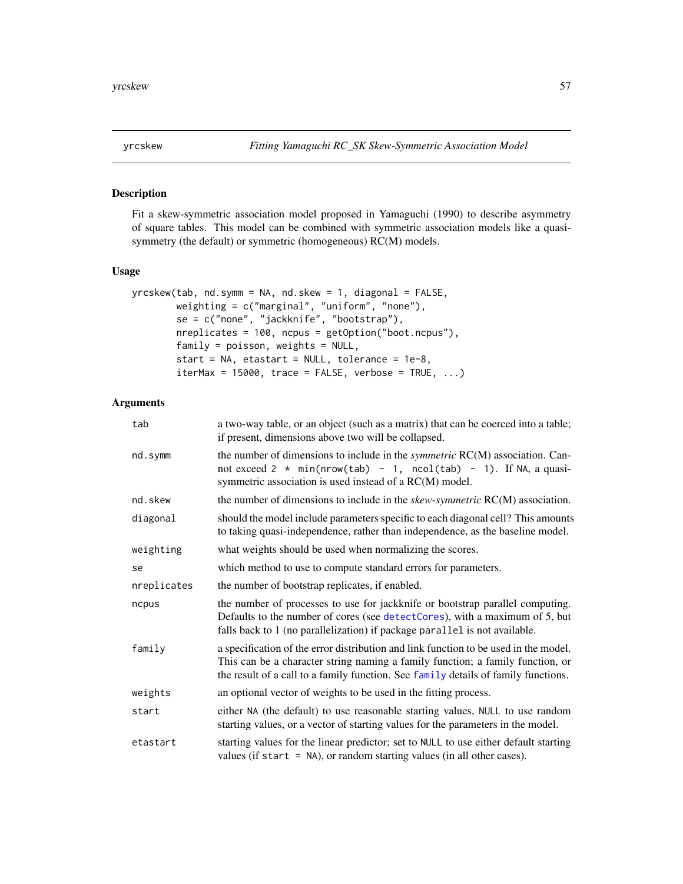<span id="page-56-1"></span><span id="page-56-0"></span>

#### Description

Fit a skew-symmetric association model proposed in Yamaguchi (1990) to describe asymmetry of square tables. This model can be combined with symmetric association models like a quasisymmetry (the default) or symmetric (homogeneous) RC(M) models.

# Usage

```
yrcskew(tab, nd.symm = NA, nd.skew = 1, diagonal = FALSE,
        weighting = c("marginal", "uniform", "none"),
        se = c("none", "jackknife", "bootstrap"),
        nreplicates = 100, ncpus = getOption("boot.ncpus"),
        family = poisson, weights = NULL,
        start = NA, etastart = NULL, tolerance = 1e-8,
        iterMax = 15000, trace = FALSE, verbose = TRUE, ...)
```
#### Arguments

| tab         | a two-way table, or an object (such as a matrix) that can be coerced into a table;<br>if present, dimensions above two will be collapsed.                                                                                                                    |
|-------------|--------------------------------------------------------------------------------------------------------------------------------------------------------------------------------------------------------------------------------------------------------------|
| nd.symm     | the number of dimensions to include in the <i>symmetric</i> RC(M) association. Can-<br>not exceed $2 * min(nrow(tab) - 1, ncol(tab) - 1)$ . If NA, a quasi-<br>symmetric association is used instead of a RC(M) model.                                       |
| nd.skew     | the number of dimensions to include in the $skew-symmetric RC(M)$ association.                                                                                                                                                                               |
| diagonal    | should the model include parameters specific to each diagonal cell? This amounts<br>to taking quasi-independence, rather than independence, as the baseline model.                                                                                           |
| weighting   | what weights should be used when normalizing the scores.                                                                                                                                                                                                     |
| se          | which method to use to compute standard errors for parameters.                                                                                                                                                                                               |
| nreplicates | the number of bootstrap replicates, if enabled.                                                                                                                                                                                                              |
| ncpus       | the number of processes to use for jackknife or bootstrap parallel computing.<br>Defaults to the number of cores (see detectCores), with a maximum of 5, but<br>falls back to 1 (no parallelization) if package parallel is not available.                   |
| family      | a specification of the error distribution and link function to be used in the model.<br>This can be a character string naming a family function; a family function, or<br>the result of a call to a family function. See family details of family functions. |
| weights     | an optional vector of weights to be used in the fitting process.                                                                                                                                                                                             |
| start       | either NA (the default) to use reasonable starting values, NULL to use random<br>starting values, or a vector of starting values for the parameters in the model.                                                                                            |
| etastart    | starting values for the linear predictor; set to NULL to use either default starting<br>values (if start $=$ NA), or random starting values (in all other cases).                                                                                            |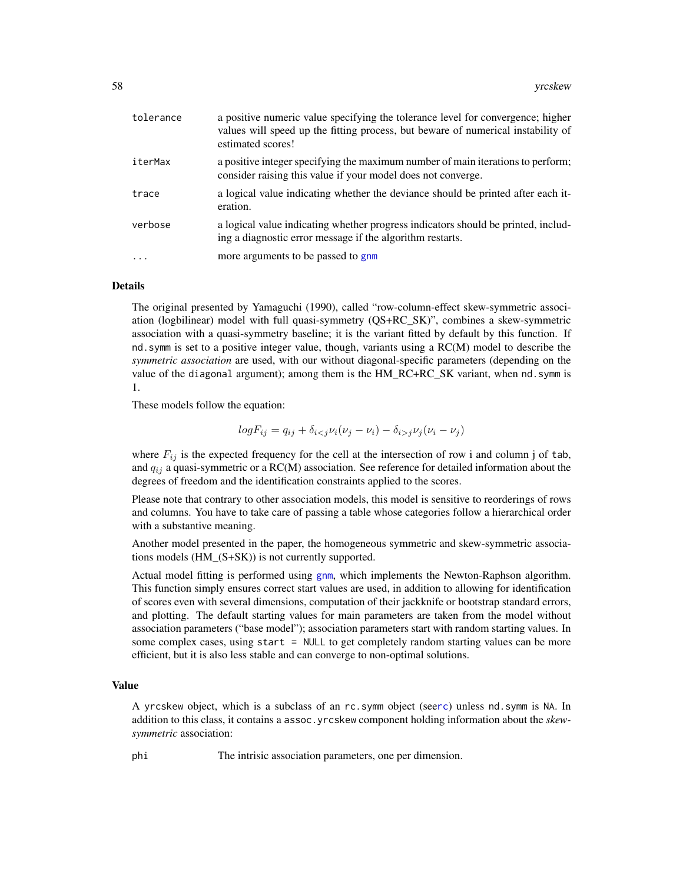<span id="page-57-0"></span>

| tolerance | a positive numeric value specifying the tolerance level for convergence; higher<br>values will speed up the fitting process, but beware of numerical instability of<br>estimated scores! |
|-----------|------------------------------------------------------------------------------------------------------------------------------------------------------------------------------------------|
| iterMax   | a positive integer specifying the maximum number of main iterations to perform;<br>consider raising this value if your model does not converge.                                          |
| trace     | a logical value indicating whether the deviance should be printed after each it-<br>eration.                                                                                             |
| verbose   | a logical value indicating whether progress indicators should be printed, includ-<br>ing a diagnostic error message if the algorithm restarts.                                           |
| $\cdots$  | more arguments to be passed to gnm                                                                                                                                                       |

#### Details

The original presented by Yamaguchi (1990), called "row-column-effect skew-symmetric association (logbilinear) model with full quasi-symmetry (QS+RC\_SK)", combines a skew-symmetric association with a quasi-symmetry baseline; it is the variant fitted by default by this function. If nd.symm is set to a positive integer value, though, variants using a RC(M) model to describe the *symmetric association* are used, with our without diagonal-specific parameters (depending on the value of the diagonal argument); among them is the HM\_RC+RC\_SK variant, when nd. symm is 1.

These models follow the equation:

$$
logF_{ij} = q_{ij} + \delta_{ij} \nu_j (\nu_i - \nu_j)
$$

where  $F_{ij}$  is the expected frequency for the cell at the intersection of row i and column j of tab, and  $q_{ij}$  a quasi-symmetric or a RC(M) association. See reference for detailed information about the degrees of freedom and the identification constraints applied to the scores.

Please note that contrary to other association models, this model is sensitive to reorderings of rows and columns. You have to take care of passing a table whose categories follow a hierarchical order with a substantive meaning.

Another model presented in the paper, the homogeneous symmetric and skew-symmetric associations models (HM\_(S+SK)) is not currently supported.

Actual model fitting is performed using [gnm](#page-0-0), which implements the Newton-Raphson algorithm. This function simply ensures correct start values are used, in addition to allowing for identification of scores even with several dimensions, computation of their jackknife or bootstrap standard errors, and plotting. The default starting values for main parameters are taken from the model without association parameters ("base model"); association parameters start with random starting values. In some complex cases, using start = NULL to get completely random starting values can be more efficient, but it is also less stable and can converge to non-optimal solutions.

#### Value

A yrcskew object, which is a subclass of an rc.symm object (see[rc](#page-27-1)) unless nd.symm is NA. In addition to this class, it contains a assoc.yrcskew component holding information about the *skewsymmetric* association:

phi The intrisic association parameters, one per dimension.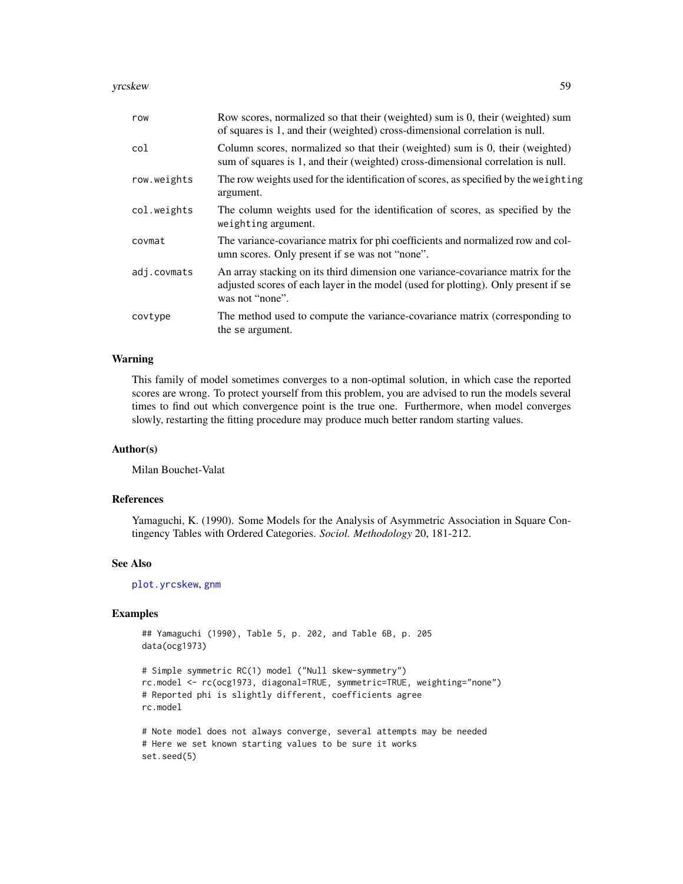<span id="page-58-0"></span>yrcskew 59

| row         | Row scores, normalized so that their (weighted) sum is 0, their (weighted) sum<br>of squares is 1, and their (weighted) cross-dimensional correlation is null.                           |
|-------------|------------------------------------------------------------------------------------------------------------------------------------------------------------------------------------------|
| col         | Column scores, normalized so that their (weighted) sum is 0, their (weighted)<br>sum of squares is 1, and their (weighted) cross-dimensional correlation is null.                        |
| row.weights | The row weights used for the identification of scores, as specified by the weighting<br>argument.                                                                                        |
| col.weights | The column weights used for the identification of scores, as specified by the<br>weighting argument.                                                                                     |
| covmat      | The variance-covariance matrix for phi coefficients and normalized row and col-<br>umn scores. Only present if se was not "none".                                                        |
| adj.covmats | An array stacking on its third dimension one variance-covariance matrix for the<br>adjusted scores of each layer in the model (used for plotting). Only present if se<br>was not "none". |
| covtype     | The method used to compute the variance-covariance matrix (corresponding to<br>the se argument.                                                                                          |

#### Warning

This family of model sometimes converges to a non-optimal solution, in which case the reported scores are wrong. To protect yourself from this problem, you are advised to run the models several times to find out which convergence point is the true one. Furthermore, when model converges slowly, restarting the fitting procedure may produce much better random starting values.

#### Author(s)

Milan Bouchet-Valat

# References

Yamaguchi, K. (1990). Some Models for the Analysis of Asymmetric Association in Square Contingency Tables with Ordered Categories. *Sociol. Methodology* 20, 181-212.

#### See Also

[plot.yrcskew](#page-20-1), [gnm](#page-0-0)

# Examples

## Yamaguchi (1990), Table 5, p. 202, and Table 6B, p. 205 data(ocg1973)

```
# Simple symmetric RC(1) model ("Null skew-symmetry")
rc.model <- rc(ocg1973, diagonal=TRUE, symmetric=TRUE, weighting="none")
# Reported phi is slightly different, coefficients agree
rc.model
```

```
# Note model does not always converge, several attempts may be needed
# Here we set known starting values to be sure it works
set.seed(5)
```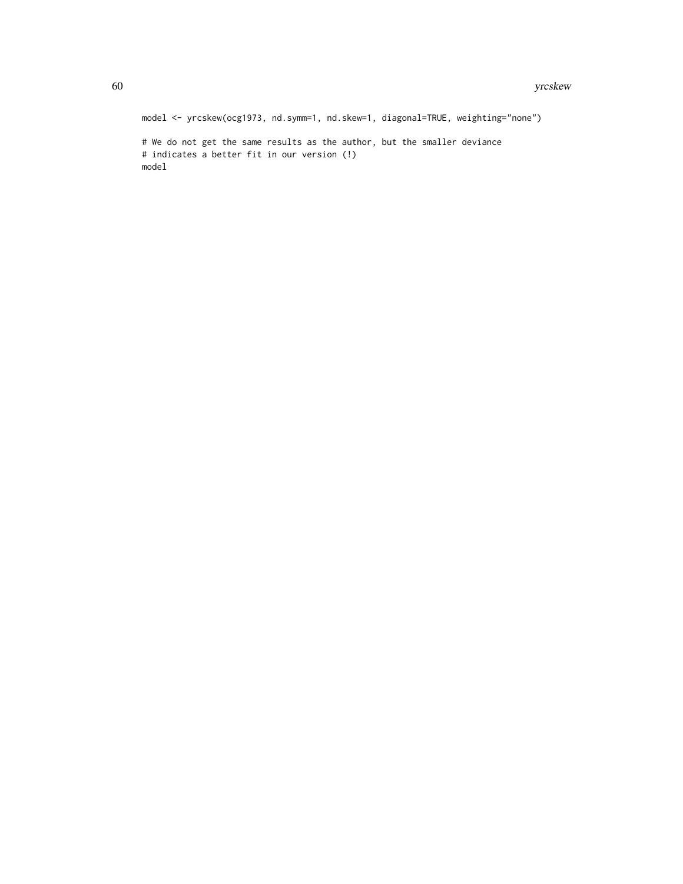model <- yrcskew(ocg1973, nd.symm=1, nd.skew=1, diagonal=TRUE, weighting="none") # We do not get the same results as the author, but the smaller deviance # indicates a better fit in our version (!) model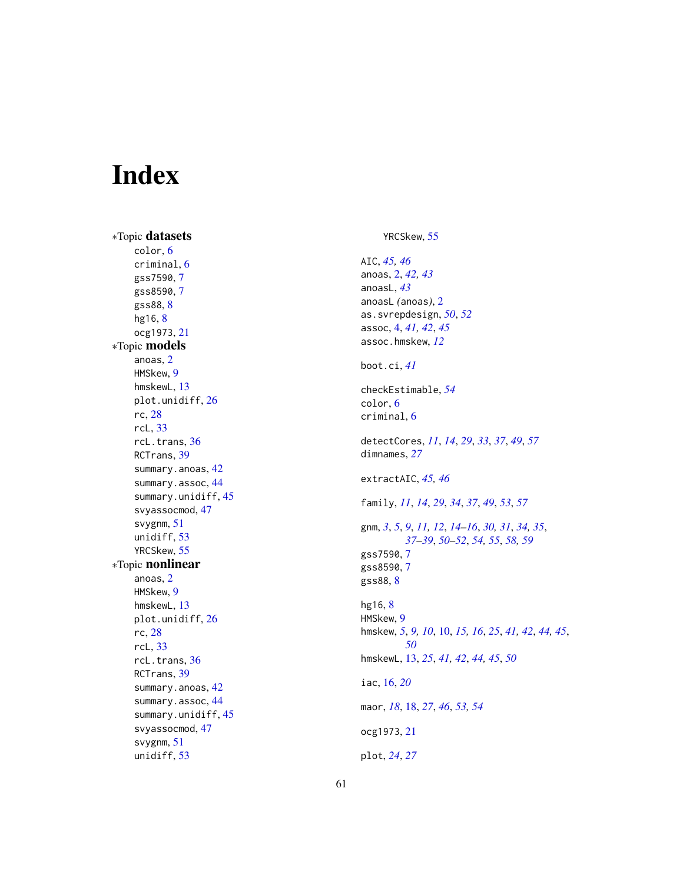# <span id="page-60-0"></span>Index

∗Topic datasets color , [6](#page-5-0) criminal , [6](#page-5-0) gss7590 , [7](#page-6-0) gss8590 , [7](#page-6-0) gss88 , [8](#page-7-0) hg16, [8](#page-7-0) ocg1973 , [21](#page-20-0) ∗Topic models anoas , [2](#page-1-0) HMSkew , [9](#page-8-0) hmskewL , [13](#page-12-0) plot.unidiff , [26](#page-25-0) rc , [28](#page-27-0) rcL , [33](#page-32-0) rcL.trans , [36](#page-35-0) RCTrans , [39](#page-38-0) summary.anoas, [42](#page-41-0) summary.assoc, [44](#page-43-0) summary.unidiff , [45](#page-44-0) svyassocmod , [47](#page-46-0) svygnm , [51](#page-50-0) unidiff , [53](#page-52-0) YRCSkew , [55](#page-54-0) ∗Topic nonlinear anoas , [2](#page-1-0) HMSkew , [9](#page-8-0) hmskewL , [13](#page-12-0) plot.unidiff , [26](#page-25-0) rc , [28](#page-27-0) rcL , [33](#page-32-0) rcL.trans , [36](#page-35-0) RCTrans , [39](#page-38-0) summary.anoas, [42](#page-41-0) summary.assoc, [44](#page-43-0) summary.unidiff , [45](#page-44-0) svyassocmod , [47](#page-46-0) svygnm , [51](#page-50-0) unidiff , [53](#page-52-0)

# YRCSkew , [55](#page-54-0)

AIC , *[45](#page-44-0) , [46](#page-45-0)* anoas , [2](#page-1-0) , *[42](#page-41-0) , [43](#page-42-0)* anoasL , *[43](#page-42-0)* anoasL *(*anoas *)* , [2](#page-1-0) as.svrepdesign , *[50](#page-49-0)* , *[52](#page-51-0)* assoc , [4](#page-3-0) , *[41](#page-40-0) , [42](#page-41-0)* , *[45](#page-44-0)* assoc.hmskew , *[12](#page-11-0)* boot.ci , *[41](#page-40-0)* checkEstimable , *[54](#page-53-0)* color , [6](#page-5-0) criminal , [6](#page-5-0) detectCores , *[11](#page-10-0)* , *[14](#page-13-0)* , *[29](#page-28-0)* , *[33](#page-32-0)* , *[37](#page-36-0)* , *[49](#page-48-0)* , *[57](#page-56-0)* dimnames , *[27](#page-26-0)* extractAIC , *[45](#page-44-0) , [46](#page-45-0)* family , *[11](#page-10-0)* , *[14](#page-13-0)* , *[29](#page-28-0)* , *[34](#page-33-0)* , *[37](#page-36-0)* , *[49](#page-48-0)* , *[53](#page-52-0)* , *[57](#page-56-0)* gnm, [3](#page-2-0), [5](#page-4-0), [9](#page-8-0), [11](#page-10-0), [12](#page-11-0), [14](#page-13-0)[–16](#page-15-0), [30](#page-29-0), [31](#page-30-0), [34](#page-33-0), [35](#page-34-0), *[37](#page-36-0)[–39](#page-38-0)* , *[50](#page-49-0)[–52](#page-51-0)* , *[54](#page-53-0) , [55](#page-54-0)* , *[58](#page-57-0) , [59](#page-58-0)* gss7590 , [7](#page-6-0) gss8590 , [7](#page-6-0) gss88 , [8](#page-7-0) hg16, <mark>[8](#page-7-0)</mark> HMSkew , [9](#page-8-0) hmskew , *[5](#page-4-0)* , *[9](#page-8-0) , [10](#page-9-0)* , [10](#page-9-0) , *[15](#page-14-0) , [16](#page-15-0)* , *[25](#page-24-0)* , *[41](#page-40-0) , [42](#page-41-0)* , *[44](#page-43-0) , [45](#page-44-0)* , *[50](#page-49-0)* hmskewL , [13](#page-12-0) , *[25](#page-24-0)* , *[41](#page-40-0) , [42](#page-41-0)* , *[44](#page-43-0) , [45](#page-44-0)* , *[50](#page-49-0)* iac , [16](#page-15-0) , *[20](#page-19-0)* maor , *[18](#page-17-0)* , [18](#page-17-0) , *[27](#page-26-0)* , *[46](#page-45-0)* , *[53](#page-52-0) , [54](#page-53-0)* ocg1973 , [21](#page-20-0) plot , *[24](#page-23-0)* , *[27](#page-26-0)*